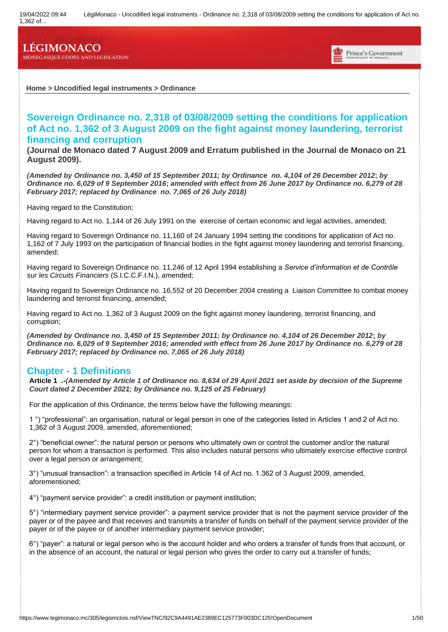1,362 of...

# **LÉGIMONACO**

**MONEGASQUE CODES AND LEGISLATION**



**Home > Uncodified legal instruments > Ordinance**

# **Sovereign Ordinance no. 2,318 of 03/08/2009 setting the conditions for application of Act no. 1,362 of 3 August 2009 on the fight against money laundering, terrorist financing and corruption**

**(Journal de Monaco dated 7 August 2009 and Erratum published in the Journal de Monaco on 21 August 2009).**

*(Amended by Ordinance no. 3,450 of 15 September 2011; by Ordinance no. 4,104 of 26 December 2012***;** *by Ordinance no. 6,029 of 9 September 2016***;** *amended with effect from 26 June 2017 by Ordinance no. 6,279 of 28 February 2017; replaced by Ordinance no. 7,065 of 26 July 2018)*

Having regard to the Constitution;

Having regard to Act no. 1,144 of 26 July 1991 on the exercise of certain economic and legal activities, amended;

Having regard to Sovereign Ordinance no. 11,160 of 24 January 1994 setting the conditions for application of Act no. 1,162 of 7 July 1993 on the participation of financial bodies in the fight against money laundering and terrorist financing, amended;

Having regard to Sovereign Ordinance no. 11,246 of 12 April 1994 establishing a *Service d'information et de Contrôle sur les Circuits Financiers* (S.I.C.C.F.I.N.), amended;

Having regard to Sovereign Ordinance no. 16,552 of 20 December 2004 creating a Liaison Committee to combat money laundering and terrorist financing, amended;

Having regard to Act no. 1,362 of 3 August 2009 on the fight against money laundering, terrorist financing, and corruption;

*(Amended by Ordinance no. 3,450 of 15 September 2011; by Ordinance no. 4,104 of 26 December 2012***;** *by Ordinance no. 6,029 of 9 September 2016; amended with effect from 26 June 2017 by Ordinance no. 6,279 of 28 February 2017; replaced by Ordinance no. 7,065 of 26 July 2018)*

### **Chapter - 1 Definitions**

**Article 1 .-***(Amended by Article 1 of Ordinance no. 8,634 of 29 April 2021 set aside by decision of the Supreme Court dated 2 December 2021; by Ordinance no. 9,125 of 25 February)*

For the application of this Ordinance, the terms below have the following meanings:

1 °) "professional": an organisation, natural or legal person in one of the categories listed in Articles 1 and 2 of Act no. 1,362 of 3 August 2009, amended, aforementioned;

2°) "beneficial owner": the natural person or persons who ultimately own or control the customer and/or the natural person for whom a transaction is performed. This also includes natural persons who ultimately exercise effective control over a legal person or arrangement;

3°) "unusual transaction": a transaction specified in Article 14 of Act no. 1.362 of 3 August 2009, amended, aforementioned;

4°) "payment service provider": a credit institution or payment institution;

5°) "intermediary payment service provider": a payment service provider that is not the payment service provider of the payer or of the payee and that receives and transmits a transfer of funds on behalf of the payment service provider of the payer or of the payee or of another intermediary payment service provider;

6°) "payer": a natural or legal person who is the account holder and who orders a transfer of funds from that account, or in the absence of an account, the natural or legal person who gives the order to carry out a transfer of funds;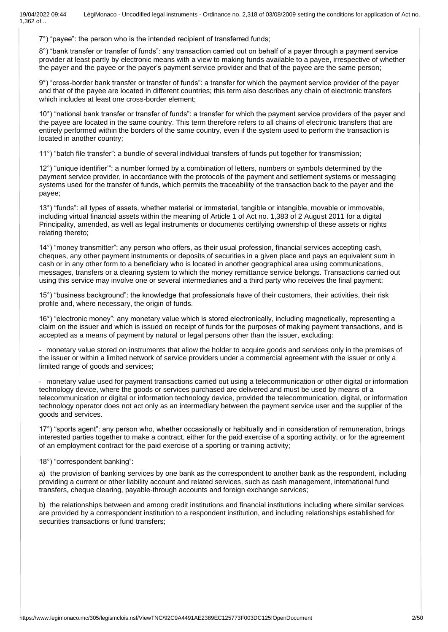7°) "payee": the person who is the intended recipient of transferred funds;

8°) "bank transfer or transfer of funds": any transaction carried out on behalf of a payer through a payment service provider at least partly by electronic means with a view to making funds available to a payee, irrespective of whether the payer and the payee or the payer's payment service provider and that of the payee are the same person;

9°) "cross-border bank transfer or transfer of funds": a transfer for which the payment service provider of the payer and that of the payee are located in different countries; this term also describes any chain of electronic transfers which includes at least one cross-border element;

10°) "national bank transfer or transfer of funds": a transfer for which the payment service providers of the payer and the payee are located in the same country. This term therefore refers to all chains of electronic transfers that are entirely performed within the borders of the same country, even if the system used to perform the transaction is located in another country;

11°) "batch file transfer": a bundle of several individual transfers of funds put together for transmission;

12°) "unique identifier'": a number formed by a combination of letters, numbers or symbols determined by the payment service provider, in accordance with the protocols of the payment and settlement systems or messaging systems used for the transfer of funds, which permits the traceability of the transaction back to the payer and the payee;

13°) "funds": all types of assets, whether material or immaterial, tangible or intangible, movable or immovable, including virtual financial assets within the meaning of Article 1 of Act no. 1,383 of 2 August 2011 for a digital Principality, amended, as well as legal instruments or documents certifying ownership of these assets or rights relating thereto;

14°) "money transmitter": any person who offers, as their usual profession, financial services accepting cash, cheques, any other payment instruments or deposits of securities in a given place and pays an equivalent sum in cash or in any other form to a beneficiary who is located in another geographical area using communications, messages, transfers or a clearing system to which the money remittance service belongs. Transactions carried out using this service may involve one or several intermediaries and a third party who receives the final payment;

15°) "business background": the knowledge that professionals have of their customers, their activities, their risk profile and, where necessary, the origin of funds.

16°) "electronic money": any monetary value which is stored electronically, including magnetically, representing a claim on the issuer and which is issued on receipt of funds for the purposes of making payment transactions, and is accepted as a means of payment by natural or legal persons other than the issuer, excluding:

- monetary value stored on instruments that allow the holder to acquire goods and services only in the premises of the issuer or within a limited network of service providers under a commercial agreement with the issuer or only a limited range of goods and services;

- monetary value used for payment transactions carried out using a telecommunication or other digital or information technology device, where the goods or services purchased are delivered and must be used by means of a telecommunication or digital or information technology device, provided the telecommunication, digital, or information technology operator does not act only as an intermediary between the payment service user and the supplier of the goods and services.

17°) "sports agent": any person who, whether occasionally or habitually and in consideration of remuneration, brings interested parties together to make a contract, either for the paid exercise of a sporting activity, or for the agreement of an employment contract for the paid exercise of a sporting or training activity;

18°) "correspondent banking":

a) the provision of banking services by one bank as the correspondent to another bank as the respondent, including providing a current or other liability account and related services, such as cash management, international fund transfers, cheque clearing, payable-through accounts and foreign exchange services;

b) the relationships between and among credit institutions and financial institutions including where similar services are provided by a correspondent institution to a respondent institution, and including relationships established for securities transactions or fund transfers;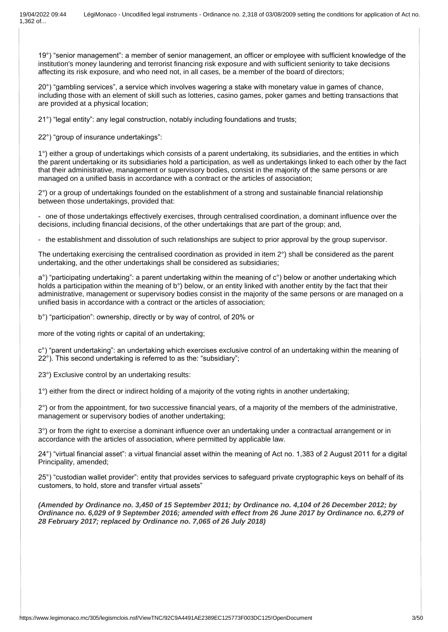19°) "senior management": a member of senior management, an officer or employee with sufficient knowledge of the institution's money laundering and terrorist financing risk exposure and with sufficient seniority to take decisions affecting its risk exposure, and who need not, in all cases, be a member of the board of directors;

20°) "gambling services", a service which involves wagering a stake with monetary value in games of chance, including those with an element of skill such as lotteries, casino games, poker games and betting transactions that are provided at a physical location;

21°) "legal entity": any legal construction, notably including foundations and trusts;

22°) "group of insurance undertakings":

1°) either a group of undertakings which consists of a parent undertaking, its subsidiaries, and the entities in which the parent undertaking or its subsidiaries hold a participation, as well as undertakings linked to each other by the fact that their administrative, management or supervisory bodies, consist in the majority of the same persons or are managed on a unified basis in accordance with a contract or the articles of association;

2°) or a group of undertakings founded on the establishment of a strong and sustainable financial relationship between those undertakings, provided that:

- one of those undertakings effectively exercises, through centralised coordination, a dominant influence over the decisions, including financial decisions, of the other undertakings that are part of the group; and,

- the establishment and dissolution of such relationships are subject to prior approval by the group supervisor.

The undertaking exercising the centralised coordination as provided in item 2°) shall be considered as the parent undertaking, and the other undertakings shall be considered as subsidiaries;

 $a^{\circ}$ ) "participating undertaking": a parent undertaking within the meaning of  $c^{\circ}$ ) below or another undertaking which holds a participation within the meaning of b°) below, or an entity linked with another entity by the fact that their administrative, management or supervisory bodies consist in the majority of the same persons or are managed on a unified basis in accordance with a contract or the articles of association;

b°) "participation": ownership, directly or by way of control, of 20% or

more of the voting rights or capital of an undertaking;

c°) "parent undertaking": an undertaking which exercises exclusive control of an undertaking within the meaning of 22°). This second undertaking is referred to as the: "subsidiary";

23°) Exclusive control by an undertaking results:

1°) either from the direct or indirect holding of a majority of the voting rights in another undertaking;

2°) or from the appointment, for two successive financial years, of a majority of the members of the administrative, management or supervisory bodies of another undertaking;

3°) or from the right to exercise a dominant influence over an undertaking under a contractual arrangement or in accordance with the articles of association, where permitted by applicable law.

24°) "virtual financial asset": a virtual financial asset within the meaning of Act no. 1,383 of 2 August 2011 for a digital Principality, amended;

25°) "custodian wallet provider": entity that provides services to safeguard private cryptographic keys on behalf of its customers, to hold, store and transfer virtual assets"

*(Amended by Ordinance no. 3,450 of 15 September 2011; by Ordinance no. 4,104 of 26 December 2012; by Ordinance no. 6,029 of 9 September 2016; amended with effect from 26 June 2017 by Ordinance no. 6,279 of 28 February 2017; replaced by Ordinance no. 7,065 of 26 July 2018)*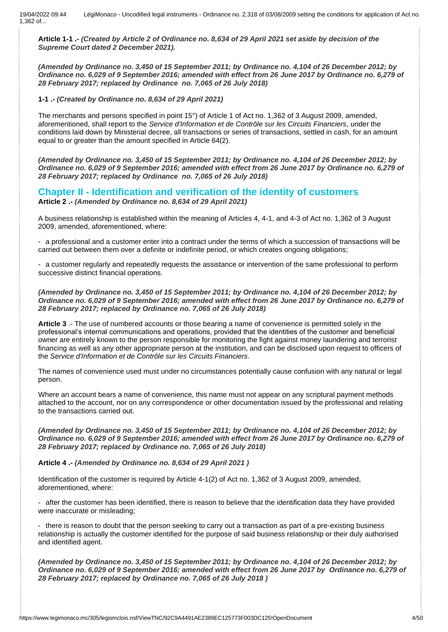**Article 1-1 .-** *(Created by Article 2 of Ordinance no. 8,634 of 29 April 2021 set aside by decision of the Supreme Court dated 2 December 2021).*

*(Amended by Ordinance no. 3,450 of 15 September 2011; by Ordinance no. 4,104 of 26 December 2012; by Ordinance no. 6,029 of 9 September 2016; amended with effect from 26 June 2017 by Ordinance no. 6,279 of 28 February 2017; replaced by Ordinance no. 7,065 of 26 July 2018)*

**1-1 .-** *(Created by Ordinance no. 8,634 of 29 April 2021)*

The merchants and persons specified in point 15°) of Article 1 of Act no. 1,362 of 3 August 2009, amended, aforementioned, shall report to the *Service d'Information et de Contrôle sur les Circuits Financiers*, under the conditions laid down by Ministerial decree, all transactions or series of transactions, settled in cash, for an amount equal to or greater than the amount specified in Article 64(2).

*(Amended by Ordinance no. 3,450 of 15 September 2011; by Ordinance no. 4,104 of 26 December 2012; by Ordinance no. 6,029 of 9 September 2016; amended with effect from 26 June 2017 by Ordinance no. 6,279 of 28 February 2017; replaced by Ordinance no. 7,065 of 26 July 2018)*

### **Chapter II - Identification and verification of the identity of customers Article 2 .-** *(Amended by Ordinance no. 8,634 of 29 April 2021)*

A business relationship is established within the meaning of Articles 4, 4-1, and 4-3 of Act no. 1,362 of 3 August 2009, amended, aforementioned, where:

- a professional and a customer enter into a contract under the terms of which a succession of transactions will be carried out between them over a definite or indefinite period, or which creates ongoing obligations;

- a customer regularly and repeatedly requests the assistance or intervention of the same professional to perform successive distinct financial operations.

*(Amended by Ordinance no. 3,450 of 15 September 2011; by Ordinance no. 4,104 of 26 December 2012; by Ordinance no. 6,029 of 9 September 2016; amended with effect from 26 June 2017 by Ordinance no. 6,279 of 28 February 2017; replaced by Ordinance no. 7,065 of 26 July 2018)*

**Article 3** .- The use of numbered accounts or those bearing a name of convenience is permitted solely in the professional's internal communications and operations, provided that the identities of the customer and beneficial owner are entirely known to the person responsible for monitoring the fight against money laundering and terrorist financing as well as any other appropriate person at the institution, and can be disclosed upon request to officers of the *Service d'Information et de Contrôle sur les Circuits Financiers*.

The names of convenience used must under no circumstances potentially cause confusion with any natural or legal person.

Where an account bears a name of convenience, this name must not appear on any scriptural payment methods attached to the account, nor on any correspondence or other documentation issued by the professional and relating to the transactions carried out.

*(Amended by Ordinance no. 3,450 of 15 September 2011; by Ordinance no. 4,104 of 26 December 2012; by Ordinance no. 6,029 of 9 September 2016; amended with effect from 26 June 2017 by Ordinance no. 6,279 of 28 February 2017; replaced by Ordinance no. 7,065 of 26 July 2018)*

**Article 4 .-** *(Amended by Ordinance no. 8,634 of 29 April 2021 )*

Identification of the customer is required by Article 4-1(2) of Act no. 1,362 of 3 August 2009, amended, aforementioned, where:

- after the customer has been identified, there is reason to believe that the identification data they have provided were inaccurate or misleading;

there is reason to doubt that the person seeking to carry out a transaction as part of a pre-existing business relationship is actually the customer identified for the purpose of said business relationship or their duly authorised and identified agent.

*(Amended by Ordinance no. 3,450 of 15 September 2011; by Ordinance no. 4,104 of 26 December 2012; by Ordinance no. 6,029 of 9 September 2016; amended with effect from 26 June 2017 by Ordinance no. 6,279 of 28 February 2017; replaced by Ordinance no. 7,065 of 26 July 2018 )*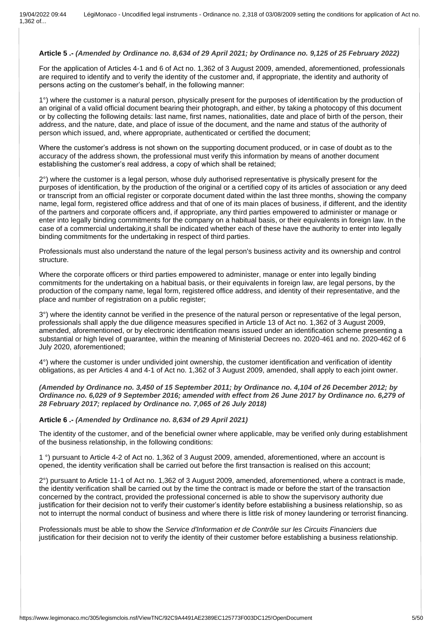### **Article 5 .-** *(Amended by Ordinance no. 8,634 of 29 April 2021; by Ordinance no. 9,125 of 25 February 2022)*

For the application of Articles 4-1 and 6 of Act no. 1,362 of 3 August 2009, amended, aforementioned, professionals are required to identify and to verify the identity of the customer and, if appropriate, the identity and authority of persons acting on the customer's behalf, in the following manner:

1°) where the customer is a natural person, physically present for the purposes of identification by the production of an original of a valid official document bearing their photograph, and either, by taking a photocopy of this document or by collecting the following details: last name, first names, nationalities, date and place of birth of the person, their address, and the nature, date, and place of issue of the document, and the name and status of the authority of person which issued, and, where appropriate, authenticated or certified the document;

Where the customer's address is not shown on the supporting document produced, or in case of doubt as to the accuracy of the address shown, the professional must verify this information by means of another document establishing the customer's real address, a copy of which shall be retained;

 $2^{\circ}$ ) where the customer is a legal person, whose duly authorised representative is physically present for the purposes of identification, by the production of the original or a certified copy of its articles of association or any deed or transcript from an official register or corporate document dated within the last three months, showing the company name, legal form, registered office address and that of one of its main places of business, if different, and the identity of the partners and corporate officers and, if appropriate, any third parties empowered to administer or manage or enter into legally binding commitments for the company on a habitual basis, or their equivalents in foreign law. In the case of a commercial undertaking,it shall be indicated whether each of these have the authority to enter into legally binding commitments for the undertaking in respect of third parties.

Professionals must also understand the nature of the legal person's business activity and its ownership and control structure.

Where the corporate officers or third parties empowered to administer, manage or enter into legally binding commitments for the undertaking on a habitual basis, or their equivalents in foreign law, are legal persons, by the production of the company name, legal form, registered office address, and identity of their representative, and the place and number of registration on a public register;

3°) where the identity cannot be verified in the presence of the natural person or representative of the legal person, professionals shall apply the due diligence measures specified in Article 13 of Act no. 1,362 of 3 August 2009, amended, aforementioned, or by electronic identification means issued under an identification scheme presenting a substantial or high level of guarantee, within the meaning of Ministerial Decrees no. 2020-461 and no. 2020-462 of 6 July 2020, aforementioned;

4°) where the customer is under undivided joint ownership, the customer identification and verification of identity obligations, as per Articles 4 and 4-1 of Act no. 1,362 of 3 August 2009, amended, shall apply to each joint owner.

*(Amended by Ordinance no. 3,450 of 15 September 2011; by Ordinance no. 4,104 of 26 December 2012; by Ordinance no. 6,029 of 9 September 2016; amended with effect from 26 June 2017 by Ordinance no. 6,279 of 28 February 2017; replaced by Ordinance no. 7,065 of 26 July 2018)*

#### **Article 6 .-** *(Amended by Ordinance no. 8,634 of 29 April 2021)*

The identity of the customer, and of the beneficial owner where applicable, may be verified only during establishment of the business relationship, in the following conditions:

1 °) pursuant to Article 4-2 of Act no. 1,362 of 3 August 2009, amended, aforementioned, where an account is opened, the identity verification shall be carried out before the first transaction is realised on this account;

2°) pursuant to Article 11-1 of Act no. 1,362 of 3 August 2009, amended, aforementioned, where a contract is made, the identity verification shall be carried out by the time the contract is made or before the start of the transaction concerned by the contract, provided the professional concerned is able to show the supervisory authority due justification for their decision not to verify their customer's identity before establishing a business relationship, so as not to interrupt the normal conduct of business and where there is little risk of money laundering or terrorist financing.

Professionals must be able to show the *Service d'Information et de Contrôle sur les Circuits Financiers* due justification for their decision not to verify the identity of their customer before establishing a business relationship.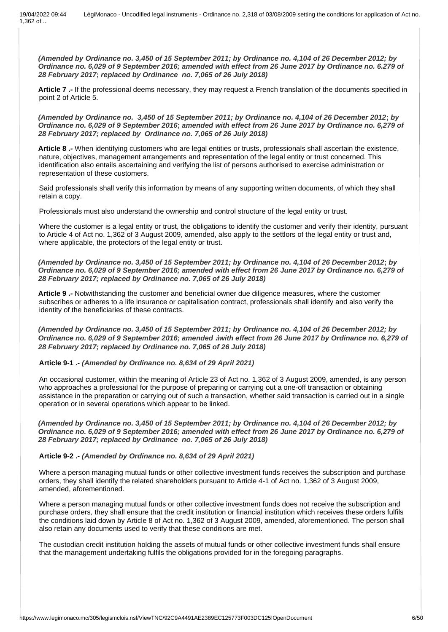*(Amended by Ordinance no. 3,450 of 15 September 2011; by Ordinance no. 4,104 of 26 December 2012; by Ordinance no. 6,029 of 9 September 2016; amended with effect from 26 June 2017 by Ordinance no. 6.279 of 28 February 2017***;** *replaced by Ordinance no. 7,065 of 26 July 2018)*

**Article 7 .-** If the professional deems necessary, they may request a French translation of the documents specified in point 2 of Article 5.

*(Amended by Ordinance no. 3,450 of 15 September 2011; by Ordinance no. 4,104 of 26 December 2012***;** *by Ordinance no. 6,029 of 9 September 2016***;** *amended with effect from 26 June 2017 by Ordinance no. 6,279 of 28 February 2017; replaced by Ordinance no. 7,065 of 26 July 2018)*

**Article 8 .-** When identifying customers who are legal entities or trusts, professionals shall ascertain the existence, nature, objectives, management arrangements and representation of the legal entity or trust concerned. This identification also entails ascertaining and verifying the list of persons authorised to exercise administration or representation of these customers.

Said professionals shall verify this information by means of any supporting written documents, of which they shall retain a copy.

Professionals must also understand the ownership and control structure of the legal entity or trust.

Where the customer is a legal entity or trust, the obligations to identify the customer and verify their identity, pursuant to Article 4 of Act no. 1,362 of 3 August 2009, amended, also apply to the settlors of the legal entity or trust and, where applicable, the protectors of the legal entity or trust.

*(Amended by Ordinance no. 3,450 of 15 September 2011; by Ordinance no. 4,104 of 26 December 2012***;** *by Ordinance no. 6,029 of 9 September 2016; amended with effect from 26 June 2017 by Ordinance no. 6,279 of 28 February 2017; replaced by Ordinance no. 7,065 of 26 July 2018)*

**Article 9 .-** Notwithstanding the customer and beneficial owner due diligence measures, where the customer subscribes or adheres to a life insurance or capitalisation contract, professionals shall identify and also verify the identity of the beneficiaries of these contracts.

*(Amended by Ordinance no. 3,450 of 15 September 2011; by Ordinance no. 4,104 of 26 December 2012; by Ordinance no. 6,029 of 9 September 2016; amended* **à***with effect from 26 June 2017 by Ordinance no. 6,279 of 28 February 2017; replaced by Ordinance no. 7,065 of 26 July 2018)*

### **Article 9-1 .-** *(Amended by Ordinance no. 8,634 of 29 April 2021)*

An occasional customer, within the meaning of Article 23 of Act no. 1,362 of 3 August 2009, amended, is any person who approaches a professional for the purpose of preparing or carrying out a one-off transaction or obtaining assistance in the preparation or carrying out of such a transaction, whether said transaction is carried out in a single operation or in several operations which appear to be linked.

*(Amended by Ordinance no. 3,450 of 15 September 2011; by Ordinance no. 4,104 of 26 December 2012; by Ordinance no. 6,029 of 9 September 2016; amended with effect from 26 June 2017 by Ordinance no. 6,279 of 28 February 2017; replaced by Ordinance no. 7,065 of 26 July 2018)*

#### **Article 9-2 .-** *(Amended by Ordinance no. 8,634 of 29 April 2021)*

Where a person managing mutual funds or other collective investment funds receives the subscription and purchase orders, they shall identify the related shareholders pursuant to Article 4-1 of Act no. 1,362 of 3 August 2009, amended, aforementioned.

Where a person managing mutual funds or other collective investment funds does not receive the subscription and purchase orders, they shall ensure that the credit institution or financial institution which receives these orders fulfils the conditions laid down by Article 8 of Act no. 1,362 of 3 August 2009, amended, aforementioned. The person shall also retain any documents used to verify that these conditions are met.

The custodian credit institution holding the assets of mutual funds or other collective investment funds shall ensure that the management undertaking fulfils the obligations provided for in the foregoing paragraphs.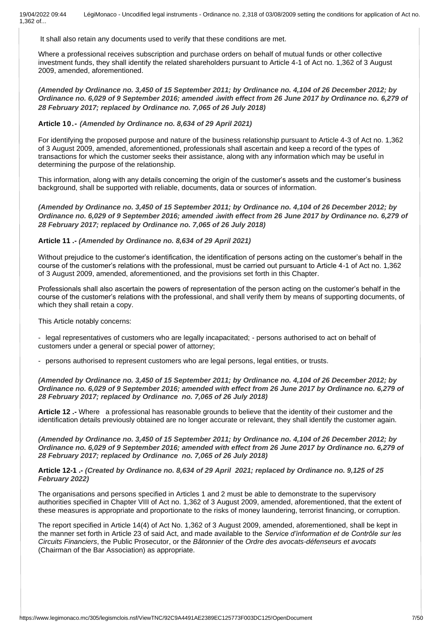It shall also retain any documents used to verify that these conditions are met.

Where a professional receives subscription and purchase orders on behalf of mutual funds or other collective investment funds, they shall identify the related shareholders pursuant to Article 4-1 of Act no. 1,362 of 3 August 2009, amended, aforementioned.

*(Amended by Ordinance no. 3,450 of 15 September 2011; by Ordinance no. 4,104 of 26 December 2012; by Ordinance no. 6,029 of 9 September 2016; amended* **à***with effect from 26 June 2017 by Ordinance no. 6,279 of 28 February 2017; replaced by Ordinance no. 7,065 of 26 July 2018)*

### **Article 10.-** *(Amended by Ordinance no. 8,634 of 29 April 2021)*

For identifying the proposed purpose and nature of the business relationship pursuant to Article 4-3 of Act no. 1,362 of 3 August 2009, amended, aforementioned, professionals shall ascertain and keep a record of the types of transactions for which the customer seeks their assistance, along with any information which may be useful in determining the purpose of the relationship.

This information, along with any details concerning the origin of the customer's assets and the customer's business background, shall be supported with reliable, documents, data or sources of information.

*(Amended by Ordinance no. 3,450 of 15 September 2011; by Ordinance no. 4,104 of 26 December 2012; by Ordinance no. 6,029 of 9 September 2016; amended* **à***with effect from 26 June 2017 by Ordinance no. 6,279 of 28 February 2017; replaced by Ordinance no. 7,065 of 26 July 2018)*

### **Article 11 .-** *(Amended by Ordinance no. 8,634 of 29 April 2021)*

Without prejudice to the customer's identification, the identification of persons acting on the customer's behalf in the course of the customer's relations with the professional, must be carried out pursuant to Article 4-1 of Act no. 1,362 of 3 August 2009, amended, aforementioned, and the provisions set forth in this Chapter.

Professionals shall also ascertain the powers of representation of the person acting on the customer's behalf in the course of the customer's relations with the professional, and shall verify them by means of supporting documents, of which they shall retain a copy.

This Article notably concerns:

- legal representatives of customers who are legally incapacitated; - persons authorised to act on behalf of customers under a general or special power of attorney;

- persons authorised to represent customers who are legal persons, legal entities, or trusts.

*(Amended by Ordinance no. 3,450 of 15 September 2011; by Ordinance no. 4,104 of 26 December 2012; by Ordinance no. 6,029 of 9 September 2016; amended with effect from 26 June 2017 by Ordinance no. 6,279 of 28 February 2017; replaced by Ordinance no. 7,065 of 26 July 2018)*

**Article 12 .-** Where a professional has reasonable grounds to believe that the identity of their customer and the identification details previously obtained are no longer accurate or relevant, they shall identify the customer again.

*(Amended by Ordinance no. 3,450 of 15 September 2011; by Ordinance no. 4,104 of 26 December 2012; by Ordinance no. 6,029 of 9 September 2016; amended with effect from 26 June 2017 by Ordinance no. 6,279 of 28 February 2017; replaced by Ordinance no. 7,065 of 26 July 2018)*

**Article 12-1 .-** *(Created by Ordinance no. 8,634 of 29 April 2021; replaced by Ordinance no. 9,125 of 25 February 2022)*

The organisations and persons specified in Articles 1 and 2 must be able to demonstrate to the supervisory authorities specified in Chapter VIII of Act no. 1,362 of 3 August 2009, amended, aforementioned, that the extent of these measures is appropriate and proportionate to the risks of money laundering, terrorist financing, or corruption.

The report specified in Article 14(4) of Act No. 1,362 of 3 August 2009, amended, aforementioned, shall be kept in the manner set forth in Article 23 of said Act, and made available to the *Service d'information et de Contrôle sur les Circuits Financiers*, the Public Prosecutor, or the *Bâtonnier* of the *Ordre des avocats-défenseurs et avocats* (Chairman of the Bar Association) as appropriate.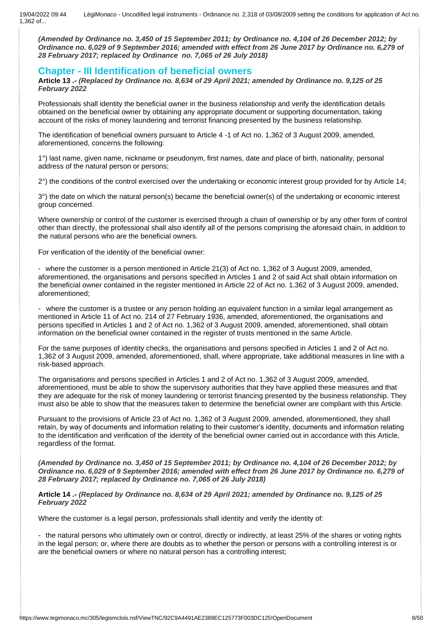*(Amended by Ordinance no. 3,450 of 15 September 2011; by Ordinance no. 4,104 of 26 December 2012; by Ordinance no. 6,029 of 9 September 2016; amended with effect from 26 June 2017 by Ordinance no. 6,279 of 28 February 2017; replaced by Ordinance no. 7,065 of 26 July 2018)*

### **Chapter - III Identification of beneficial owners**

**Article 13 .-** *(Replaced by Ordinance no. 8,634 of 29 April 2021; amended by Ordinance no. 9,125 of 25 February 2022*

Professionals shall identity the beneficial owner in the business relationship and verify the identification details obtained on the beneficial owner by obtaining any appropriate document or supporting documentation, taking account of the risks of money laundering and terrorist financing presented by the business relationship.

The identification of beneficial owners pursuant to Article 4 -1 of Act no. 1,362 of 3 August 2009, amended, aforementioned, concerns the following:

1°) last name, given name, nickname or pseudonym, first names, date and place of birth, nationality, personal address of the natural person or persons;

2°) the conditions of the control exercised over the undertaking or economic interest group provided for by Article 14;

3°) the date on which the natural person(s) became the beneficial owner(s) of the undertaking or economic interest group concerned.

Where ownership or control of the customer is exercised through a chain of ownership or by any other form of control other than directly, the professional shall also identify all of the persons comprising the aforesaid chain, in addition to the natural persons who are the beneficial owners.

For verification of the identity of the beneficial owner:

- where the customer is a person mentioned in Article 21(3) of Act no. 1,362 of 3 August 2009, amended, aforementioned, the organisations and persons specified in Articles 1 and 2 of said Act shall obtain information on the beneficial owner contained in the register mentioned in Article 22 of Act no. 1,362 of 3 August 2009, amended, aforementioned;

- where the customer is a trustee or any person holding an equivalent function in a similar legal arrangement as mentioned in Article 11 of Act no. 214 of 27 February 1936, amended, aforementioned, the organisations and persons specified in Articles 1 and 2 of Act no. 1,362 of 3 August 2009, amended, aforementioned, shall obtain information on the beneficial owner contained in the register of trusts mentioned in the same Article.

For the same purposes of identity checks, the organisations and persons specified in Articles 1 and 2 of Act no. 1,362 of 3 August 2009, amended, aforementioned, shall, where appropriate, take additional measures in line with a risk-based approach.

The organisations and persons specified in Articles 1 and 2 of Act no. 1,362 of 3 August 2009, amended, aforementioned, must be able to show the supervisory authorities that they have applied these measures and that they are adequate for the risk of money laundering or terrorist financing presented by the business relationship. They must also be able to show that the measures taken to determine the beneficial owner are compliant with this Article.

Pursuant to the provisions of Article 23 of Act no. 1,362 of 3 August 2009, amended, aforementioned, they shall retain, by way of documents and information relating to their customer's identity, documents and information relating to the identification and verification of the identity of the beneficial owner carried out in accordance with this Article, regardless of the format.

*(Amended by Ordinance no. 3,450 of 15 September 2011; by Ordinance no. 4,104 of 26 December 2012; by Ordinance no. 6,029 of 9 September 2016; amended with effect from 26 June 2017 by Ordinance no. 6,279 of 28 February 2017; replaced by Ordinance no. 7,065 of 26 July 2018)*

### **Article 14 .-** *(Replaced by Ordinance no. 8,634 of 29 April 2021; amended by Ordinance no. 9,125 of 25 February 2022*

Where the customer is a legal person, professionals shall identity and verify the identity of:

- the natural persons who ultimately own or control, directly or indirectly, at least 25% of the shares or voting rights in the legal person; or, where there are doubts as to whether the person or persons with a controlling interest is or are the beneficial owners or where no natural person has a controlling interest;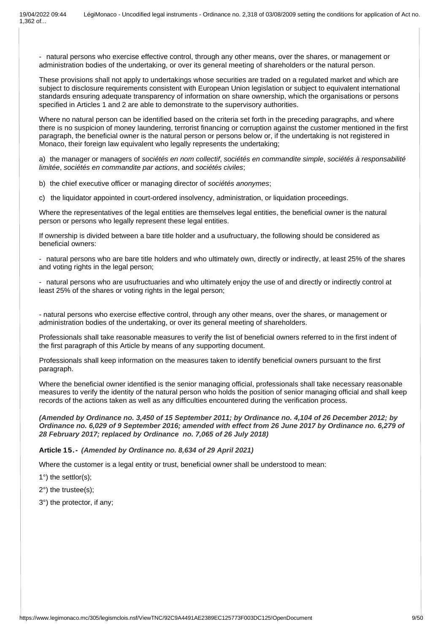- natural persons who exercise effective control, through any other means, over the shares, or management or administration bodies of the undertaking, or over its general meeting of shareholders or the natural person.

These provisions shall not apply to undertakings whose securities are traded on a regulated market and which are subject to disclosure requirements consistent with European Union legislation or subject to equivalent international standards ensuring adequate transparency of information on share ownership, which the organisations or persons specified in Articles 1 and 2 are able to demonstrate to the supervisory authorities.

Where no natural person can be identified based on the criteria set forth in the preceding paragraphs, and where there is no suspicion of money laundering, terrorist financing or corruption against the customer mentioned in the first paragraph, the beneficial owner is the natural person or persons below or, if the undertaking is not registered in Monaco, their foreign law equivalent who legally represents the undertaking;

a) the manager or managers of *sociétés en nom collectif*, *sociétés en commandite simple*, *sociétés à responsabilité limitée*, *sociétés en commandite par actions*, and *sociétés civiles*;

b) the chief executive officer or managing director of *sociétés anonymes*;

c) the liquidator appointed in court-ordered insolvency, administration, or liquidation proceedings.

Where the representatives of the legal entities are themselves legal entities, the beneficial owner is the natural person or persons who legally represent these legal entities.

If ownership is divided between a bare title holder and a usufructuary, the following should be considered as beneficial owners:

- natural persons who are bare title holders and who ultimately own, directly or indirectly, at least 25% of the shares and voting rights in the legal person;

- natural persons who are usufructuaries and who ultimately enjoy the use of and directly or indirectly control at least 25% of the shares or voting rights in the legal person;

- natural persons who exercise effective control, through any other means, over the shares, or management or administration bodies of the undertaking, or over its general meeting of shareholders.

Professionals shall take reasonable measures to verify the list of beneficial owners referred to in the first indent of the first paragraph of this Article by means of any supporting document.

Professionals shall keep information on the measures taken to identify beneficial owners pursuant to the first paragraph.

Where the beneficial owner identified is the senior managing official, professionals shall take necessary reasonable measures to verify the identity of the natural person who holds the position of senior managing official and shall keep records of the actions taken as well as any difficulties encountered during the verification process.

*(Amended by Ordinance no. 3,450 of 15 September 2011; by Ordinance no. 4,104 of 26 December 2012; by Ordinance no. 6,029 of 9 September 2016; amended with effect from 26 June 2017 by Ordinance no. 6,279 of 28 February 2017; replaced by Ordinance no. 7,065 of 26 July 2018)*

#### **Article 15.-** *(Amended by Ordinance no. 8,634 of 29 April 2021)*

Where the customer is a legal entity or trust, beneficial owner shall be understood to mean:

1°) the settlor(s);

- 2°) the trustee(s);
- 3°) the protector, if any;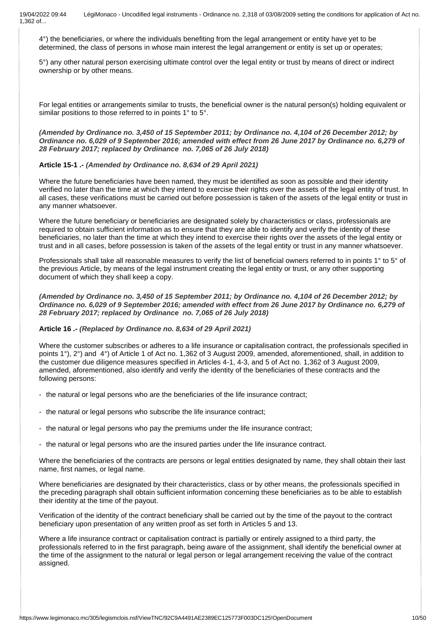4°) the beneficiaries, or where the individuals benefiting from the legal arrangement or entity have yet to be determined, the class of persons in whose main interest the legal arrangement or entity is set up or operates;

5°) any other natural person exercising ultimate control over the legal entity or trust by means of direct or indirect ownership or by other means.

For legal entities or arrangements similar to trusts, the beneficial owner is the natural person(s) holding equivalent or similar positions to those referred to in points 1° to 5°.

### *(Amended by Ordinance no. 3,450 of 15 September 2011; by Ordinance no. 4,104 of 26 December 2012; by Ordinance no. 6,029 of 9 September 2016; amended with effect from 26 June 2017 by Ordinance no. 6,279 of 28 February 2017; replaced by Ordinance no. 7,065 of 26 July 2018)*

### **Article 15-1 .-** *(Amended by Ordinance no. 8,634 of 29 April 2021)*

Where the future beneficiaries have been named, they must be identified as soon as possible and their identity verified no later than the time at which they intend to exercise their rights over the assets of the legal entity of trust. In all cases, these verifications must be carried out before possession is taken of the assets of the legal entity or trust in any manner whatsoever.

Where the future beneficiary or beneficiaries are designated solely by characteristics or class, professionals are required to obtain sufficient information as to ensure that they are able to identify and verify the identity of these beneficiaries, no later than the time at which they intend to exercise their rights over the assets of the legal entity or trust and in all cases, before possession is taken of the assets of the legal entity or trust in any manner whatsoever.

Professionals shall take all reasonable measures to verify the list of beneficial owners referred to in points 1° to 5° of the previous Article, by means of the legal instrument creating the legal entity or trust, or any other supporting document of which they shall keep a copy.

*(Amended by Ordinance no. 3,450 of 15 September 2011; by Ordinance no. 4,104 of 26 December 2012; by Ordinance no. 6,029 of 9 September 2016; amended with effect from 26 June 2017 by Ordinance no. 6,279 of 28 February 2017; replaced by Ordinance no. 7,065 of 26 July 2018)*

### **Article 16 .-** *(Replaced by Ordinance no. 8,634 of 29 April 2021)*

Where the customer subscribes or adheres to a life insurance or capitalisation contract, the professionals specified in points 1°), 2°) and 4°) of Article 1 of Act no. 1,362 of 3 August 2009, amended, aforementioned, shall, in addition to the customer due diligence measures specified in Articles 4-1, 4-3, and 5 of Act no. 1,362 of 3 August 2009, amended, aforementioned, also identify and verify the identity of the beneficiaries of these contracts and the following persons:

- the natural or legal persons who are the beneficiaries of the life insurance contract;
- the natural or legal persons who subscribe the life insurance contract;
- the natural or legal persons who pay the premiums under the life insurance contract;
- the natural or legal persons who are the insured parties under the life insurance contract.

Where the beneficiaries of the contracts are persons or legal entities designated by name, they shall obtain their last name, first names, or legal name.

Where beneficiaries are designated by their characteristics, class or by other means, the professionals specified in the preceding paragraph shall obtain sufficient information concerning these beneficiaries as to be able to establish their identity at the time of the payout.

Verification of the identity of the contract beneficiary shall be carried out by the time of the payout to the contract beneficiary upon presentation of any written proof as set forth in Articles 5 and 13.

Where a life insurance contract or capitalisation contract is partially or entirely assigned to a third party, the professionals referred to in the first paragraph, being aware of the assignment, shall identify the beneficial owner at the time of the assignment to the natural or legal person or legal arrangement receiving the value of the contract assigned.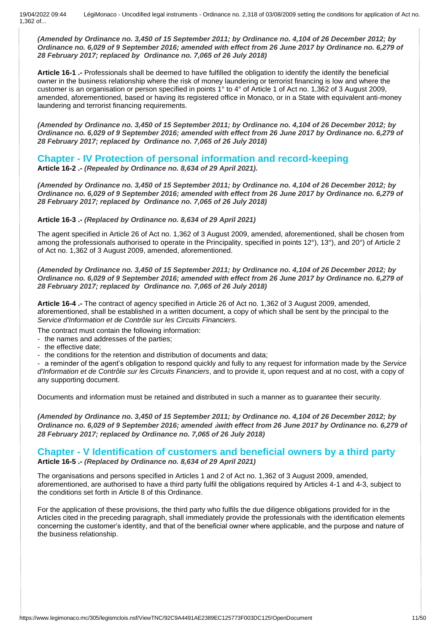*(Amended by Ordinance no. 3,450 of 15 September 2011; by Ordinance no. 4,104 of 26 December 2012; by Ordinance no. 6,029 of 9 September 2016; amended with effect from 26 June 2017 by Ordinance no. 6,279 of 28 February 2017; replaced by Ordinance no. 7,065 of 26 July 2018)*

**Article 16-1 .-** Professionals shall be deemed to have fulfilled the obligation to identify the identify the beneficial owner in the business relationship where the risk of money laundering or terrorist financing is low and where the customer is an organisation or person specified in points 1° to 4° of Article 1 of Act no. 1,362 of 3 August 2009, amended, aforementioned, based or having its registered office in Monaco, or in a State with equivalent anti-money laundering and terrorist financing requirements.

*(Amended by Ordinance no. 3,450 of 15 September 2011; by Ordinance no. 4,104 of 26 December 2012; by Ordinance no. 6,029 of 9 September 2016; amended with effect from 26 June 2017 by Ordinance no. 6,279 of 28 February 2017; replaced by Ordinance no. 7,065 of 26 July 2018)*

### **Chapter - IV Protection of personal information and record-keeping**

**Article 16-2 .-** *(Repealed by Ordinance no. 8,634 of 29 April 2021).*

*(Amended by Ordinance no. 3,450 of 15 September 2011; by Ordinance no. 4,104 of 26 December 2012; by Ordinance no. 6,029 of 9 September 2016; amended with effect from 26 June 2017 by Ordinance no. 6,279 of 28 February 2017; replaced by Ordinance no. 7,065 of 26 July 2018)*

### **Article 16-3 .-** *(Replaced by Ordinance no. 8,634 of 29 April 2021)*

The agent specified in Article 26 of Act no. 1,362 of 3 August 2009, amended, aforementioned, shall be chosen from among the professionals authorised to operate in the Principality, specified in points 12°), 13°), and 20°) of Article 2 of Act no. 1,362 of 3 August 2009, amended, aforementioned.

*(Amended by Ordinance no. 3,450 of 15 September 2011; by Ordinance no. 4,104 of 26 December 2012; by Ordinance no. 6,029 of 9 September 2016; amended with effect from 26 June 2017 by Ordinance no. 6,279 of 28 February 2017; replaced by Ordinance no. 7,065 of 26 July 2018)*

**Article 16-4 .-** The contract of agency specified in Article 26 of Act no. 1,362 of 3 August 2009, amended, aforementioned, shall be established in a written document, a copy of which shall be sent by the principal to the *Service d'Information et de Contrôle sur les Circuits Financiers*.

The contract must contain the following information:

- the names and addresses of the parties;

- the effective date;

- the conditions for the retention and distribution of documents and data;

- a reminder of the agent's obligation to respond quickly and fully to any request for information made by the *Service d'Information et de Contrôle sur les Circuits Financiers*, and to provide it, upon request and at no cost, with a copy of any supporting document.

Documents and information must be retained and distributed in such a manner as to guarantee their security.

*(Amended by Ordinance no. 3,450 of 15 September 2011; by Ordinance no. 4,104 of 26 December 2012; by Ordinance no. 6,029 of 9 September 2016; amended* **à***with effect from 26 June 2017 by Ordinance no. 6,279 of 28 February 2017; replaced by Ordinance no. 7,065 of 26 July 2018)*

### **Chapter - V Identification of customers and beneficial owners by a third party Article 16-5 .-** *(Replaced by Ordinance no. 8,634 of 29 April 2021)*

The organisations and persons specified in Articles 1 and 2 of Act no. 1,362 of 3 August 2009, amended, aforementioned, are authorised to have a third party fulfil the obligations required by Articles 4-1 and 4-3, subject to the conditions set forth in Article 8 of this Ordinance.

For the application of these provisions, the third party who fulfils the due diligence obligations provided for in the Articles cited in the preceding paragraph, shall immediately provide the professionals with the identification elements concerning the customer's identity, and that of the beneficial owner where applicable, and the purpose and nature of the business relationship.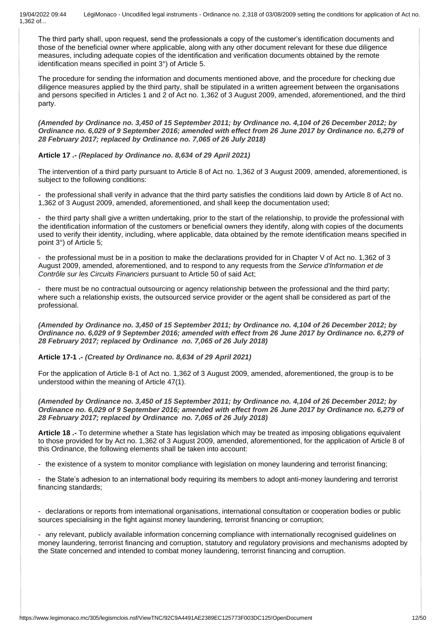The third party shall, upon request, send the professionals a copy of the customer's identification documents and those of the beneficial owner where applicable, along with any other document relevant for these due diligence measures, including adequate copies of the identification and verification documents obtained by the remote identification means specified in point 3°) of Article 5.

The procedure for sending the information and documents mentioned above, and the procedure for checking due diligence measures applied by the third party, shall be stipulated in a written agreement between the organisations and persons specified in Articles 1 and 2 of Act no. 1,362 of 3 August 2009, amended, aforementioned, and the third party.

*(Amended by Ordinance no. 3,450 of 15 September 2011; by Ordinance no. 4,104 of 26 December 2012; by Ordinance no. 6,029 of 9 September 2016; amended with effect from 26 June 2017 by Ordinance no. 6,279 of 28 February 2017; replaced by Ordinance no. 7,065 of 26 July 2018)*

### **Article 17 .-** *(Replaced by Ordinance no. 8,634 of 29 April 2021)*

The intervention of a third party pursuant to Article 8 of Act no. 1,362 of 3 August 2009, amended, aforementioned, is subject to the following conditions:

- the professional shall verify in advance that the third party satisfies the conditions laid down by Article 8 of Act no. 1,362 of 3 August 2009, amended, aforementioned, and shall keep the documentation used;

- the third party shall give a written undertaking, prior to the start of the relationship, to provide the professional with the identification information of the customers or beneficial owners they identify, along with copies of the documents used to verify their identity, including, where applicable, data obtained by the remote identification means specified in point 3°) of Article 5;

- the professional must be in a position to make the declarations provided for in Chapter V of Act no. 1,362 of 3 August 2009, amended, aforementioned, and to respond to any requests from the *Service d'Information et de Contrôle sur les Circuits Financiers* pursuant to Article 50 of said Act;

- there must be no contractual outsourcing or agency relationship between the professional and the third party; where such a relationship exists, the outsourced service provider or the agent shall be considered as part of the professional.

*(Amended by Ordinance no. 3,450 of 15 September 2011; by Ordinance no. 4,104 of 26 December 2012; by Ordinance no. 6,029 of 9 September 2016; amended with effect from 26 June 2017 by Ordinance no. 6,279 of 28 February 2017; replaced by Ordinance no. 7,065 of 26 July 2018)*

### **Article 17-1 .-** *(Created by Ordinance no. 8,634 of 29 April 2021)*

For the application of Article 8-1 of Act no. 1,362 of 3 August 2009, amended, aforementioned, the group is to be understood within the meaning of Article 47(1).

*(Amended by Ordinance no. 3,450 of 15 September 2011; by Ordinance no. 4,104 of 26 December 2012; by Ordinance no. 6,029 of 9 September 2016; amended with effect from 26 June 2017 by Ordinance no. 6,279 of 28 February 2017; replaced by Ordinance no. 7,065 of 26 July 2018)*

**Article 18 .-** To determine whether a State has legislation which may be treated as imposing obligations equivalent to those provided for by Act no. 1,362 of 3 August 2009, amended, aforementioned, for the application of Article 8 of this Ordinance, the following elements shall be taken into account:

- the existence of a system to monitor compliance with legislation on money laundering and terrorist financing;

- the State's adhesion to an international body requiring its members to adopt anti-money laundering and terrorist financing standards;

- declarations or reports from international organisations, international consultation or cooperation bodies or public sources specialising in the fight against money laundering, terrorist financing or corruption;

- any relevant, publicly available information concerning compliance with internationally recognised guidelines on money laundering, terrorist financing and corruption, statutory and regulatory provisions and mechanisms adopted by the State concerned and intended to combat money laundering, terrorist financing and corruption.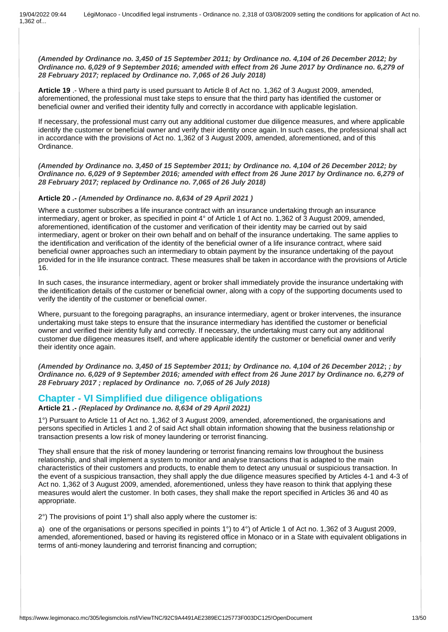*(Amended by Ordinance no. 3,450 of 15 September 2011; by Ordinance no. 4,104 of 26 December 2012; by Ordinance no. 6,029 of 9 September 2016; amended with effect from 26 June 2017 by Ordinance no. 6,279 of 28 February 2017; replaced by Ordinance no. 7,065 of 26 July 2018)*

**Article 19** .- Where a third party is used pursuant to Article 8 of Act no. 1,362 of 3 August 2009, amended, aforementioned, the professional must take steps to ensure that the third party has identified the customer or beneficial owner and verified their identity fully and correctly in accordance with applicable legislation.

If necessary, the professional must carry out any additional customer due diligence measures, and where applicable identify the customer or beneficial owner and verify their identity once again. In such cases, the professional shall act in accordance with the provisions of Act no. 1,362 of 3 August 2009, amended, aforementioned, and of this Ordinance.

*(Amended by Ordinance no. 3,450 of 15 September 2011; by Ordinance no. 4,104 of 26 December 2012; by Ordinance no. 6,029 of 9 September 2016; amended with effect from 26 June 2017 by Ordinance no. 6,279 of 28 February 2017; replaced by Ordinance no. 7,065 of 26 July 2018)*

### **Article 20 .-** *(Amended by Ordinance no. 8,634 of 29 April 2021 )*

Where a customer subscribes a life insurance contract with an insurance undertaking through an insurance intermediary, agent or broker, as specified in point 4° of Article 1 of Act no. 1,362 of 3 August 2009, amended, aforementioned, identification of the customer and verification of their identity may be carried out by said intermediary, agent or broker on their own behalf and on behalf of the insurance undertaking. The same applies to the identification and verification of the identity of the beneficial owner of a life insurance contract, where said beneficial owner approaches such an intermediary to obtain payment by the insurance undertaking of the payout provided for in the life insurance contract. These measures shall be taken in accordance with the provisions of Article 16.

In such cases, the insurance intermediary, agent or broker shall immediately provide the insurance undertaking with the identification details of the customer or beneficial owner, along with a copy of the supporting documents used to verify the identity of the customer or beneficial owner.

Where, pursuant to the foregoing paragraphs, an insurance intermediary, agent or broker intervenes, the insurance undertaking must take steps to ensure that the insurance intermediary has identified the customer or beneficial owner and verified their identity fully and correctly. If necessary, the undertaking must carry out any additional customer due diligence measures itself, and where applicable identify the customer or beneficial owner and verify their identity once again.

*(Amended by Ordinance no. 3,450 of 15 September 2011; by Ordinance no. 4,104 of 26 December 2012***;** *; by Ordinance no. 6,029 of 9 September 2016; amended with effect from 26 June 2017 by Ordinance no. 6,279 of 28 February 2017 ; replaced by Ordinance no. 7,065 of 26 July 2018)*

### **Chapter - VI Simplified due diligence obligations**

**Article 21 .-** *(Replaced by Ordinance no. 8,634 of 29 April 2021)*

1°) Pursuant to Article 11 of Act no. 1,362 of 3 August 2009, amended, aforementioned, the organisations and persons specified in Articles 1 and 2 of said Act shall obtain information showing that the business relationship or transaction presents a low risk of money laundering or terrorist financing.

They shall ensure that the risk of money laundering or terrorist financing remains low throughout the business relationship, and shall implement a system to monitor and analyse transactions that is adapted to the main characteristics of their customers and products, to enable them to detect any unusual or suspicious transaction. In the event of a suspicious transaction, they shall apply the due diligence measures specified by Articles 4-1 and 4-3 of Act no. 1,362 of 3 August 2009, amended, aforementioned, unless they have reason to think that applying these measures would alert the customer. In both cases, they shall make the report specified in Articles 36 and 40 as appropriate.

2°) The provisions of point 1°) shall also apply where the customer is:

a) one of the organisations or persons specified in points 1°) to 4°) of Article 1 of Act no. 1,362 of 3 August 2009, amended, aforementioned, based or having its registered office in Monaco or in a State with equivalent obligations in terms of anti-money laundering and terrorist financing and corruption;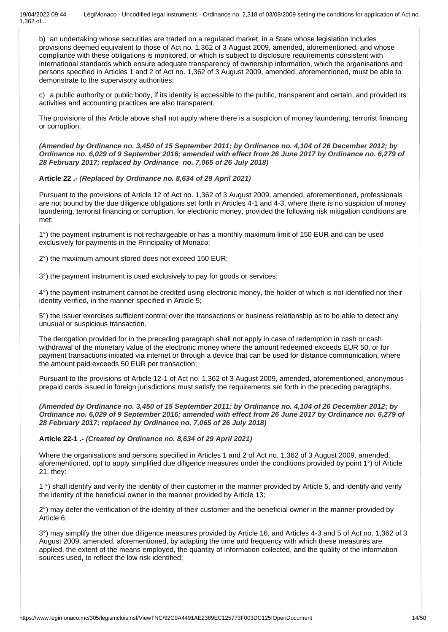b) an undertaking whose securities are traded on a regulated market, in a State whose legislation includes provisions deemed equivalent to those of Act no. 1,362 of 3 August 2009, amended, aforementioned, and whose compliance with these obligations is monitored, or which is subject to disclosure requirements consistent with international standards which ensure adequate transparency of ownership information, which the organisations and persons specified in Articles 1 and 2 of Act no. 1,362 of 3 August 2009, amended, aforementioned, must be able to demonstrate to the supervisory authorities;

c) a public authority or public body, if its identity is accessible to the public, transparent and certain, and provided its activities and accounting practices are also transparent.

The provisions of this Article above shall not apply where there is a suspicion of money laundering, terrorist financing or corruption.

*(Amended by Ordinance no. 3,450 of 15 September 2011; by Ordinance no. 4,104 of 26 December 2012; by Ordinance no. 6,029 of 9 September 2016; amended with effect from 26 June 2017 by Ordinance no. 6,279 of 28 February 2017; replaced by Ordinance no. 7,065 of 26 July 2018)*

### **Article 22 .-** *(Replaced by Ordinance no. 8,634 of 29 April 2021)*

Pursuant to the provisions of Article 12 of Act no. 1,362 of 3 August 2009, amended, aforementioned, professionals are not bound by the due diligence obligations set forth in Articles 4-1 and 4-3, where there is no suspicion of money laundering, terrorist financing or corruption, for electronic money, provided the following risk mitigation conditions are met:

1°) the payment instrument is not rechargeable or has a monthly maximum limit of 150 EUR and can be used exclusively for payments in the Principality of Monaco;

2°) the maximum amount stored does not exceed 150 EUR;

3°) the payment instrument is used exclusively to pay for goods or services;

4°) the payment instrument cannot be credited using electronic money, the holder of which is not identified nor their identity verified, in the manner specified in Article 5;

5°) the issuer exercises sufficient control over the transactions or business relationship as to be able to detect any unusual or suspicious transaction.

The derogation provided for in the preceding paragraph shall not apply in case of redemption in cash or cash withdrawal of the monetary value of the electronic money where the amount redeemed exceeds EUR 50, or for payment transactions initiated via internet or through a device that can be used for distance communication, where the amount paid exceeds 50 EUR per transaction;

Pursuant to the provisions of Article 12-1 of Act no. 1,362 of 3 August 2009, amended, aforementioned, anonymous prepaid cards issued in foreign jurisdictions must satisfy the requirements set forth in the preceding paragraphs.

*(Amended by Ordinance no. 3,450 of 15 September 2011; by Ordinance no. 4,104 of 26 December 2012***;** *by Ordinance no. 6,029 of 9 September 2016; amended with effect from 26 June 2017 by Ordinance no. 6,279 of 28 February 2017; replaced by Ordinance no. 7,065 of 26 July 2018)*

### **Article 22-1 .-** *(Created by Ordinance no. 8,634 of 29 April 2021)*

Where the organisations and persons specified in Articles 1 and 2 of Act no. 1,362 of 3 August 2009, amended, aforementioned, opt to apply simplified due diligence measures under the conditions provided by point 1°) of Article 21, they:

1 °) shall identify and verify the identity of their customer in the manner provided by Article 5, and identify and verify the identity of the beneficial owner in the manner provided by Article 13;

2°) may defer the verification of the identity of their customer and the beneficial owner in the manner provided by Article 6;

3°) may simplify the other due diligence measures provided by Article 16, and Articles 4-3 and 5 of Act no. 1,362 of 3 August 2009, amended, aforementioned, by adapting the time and frequency with which these measures are applied, the extent of the means employed, the quantity of information collected, and the quality of the information sources used, to reflect the low risk identified;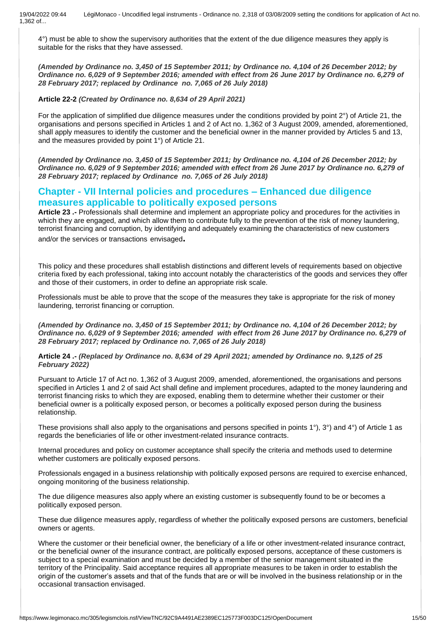4°) must be able to show the supervisory authorities that the extent of the due diligence measures they apply is suitable for the risks that they have assessed.

*(Amended by Ordinance no. 3,450 of 15 September 2011; by Ordinance no. 4,104 of 26 December 2012; by Ordinance no. 6,029 of 9 September 2016; amended with effect from 26 June 2017 by Ordinance no. 6,279 of 28 February 2017; replaced by Ordinance no. 7,065 of 26 July 2018)*

**Article 22-2** *(Created by Ordinance no. 8,634 of 29 April 2021)*

For the application of simplified due diligence measures under the conditions provided by point 2°) of Article 21, the organisations and persons specified in Articles 1 and 2 of Act no. 1,362 of 3 August 2009, amended, aforementioned, shall apply measures to identify the customer and the beneficial owner in the manner provided by Articles 5 and 13, and the measures provided by point 1°) of Article 21.

*(Amended by Ordinance no. 3,450 of 15 September 2011; by Ordinance no. 4,104 of 26 December 2012; by Ordinance no. 6,029 of 9 September 2016; amended with effect from 26 June 2017 by Ordinance no. 6,279 of 28 February 2017; replaced by Ordinance no. 7,065 of 26 July 2018)*

# **Chapter - VII Internal policies and procedures – Enhanced due diligence measures applicable to politically exposed persons**

**Article 23 .-** Professionals shall determine and implement an appropriate policy and procedures for the activities in which they are engaged, and which allow them to contribute fully to the prevention of the risk of money laundering, terrorist financing and corruption, by identifying and adequately examining the characteristics of new customers and/or the services or transactions envisaged**.** 

This policy and these procedures shall establish distinctions and different levels of requirements based on objective criteria fixed by each professional, taking into account notably the characteristics of the goods and services they offer and those of their customers, in order to define an appropriate risk scale.

Professionals must be able to prove that the scope of the measures they take is appropriate for the risk of money laundering, terrorist financing or corruption.

*(Amended by Ordinance no. 3,450 of 15 September 2011; by Ordinance no. 4,104 of 26 December 2012; by Ordinance no. 6,029 of 9 September 2016; amended with effect from 26 June 2017 by Ordinance no. 6,279 of 28 February 2017; replaced by Ordinance no. 7,065 of 26 July 2018)*

**Article 24 .-** *(Replaced by Ordinance no. 8,634 of 29 April 2021; amended by Ordinance no. 9,125 of 25 February 2022)*

Pursuant to Article 17 of Act no. 1,362 of 3 August 2009, amended, aforementioned, the organisations and persons specified in Articles 1 and 2 of said Act shall define and implement procedures, adapted to the money laundering and terrorist financing risks to which they are exposed, enabling them to determine whether their customer or their beneficial owner is a politically exposed person, or becomes a politically exposed person during the business relationship.

These provisions shall also apply to the organisations and persons specified in points 1°), 3°) and 4°) of Article 1 as regards the beneficiaries of life or other investment-related insurance contracts.

Internal procedures and policy on customer acceptance shall specify the criteria and methods used to determine whether customers are politically exposed persons.

Professionals engaged in a business relationship with politically exposed persons are required to exercise enhanced, ongoing monitoring of the business relationship.

The due diligence measures also apply where an existing customer is subsequently found to be or becomes a politically exposed person.

These due diligence measures apply, regardless of whether the politically exposed persons are customers, beneficial owners or agents.

Where the customer or their beneficial owner, the beneficiary of a life or other investment-related insurance contract, or the beneficial owner of the insurance contract, are politically exposed persons, acceptance of these customers is subject to a special examination and must be decided by a member of the senior management situated in the territory of the Principality. Said acceptance requires all appropriate measures to be taken in order to establish the origin of the customer's assets and that of the funds that are or will be involved in the business relationship or in the occasional transaction envisaged.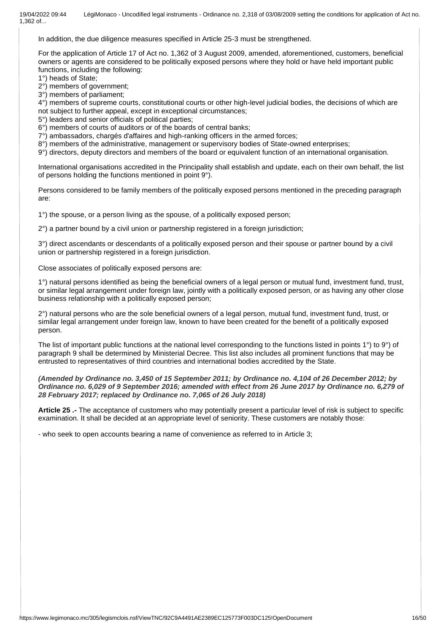In addition, the due diligence measures specified in Article 25-3 must be strengthened.

For the application of Article 17 of Act no. 1,362 of 3 August 2009, amended, aforementioned, customers, beneficial owners or agents are considered to be politically exposed persons where they hold or have held important public functions, including the following:

1°) heads of State;

2°) members of government;

3°) members of parliament;

4°) members of supreme courts, constitutional courts or other high-level judicial bodies, the decisions of which are not subject to further appeal, except in exceptional circumstances;

5°) leaders and senior officials of political parties;

6°) members of courts of auditors or of the boards of central banks;

7°) ambassadors, chargés d'affaires and high-ranking officers in the armed forces;

8°) members of the administrative, management or supervisory bodies of State-owned enterprises;

9°) directors, deputy directors and members of the board or equivalent function of an international organisation.

International organisations accredited in the Principality shall establish and update, each on their own behalf, the list of persons holding the functions mentioned in point 9°).

Persons considered to be family members of the politically exposed persons mentioned in the preceding paragraph are:

1°) the spouse, or a person living as the spouse, of a politically exposed person;

2°) a partner bound by a civil union or partnership registered in a foreign jurisdiction;

3°) direct ascendants or descendants of a politically exposed person and their spouse or partner bound by a civil union or partnership registered in a foreign jurisdiction.

Close associates of politically exposed persons are:

1°) natural persons identified as being the beneficial owners of a legal person or mutual fund, investment fund, trust, or similar legal arrangement under foreign law, jointly with a politically exposed person, or as having any other close business relationship with a politically exposed person;

2°) natural persons who are the sole beneficial owners of a legal person, mutual fund, investment fund, trust, or similar legal arrangement under foreign law, known to have been created for the benefit of a politically exposed person.

The list of important public functions at the national level corresponding to the functions listed in points 1°) to 9°) of paragraph 9 shall be determined by Ministerial Decree. This list also includes all prominent functions that may be entrusted to representatives of third countries and international bodies accredited by the State.

*(Amended by Ordinance no. 3,450 of 15 September 2011; by Ordinance no. 4,104 of 26 December 2012; by Ordinance no. 6,029 of 9 September 2016; amended with effect from 26 June 2017 by Ordinance no. 6,279 of 28 February 2017; replaced by Ordinance no. 7,065 of 26 July 2018)*

**Article 25 .-** The acceptance of customers who may potentially present a particular level of risk is subject to specific examination. It shall be decided at an appropriate level of seniority. These customers are notably those:

- who seek to open accounts bearing a name of convenience as referred to in Article 3;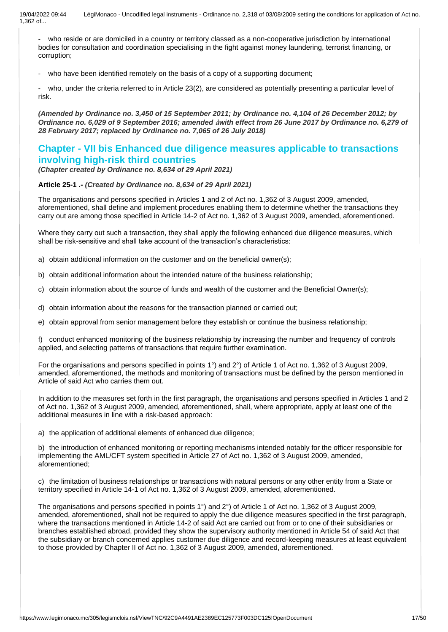- who reside or are domiciled in a country or territory classed as a non-cooperative jurisdiction by international bodies for consultation and coordination specialising in the fight against money laundering, terrorist financing, or corruption;

who have been identified remotely on the basis of a copy of a supporting document;

who, under the criteria referred to in Article 23(2), are considered as potentially presenting a particular level of risk.

*(Amended by Ordinance no. 3,450 of 15 September 2011; by Ordinance no. 4,104 of 26 December 2012; by Ordinance no. 6,029 of 9 September 2016; amended* **à***with effect from 26 June 2017 by Ordinance no. 6,279 of 28 February 2017; replaced by Ordinance no. 7,065 of 26 July 2018)*

# **Chapter - VII bis Enhanced due diligence measures applicable to transactions involving high-risk third countries**

*(Chapter created by Ordinance no. 8,634 of 29 April 2021)*

### **Article 25-1 .-** *(Created by Ordinance no. 8,634 of 29 April 2021)*

The organisations and persons specified in Articles 1 and 2 of Act no. 1,362 of 3 August 2009, amended, aforementioned, shall define and implement procedures enabling them to determine whether the transactions they carry out are among those specified in Article 14-2 of Act no. 1,362 of 3 August 2009, amended, aforementioned.

Where they carry out such a transaction, they shall apply the following enhanced due diligence measures, which shall be risk-sensitive and shall take account of the transaction's characteristics:

- a) obtain additional information on the customer and on the beneficial owner(s);
- b) obtain additional information about the intended nature of the business relationship;
- c) obtain information about the source of funds and wealth of the customer and the Beneficial Owner(s);
- d) obtain information about the reasons for the transaction planned or carried out;
- e) obtain approval from senior management before they establish or continue the business relationship;

f) conduct enhanced monitoring of the business relationship by increasing the number and frequency of controls applied, and selecting patterns of transactions that require further examination.

For the organisations and persons specified in points 1<sup>°</sup>) and 2<sup>°</sup>) of Article 1 of Act no. 1,362 of 3 August 2009, amended, aforementioned, the methods and monitoring of transactions must be defined by the person mentioned in Article of said Act who carries them out.

In addition to the measures set forth in the first paragraph, the organisations and persons specified in Articles 1 and 2 of Act no. 1,362 of 3 August 2009, amended, aforementioned, shall, where appropriate, apply at least one of the additional measures in line with a risk-based approach:

a) the application of additional elements of enhanced due diligence;

b) the introduction of enhanced monitoring or reporting mechanisms intended notably for the officer responsible for implementing the AML/CFT system specified in Article 27 of Act no. 1,362 of 3 August 2009, amended, aforementioned;

c) the limitation of business relationships or transactions with natural persons or any other entity from a State or territory specified in Article 14-1 of Act no. 1,362 of 3 August 2009, amended, aforementioned.

The organisations and persons specified in points 1°) and 2°) of Article 1 of Act no. 1,362 of 3 August 2009, amended, aforementioned, shall not be required to apply the due diligence measures specified in the first paragraph, where the transactions mentioned in Article 14-2 of said Act are carried out from or to one of their subsidiaries or branches established abroad, provided they show the supervisory authority mentioned in Article 54 of said Act that the subsidiary or branch concerned applies customer due diligence and record-keeping measures at least equivalent to those provided by Chapter II of Act no. 1,362 of 3 August 2009, amended, aforementioned.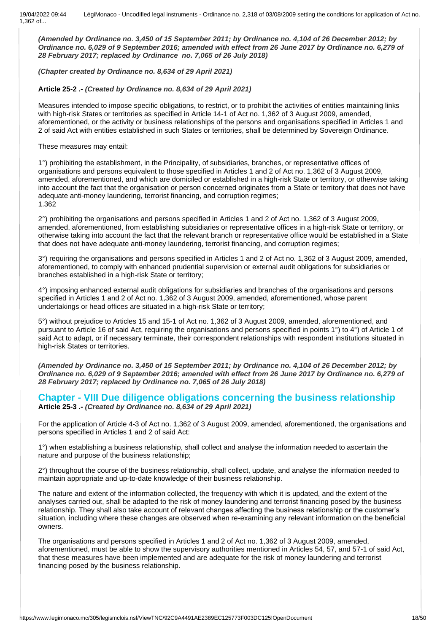*(Amended by Ordinance no. 3,450 of 15 September 2011; by Ordinance no. 4,104 of 26 December 2012; by Ordinance no. 6,029 of 9 September 2016; amended with effect from 26 June 2017 by Ordinance no. 6,279 of 28 February 2017; replaced by Ordinance no. 7,065 of 26 July 2018)*

*(Chapter created by Ordinance no. 8,634 of 29 April 2021)*

### **Article 25-2 .-** *(Created by Ordinance no. 8,634 of 29 April 2021)*

Measures intended to impose specific obligations, to restrict, or to prohibit the activities of entities maintaining links with high-risk States or territories as specified in Article 14-1 of Act no. 1,362 of 3 August 2009, amended, aforementioned, or the activity or business relationships of the persons and organisations specified in Articles 1 and 2 of said Act with entities established in such States or territories, shall be determined by Sovereign Ordinance.

These measures may entail:

1°) prohibiting the establishment, in the Principality, of subsidiaries, branches, or representative offices of organisations and persons equivalent to those specified in Articles 1 and 2 of Act no. 1,362 of 3 August 2009, amended, aforementioned, and which are domiciled or established in a high-risk State or territory, or otherwise taking into account the fact that the organisation or person concerned originates from a State or territory that does not have adequate anti-money laundering, terrorist financing, and corruption regimes; 1.362

2°) prohibiting the organisations and persons specified in Articles 1 and 2 of Act no. 1,362 of 3 August 2009, amended, aforementioned, from establishing subsidiaries or representative offices in a high-risk State or territory, or otherwise taking into account the fact that the relevant branch or representative office would be established in a State that does not have adequate anti-money laundering, terrorist financing, and corruption regimes;

3°) requiring the organisations and persons specified in Articles 1 and 2 of Act no. 1,362 of 3 August 2009, amended, aforementioned, to comply with enhanced prudential supervision or external audit obligations for subsidiaries or branches established in a high-risk State or territory;

4°) imposing enhanced external audit obligations for subsidiaries and branches of the organisations and persons specified in Articles 1 and 2 of Act no. 1,362 of 3 August 2009, amended, aforementioned, whose parent undertakings or head offices are situated in a high-risk State or territory;

5°) without prejudice to Articles 15 and 15-1 of Act no. 1,362 of 3 August 2009, amended, aforementioned, and pursuant to Article 16 of said Act, requiring the organisations and persons specified in points 1°) to 4°) of Article 1 of said Act to adapt, or if necessary terminate, their correspondent relationships with respondent institutions situated in high-risk States or territories.

*(Amended by Ordinance no. 3,450 of 15 September 2011; by Ordinance no. 4,104 of 26 December 2012; by Ordinance no. 6,029 of 9 September 2016; amended with effect from 26 June 2017 by Ordinance no. 6,279 of 28 February 2017; replaced by Ordinance no. 7,065 of 26 July 2018)*

# **Chapter - VIII Due diligence obligations concerning the business relationship**

**Article 25-3 .-** *(Created by Ordinance no. 8,634 of 29 April 2021)*

For the application of Article 4-3 of Act no. 1,362 of 3 August 2009, amended, aforementioned, the organisations and persons specified in Articles 1 and 2 of said Act:

1°) when establishing a business relationship, shall collect and analyse the information needed to ascertain the nature and purpose of the business relationship;

2°) throughout the course of the business relationship, shall collect, update, and analyse the information needed to maintain appropriate and up-to-date knowledge of their business relationship.

The nature and extent of the information collected, the frequency with which it is updated, and the extent of the analyses carried out, shall be adapted to the risk of money laundering and terrorist financing posed by the business relationship. They shall also take account of relevant changes affecting the business relationship or the customer's situation, including where these changes are observed when re-examining any relevant information on the beneficial owners.

The organisations and persons specified in Articles 1 and 2 of Act no. 1,362 of 3 August 2009, amended, aforementioned, must be able to show the supervisory authorities mentioned in Articles 54, 57, and 57-1 of said Act, that these measures have been implemented and are adequate for the risk of money laundering and terrorist financing posed by the business relationship.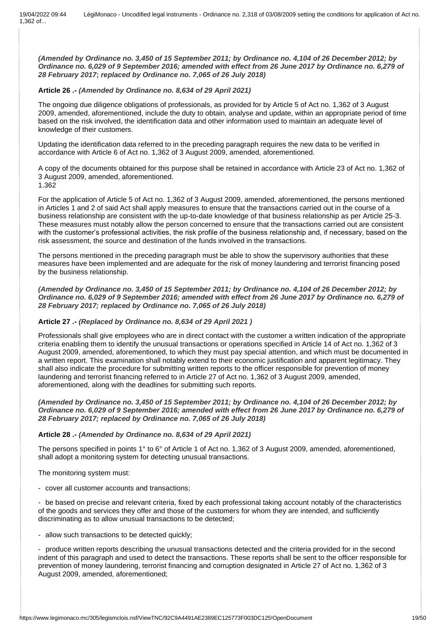*(Amended by Ordinance no. 3,450 of 15 September 2011; by Ordinance no. 4,104 of 26 December 2012; by Ordinance no. 6,029 of 9 September 2016; amended with effect from 26 June 2017 by Ordinance no. 6,279 of 28 February 2017***;** *replaced by Ordinance no. 7,065 of 26 July 2018)*

### **Article 26 .-** *(Amended by Ordinance no. 8,634 of 29 April 2021)*

The ongoing due diligence obligations of professionals, as provided for by Article 5 of Act no. 1,362 of 3 August 2009, amended, aforementioned, include the duty to obtain, analyse and update, within an appropriate period of time based on the risk involved, the identification data and other information used to maintain an adequate level of knowledge of their customers.

Updating the identification data referred to in the preceding paragraph requires the new data to be verified in accordance with Article 6 of Act no. 1,362 of 3 August 2009, amended, aforementioned.

A copy of the documents obtained for this purpose shall be retained in accordance with Article 23 of Act no. 1,362 of 3 August 2009, amended, aforementioned.

1.362

For the application of Article 5 of Act no. 1,362 of 3 August 2009, amended, aforementioned, the persons mentioned in Articles 1 and 2 of said Act shall apply measures to ensure that the transactions carried out in the course of a business relationship are consistent with the up-to-date knowledge of that business relationship as per Article 25-3. These measures must notably allow the person concerned to ensure that the transactions carried out are consistent with the customer's professional activities, the risk profile of the business relationship and, if necessary, based on the risk assessment, the source and destination of the funds involved in the transactions.

The persons mentioned in the preceding paragraph must be able to show the supervisory authorities that these measures have been implemented and are adequate for the risk of money laundering and terrorist financing posed by the business relationship.

*(Amended by Ordinance no. 3,450 of 15 September 2011; by Ordinance no. 4,104 of 26 December 2012; by Ordinance no. 6,029 of 9 September 2016; amended with effect from 26 June 2017 by Ordinance no. 6,279 of 28 February 2017; replaced by Ordinance no. 7,065 of 26 July 2018)*

### **Article 27 .-** *(Replaced by Ordinance no. 8,634 of 29 April 2021 )*

Professionals shall give employees who are in direct contact with the customer a written indication of the appropriate criteria enabling them to identify the unusual transactions or operations specified in Article 14 of Act no. 1,362 of 3 August 2009, amended, aforementioned, to which they must pay special attention, and which must be documented in a written report. This examination shall notably extend to their economic justification and apparent legitimacy. They shall also indicate the procedure for submitting written reports to the officer responsible for prevention of money laundering and terrorist financing referred to in Article 27 of Act no. 1,362 of 3 August 2009, amended, aforementioned, along with the deadlines for submitting such reports.

*(Amended by Ordinance no. 3,450 of 15 September 2011; by Ordinance no. 4,104 of 26 December 2012; by Ordinance no. 6,029 of 9 September 2016; amended with effect from 26 June 2017 by Ordinance no. 6,279 of 28 February 2017; replaced by Ordinance no. 7,065 of 26 July 2018)*

#### **Article 28 .-** *(Amended by Ordinance no. 8,634 of 29 April 2021)*

The persons specified in points 1° to 6° of Article 1 of Act no. 1,362 of 3 August 2009, amended, aforementioned, shall adopt a monitoring system for detecting unusual transactions.

#### The monitoring system must:

- cover all customer accounts and transactions;

- be based on precise and relevant criteria, fixed by each professional taking account notably of the characteristics of the goods and services they offer and those of the customers for whom they are intended, and sufficiently discriminating as to allow unusual transactions to be detected;

- allow such transactions to be detected quickly;

- produce written reports describing the unusual transactions detected and the criteria provided for in the second indent of this paragraph and used to detect the transactions. These reports shall be sent to the officer responsible for prevention of money laundering, terrorist financing and corruption designated in Article 27 of Act no. 1,362 of 3 August 2009, amended, aforementioned;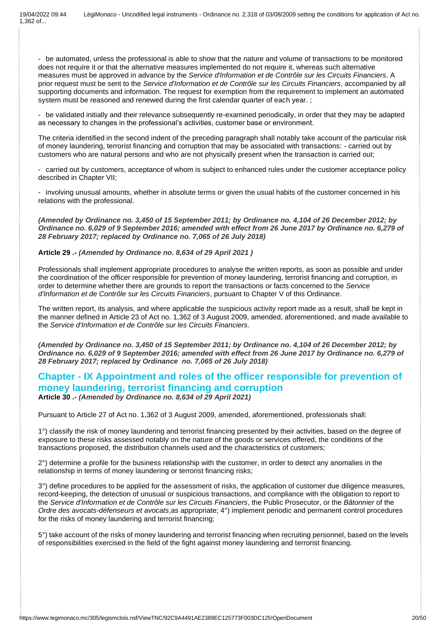- be automated, unless the professional is able to show that the nature and volume of transactions to be monitored does not require it or that the alternative measures implemented do not require it, whereas such alternative measures must be approved in advance by the *Service d'Information et de Contrôle sur les Circuits Financiers*. A prior request must be sent to the *Service d'Information et de Contrôle sur les Circuits Financiers*, accompanied by all supporting documents and information. The request for exemption from the requirement to implement an automated system must be reasoned and renewed during the first calendar quarter of each year.;

- be validated initially and their relevance subsequently re-examined periodically, in order that they may be adapted as necessary to changes in the professional's activities, customer base or environment.

The criteria identified in the second indent of the preceding paragraph shall notably take account of the particular risk of money laundering, terrorist financing and corruption that may be associated with transactions: - carried out by customers who are natural persons and who are not physically present when the transaction is carried out;

- carried out by customers, acceptance of whom is subject to enhanced rules under the customer acceptance policy described in Chapter VII;

- involving unusual amounts, whether in absolute terms or given the usual habits of the customer concerned in his relations with the professional.

*(Amended by Ordinance no. 3,450 of 15 September 2011; by Ordinance no. 4,104 of 26 December 2012; by Ordinance no. 6,029 of 9 September 2016; amended with effect from 26 June 2017 by Ordinance no. 6,279 of 28 February 2017; replaced by Ordinance no. 7,065 of 26 July 2018)*

### **Article 29 .-** *(Amended by Ordinance no. 8,634 of 29 April 2021 )*

Professionals shall implement appropriate procedures to analyse the written reports, as soon as possible and under the coordination of the officer responsible for prevention of money laundering, terrorist financing and corruption, in order to determine whether there are grounds to report the transactions or facts concerned to the *Service d'Information et de Contrôle sur les Circuits Financiers*, pursuant to Chapter V of this Ordinance.

The written report, its analysis, and where applicable the suspicious activity report made as a result, shall be kept in the manner defined in Article 23 of Act no. 1,362 of 3 August 2009, amended, aforementioned, and made available to the *Service d'Information et de Contrôle sur les Circuits Financiers*.

*(Amended by Ordinance no. 3,450 of 15 September 2011; by Ordinance no. 4,104 of 26 December 2012; by Ordinance no. 6,029 of 9 September 2016; amended with effect from 26 June 2017 by Ordinance no. 6,279 of 28 February 2017; replaced by Ordinance no. 7,065 of 26 July 2018)*

### **Chapter - IX Appointment and roles of the officer responsible for prevention of money laundering, terrorist financing and corruption Article 30 .-** *(Amended by Ordinance no. 8,634 of 29 April 2021)*

Pursuant to Article 27 of Act no. 1,362 of 3 August 2009, amended, aforementioned, professionals shall:

1°) classify the risk of money laundering and terrorist financing presented by their activities, based on the degree of exposure to these risks assessed notably on the nature of the goods or services offered, the conditions of the transactions proposed, the distribution channels used and the characteristics of customers;

2°) determine a profile for the business relationship with the customer, in order to detect any anomalies in the relationship in terms of money laundering or terrorist financing risks;

3°) define procedures to be applied for the assessment of risks, the application of customer due diligence measures, record-keeping, the detection of unusual or suspicious transactions, and compliance with the obligation to report to the *Service d'Information et de Contrôle sur les Circuits Financiers*, the Public Prosecutor, or the *Bâtonnier* of the *Ordre des avocats-défenseurs et avocats*,as appropriate; 4°) implement periodic and permanent control procedures for the risks of money laundering and terrorist financing;

5°) take account of the risks of money laundering and terrorist financing when recruiting personnel, based on the levels of responsibilities exercised in the field of the fight against money laundering and terrorist financing.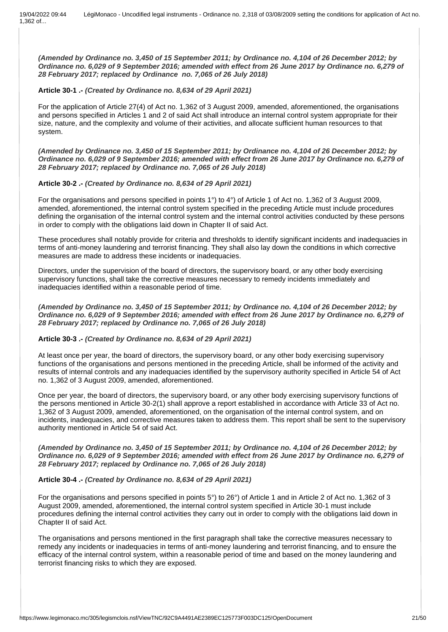*(Amended by Ordinance no. 3,450 of 15 September 2011; by Ordinance no. 4,104 of 26 December 2012; by Ordinance no. 6,029 of 9 September 2016; amended with effect from 26 June 2017 by Ordinance no. 6,279 of 28 February 2017; replaced by Ordinance no. 7,065 of 26 July 2018)*

### **Article 30-1 .-** *(Created by Ordinance no. 8,634 of 29 April 2021)*

For the application of Article 27(4) of Act no. 1,362 of 3 August 2009, amended, aforementioned, the organisations and persons specified in Articles 1 and 2 of said Act shall introduce an internal control system appropriate for their size, nature, and the complexity and volume of their activities, and allocate sufficient human resources to that system.

*(Amended by Ordinance no. 3,450 of 15 September 2011; by Ordinance no. 4,104 of 26 December 2012; by Ordinance no. 6,029 of 9 September 2016; amended with effect from 26 June 2017 by Ordinance no. 6,279 of 28 February 2017; replaced by Ordinance no. 7,065 of 26 July 2018)*

### **Article 30-2 .-** *(Created by Ordinance no. 8,634 of 29 April 2021)*

For the organisations and persons specified in points 1<sup>°</sup>) to 4<sup>°</sup>) of Article 1 of Act no. 1,362 of 3 August 2009, amended, aforementioned, the internal control system specified in the preceding Article must include procedures defining the organisation of the internal control system and the internal control activities conducted by these persons in order to comply with the obligations laid down in Chapter II of said Act.

These procedures shall notably provide for criteria and thresholds to identify significant incidents and inadequacies in terms of anti-money laundering and terrorist financing. They shall also lay down the conditions in which corrective measures are made to address these incidents or inadequacies.

Directors, under the supervision of the board of directors, the supervisory board, or any other body exercising supervisory functions, shall take the corrective measures necessary to remedy incidents immediately and inadequacies identified within a reasonable period of time.

*(Amended by Ordinance no. 3,450 of 15 September 2011; by Ordinance no. 4,104 of 26 December 2012; by Ordinance no. 6,029 of 9 September 2016; amended with effect from 26 June 2017 by Ordinance no. 6,279 of 28 February 2017; replaced by Ordinance no. 7,065 of 26 July 2018)*

#### **Article 30-3 .-** *(Created by Ordinance no. 8,634 of 29 April 2021)*

At least once per year, the board of directors, the supervisory board, or any other body exercising supervisory functions of the organisations and persons mentioned in the preceding Article, shall be informed of the activity and results of internal controls and any inadequacies identified by the supervisory authority specified in Article 54 of Act no. 1,362 of 3 August 2009, amended, aforementioned.

Once per year, the board of directors, the supervisory board, or any other body exercising supervisory functions of the persons mentioned in Article 30-2(1) shall approve a report established in accordance with Article 33 of Act no. 1,362 of 3 August 2009, amended, aforementioned, on the organisation of the internal control system, and on incidents, inadequacies, and corrective measures taken to address them. This report shall be sent to the supervisory authority mentioned in Article 54 of said Act.

*(Amended by Ordinance no. 3,450 of 15 September 2011; by Ordinance no. 4,104 of 26 December 2012; by Ordinance no. 6,029 of 9 September 2016; amended with effect from 26 June 2017 by Ordinance no. 6,279 of 28 February 2017; replaced by Ordinance no. 7,065 of 26 July 2018)*

### **Article 30-4 .-** *(Created by Ordinance no. 8,634 of 29 April 2021)*

For the organisations and persons specified in points 5°) to 26°) of Article 1 and in Article 2 of Act no. 1,362 of 3 August 2009, amended, aforementioned, the internal control system specified in Article 30-1 must include procedures defining the internal control activities they carry out in order to comply with the obligations laid down in Chapter II of said Act.

The organisations and persons mentioned in the first paragraph shall take the corrective measures necessary to remedy any incidents or inadequacies in terms of anti-money laundering and terrorist financing, and to ensure the efficacy of the internal control system, within a reasonable period of time and based on the money laundering and terrorist financing risks to which they are exposed.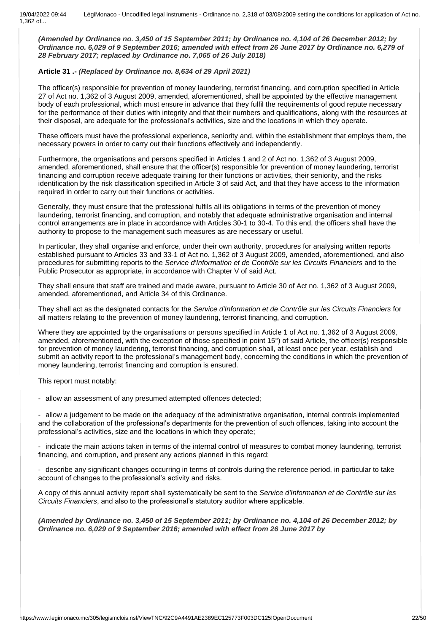*(Amended by Ordinance no. 3,450 of 15 September 2011; by Ordinance no. 4,104 of 26 December 2012; by Ordinance no. 6,029 of 9 September 2016; amended with effect from 26 June 2017 by Ordinance no. 6,279 of 28 February 2017; replaced by Ordinance no. 7,065 of 26 July 2018)*

### **Article 31 .-** *(Replaced by Ordinance no. 8,634 of 29 April 2021)*

The officer(s) responsible for prevention of money laundering, terrorist financing, and corruption specified in Article 27 of Act no. 1,362 of 3 August 2009, amended, aforementioned, shall be appointed by the effective management body of each professional, which must ensure in advance that they fulfil the requirements of good repute necessary for the performance of their duties with integrity and that their numbers and qualifications, along with the resources at their disposal, are adequate for the professional's activities, size and the locations in which they operate.

These officers must have the professional experience, seniority and, within the establishment that employs them, the necessary powers in order to carry out their functions effectively and independently.

Furthermore, the organisations and persons specified in Articles 1 and 2 of Act no. 1,362 of 3 August 2009, amended, aforementioned, shall ensure that the officer(s) responsible for prevention of money laundering, terrorist financing and corruption receive adequate training for their functions or activities, their seniority, and the risks identification by the risk classification specified in Article 3 of said Act, and that they have access to the information required in order to carry out their functions or activities.

Generally, they must ensure that the professional fulfils all its obligations in terms of the prevention of money laundering, terrorist financing, and corruption, and notably that adequate administrative organisation and internal control arrangements are in place in accordance with Articles 30-1 to 30-4. To this end, the officers shall have the authority to propose to the management such measures as are necessary or useful.

In particular, they shall organise and enforce, under their own authority, procedures for analysing written reports established pursuant to Articles 33 and 33-1 of Act no. 1,362 of 3 August 2009, amended, aforementioned, and also procedures for submitting reports to the *Service d'Information et de Contrôle sur les Circuits Financiers* and to the Public Prosecutor as appropriate, in accordance with Chapter V of said Act.

They shall ensure that staff are trained and made aware, pursuant to Article 30 of Act no. 1,362 of 3 August 2009, amended, aforementioned, and Article 34 of this Ordinance.

They shall act as the designated contacts for the *Service d'Information et de Contrôle sur les Circuits Financiers* for all matters relating to the prevention of money laundering, terrorist financing, and corruption.

Where they are appointed by the organisations or persons specified in Article 1 of Act no. 1,362 of 3 August 2009, amended, aforementioned, with the exception of those specified in point 15°) of said Article, the officer(s) responsible for prevention of money laundering, terrorist financing, and corruption shall, at least once per year, establish and submit an activity report to the professional's management body, concerning the conditions in which the prevention of money laundering, terrorist financing and corruption is ensured.

This report must notably:

- allow an assessment of any presumed attempted offences detected;

- allow a judgement to be made on the adequacy of the administrative organisation, internal controls implemented and the collaboration of the professional's departments for the prevention of such offences, taking into account the professional's activities, size and the locations in which they operate;

indicate the main actions taken in terms of the internal control of measures to combat money laundering, terrorist financing, and corruption, and present any actions planned in this regard;

- describe any significant changes occurring in terms of controls during the reference period, in particular to take account of changes to the professional's activity and risks.

A copy of this annual activity report shall systematically be sent to the *Service d'Information et de Contrôle sur les Circuits Financiers*, and also to the professional's statutory auditor where applicable.

*(Amended by Ordinance no. 3,450 of 15 September 2011; by Ordinance no. 4,104 of 26 December 2012; by Ordinance no. 6,029 of 9 September 2016; amended with effect from 26 June 2017 by*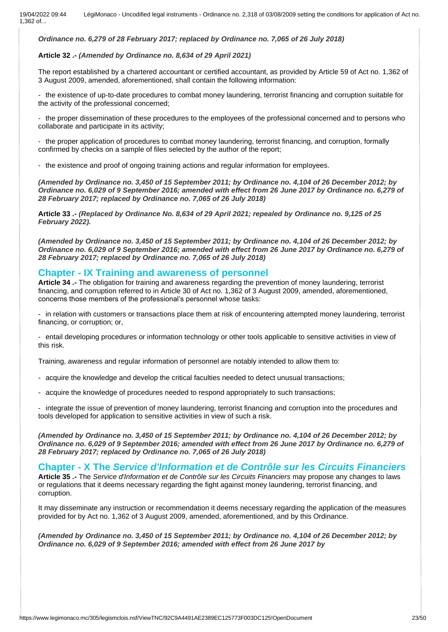*Ordinance no. 6,279 of 28 February 2017; replaced by Ordinance no. 7,065 of 26 July 2018)* 

### **Article 32 .-** *(Amended by Ordinance no. 8,634 of 29 April 2021)*

The report established by a chartered accountant or certified accountant, as provided by Article 59 of Act no. 1,362 of 3 August 2009, amended, aforementioned, shall contain the following information:

- the existence of up-to-date procedures to combat money laundering, terrorist financing and corruption suitable for the activity of the professional concerned;

- the proper dissemination of these procedures to the employees of the professional concerned and to persons who collaborate and participate in its activity;

- the proper application of procedures to combat money laundering, terrorist financing, and corruption, formally confirmed by checks on a sample of files selected by the author of the report;

- the existence and proof of ongoing training actions and regular information for employees.

*(Amended by Ordinance no. 3,450 of 15 September 2011; by Ordinance no. 4,104 of 26 December 2012; by Ordinance no. 6,029 of 9 September 2016; amended with effect from 26 June 2017 by Ordinance no. 6,279 of 28 February 2017; replaced by Ordinance no. 7,065 of 26 July 2018)*

**Article 33 .-** *(Replaced by Ordinance No. 8,634 of 29 April 2021; repealed by Ordinance no. 9,125 of 25 February 2022).*

*(Amended by Ordinance no. 3,450 of 15 September 2011; by Ordinance no. 4,104 of 26 December 2012; by Ordinance no. 6,029 of 9 September 2016; amended with effect from 26 June 2017 by Ordinance no. 6,279 of 28 February 2017; replaced by Ordinance no. 7,065 of 26 July 2018)*

### **Chapter - IX Training and awareness of personnel**

**Article 34 .-** The obligation for training and awareness regarding the prevention of money laundering, terrorist financing, and corruption referred to in Article 30 of Act no. 1,362 of 3 August 2009, amended, aforementioned, concerns those members of the professional's personnel whose tasks:

- in relation with customers or transactions place them at risk of encountering attempted money laundering, terrorist financing, or corruption; or,

- entail developing procedures or information technology or other tools applicable to sensitive activities in view of this risk.

Training, awareness and regular information of personnel are notably intended to allow them to:

- acquire the knowledge and develop the critical faculties needed to detect unusual transactions;
- acquire the knowledge of procedures needed to respond appropriately to such transactions;

- integrate the issue of prevention of money laundering, terrorist financing and corruption into the procedures and tools developed for application to sensitive activities in view of such a risk.

*(Amended by Ordinance no. 3,450 of 15 September 2011; by Ordinance no. 4,104 of 26 December 2012; by Ordinance no. 6,029 of 9 September 2016; amended with effect from 26 June 2017 by Ordinance no. 6,279 of 28 February 2017; replaced by Ordinance no. 7,065 of 26 July 2018)*

### **Chapter - X The** *Service d'Information et de Contrôle sur les Circuits Financiers*

**Article 35 .-** The *Service d'Information et de Contrôle sur les Circuits Financiers* may propose any changes to laws or regulations that it deems necessary regarding the fight against money laundering, terrorist financing, and corruption.

It may disseminate any instruction or recommendation it deems necessary regarding the application of the measures provided for by Act no. 1,362 of 3 August 2009, amended, aforementioned, and by this Ordinance.

*(Amended by Ordinance no. 3,450 of 15 September 2011; by Ordinance no. 4,104 of 26 December 2012; by Ordinance no. 6,029 of 9 September 2016; amended with effect from 26 June 2017 by*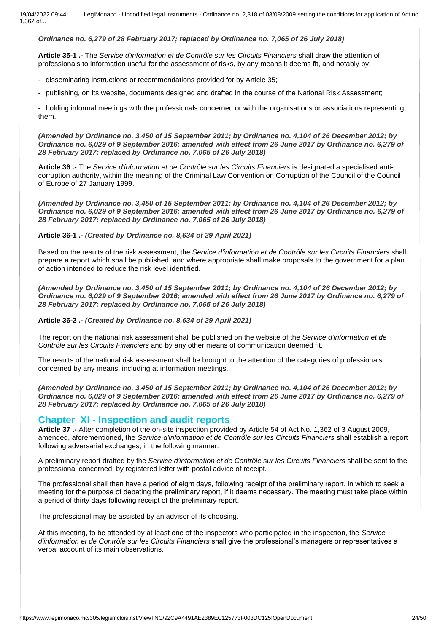### *Ordinance no. 6,279 of 28 February 2017; replaced by Ordinance no. 7,065 of 26 July 2018)*

**Article 35-1 .-** The *Service d'information et de Contrôle sur les Circuits Financiers* shall draw the attention of professionals to information useful for the assessment of risks, by any means it deems fit, and notably by:

- disseminating instructions or recommendations provided for by Article 35;
- publishing, on its website, documents designed and drafted in the course of the National Risk Assessment;

- holding informal meetings with the professionals concerned or with the organisations or associations representing them.

*(Amended by Ordinance no. 3,450 of 15 September 2011; by Ordinance no. 4,104 of 26 December 2012; by Ordinance no. 6,029 of 9 September 2016; amended with effect from 26 June 2017 by Ordinance no. 6,279 of 28 February 2017; replaced by Ordinance no. 7,065 of 26 July 2018)*

**Article 36 .-** The *Service d'information et de Contrôle sur les Circuits Financiers* is designated a specialised anticorruption authority, within the meaning of the Criminal Law Convention on Corruption of the Council of the Council of Europe of 27 January 1999.

*(Amended by Ordinance no. 3,450 of 15 September 2011; by Ordinance no. 4,104 of 26 December 2012; by Ordinance no. 6,029 of 9 September 2016; amended with effect from 26 June 2017 by Ordinance no. 6,279 of 28 February 2017; replaced by Ordinance no. 7,065 of 26 July 2018)*

### **Article 36-1 .-** *(Created by Ordinance no. 8,634 of 29 April 2021)*

Based on the results of the risk assessment, the *Service d'information et de Contrôle sur les Circuits Financiers* shall prepare a report which shall be published, and where appropriate shall make proposals to the government for a plan of action intended to reduce the risk level identified.

*(Amended by Ordinance no. 3,450 of 15 September 2011; by Ordinance no. 4,104 of 26 December 2012; by Ordinance no. 6,029 of 9 September 2016; amended with effect from 26 June 2017 by Ordinance no. 6,279 of 28 February 2017; replaced by Ordinance no. 7,065 of 26 July 2018)*

**Article 36-2 .-** *(Created by Ordinance no. 8,634 of 29 April 2021)*

The report on the national risk assessment shall be published on the website of the *Service d'information et de Contrôle sur les Circuits Financiers* and by any other means of communication deemed fit.

The results of the national risk assessment shall be brought to the attention of the categories of professionals concerned by any means, including at information meetings.

*(Amended by Ordinance no. 3,450 of 15 September 2011; by Ordinance no. 4,104 of 26 December 2012; by Ordinance no. 6,029 of 9 September 2016; amended with effect from 26 June 2017 by Ordinance no. 6,279 of 28 February 2017; replaced by Ordinance no. 7,065 of 26 July 2018)*

### **Chapter XI - Inspection and audit reports**

**Article 37 .-** After completion of the on-site inspection provided by Article 54 of Act No. 1,362 of 3 August 2009, amended, aforementioned, the *Service d'information et de Contrôle sur les Circuits Financiers* shall establish a report following adversarial exchanges, in the following manner:

A preliminary report drafted by the *Service d'information et de Contrôle sur les Circuits Financiers* shall be sent to the professional concerned, by registered letter with postal advice of receipt.

The professional shall then have a period of eight days, following receipt of the preliminary report, in which to seek a meeting for the purpose of debating the preliminary report, if it deems necessary. The meeting must take place within a period of thirty days following receipt of the preliminary report.

The professional may be assisted by an advisor of its choosing.

At this meeting, to be attended by at least one of the inspectors who participated in the inspection, the *Service d'information et de Contrôle sur les Circuits Financiers* shall give the professional's managers or representatives a verbal account of its main observations.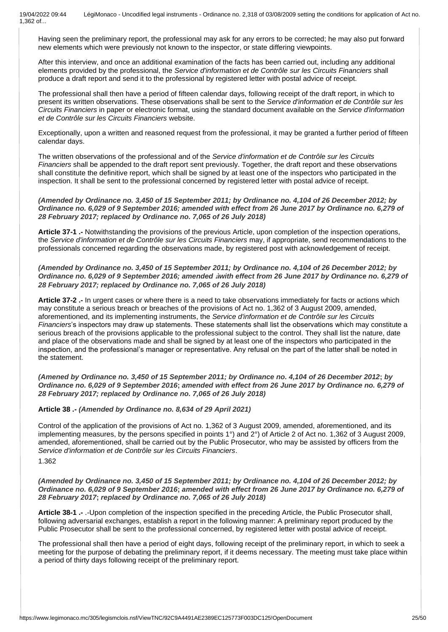Having seen the preliminary report, the professional may ask for any errors to be corrected; he may also put forward new elements which were previously not known to the inspector, or state differing viewpoints.

After this interview, and once an additional examination of the facts has been carried out, including any additional elements provided by the professional, the *Service d'information et de Contrôle sur les Circuits Financiers* shall produce a draft report and send it to the professional by registered letter with postal advice of receipt.

The professional shall then have a period of fifteen calendar days, following receipt of the draft report, in which to present its written observations. These observations shall be sent to the *Service d'information et de Contrôle sur les Circuits Financiers* in paper or electronic format, using the standard document available on the *Service d'information et de Contrôle sur les Circuits Financiers* website.

Exceptionally, upon a written and reasoned request from the professional, it may be granted a further period of fifteen calendar days.

The written observations of the professional and of the *Service d'information et de Contrôle sur les Circuits Financiers* shall be appended to the draft report sent previously. Together, the draft report and these observations shall constitute the definitive report, which shall be signed by at least one of the inspectors who participated in the inspection. It shall be sent to the professional concerned by registered letter with postal advice of receipt.

*(Amended by Ordinance no. 3,450 of 15 September 2011; by Ordinance no. 4,104 of 26 December 2012; by Ordinance no. 6,029 of 9 September 2016; amended with effect from 26 June 2017 by Ordinance no. 6,279 of 28 February 2017; replaced by Ordinance no. 7,065 of 26 July 2018)*

**Article 37-1 .-** Notwithstanding the provisions of the previous Article, upon completion of the inspection operations, the *Service d'information et de Contrôle sur les Circuits Financiers* may, if appropriate, send recommendations to the professionals concerned regarding the observations made, by registered post with acknowledgement of receipt.

*(Amended by Ordinance no. 3,450 of 15 September 2011; by Ordinance no. 4,104 of 26 December 2012; by Ordinance no. 6,029 of 9 September 2016; amended* **à***with effect from 26 June 2017 by Ordinance no. 6,279 of 28 February 2017; replaced by Ordinance no. 7,065 of 26 July 2018)*

**Article 37-2 .-** In urgent cases or where there is a need to take observations immediately for facts or actions which may constitute a serious breach or breaches of the provisions of Act no. 1,362 of 3 August 2009, amended, aforementioned, and its implementing instruments, the *Service d'information et de Contrôle sur les Circuits Financiers*'s inspectors may draw up statements. These statements shall list the observations which may constitute a serious breach of the provisions applicable to the professional subject to the control. They shall list the nature, date and place of the observations made and shall be signed by at least one of the inspectors who participated in the inspection, and the professional's manager or representative. Any refusal on the part of the latter shall be noted in the statement.

*(Amened by Ordinance no. 3,450 of 15 September 2011; by Ordinance no. 4,104 of 26 December 2012***;** *by Ordinance no. 6,029 of 9 September 2016***;** *amended with effect from 26 June 2017 by Ordinance no. 6,279 of 28 February 2017; replaced by Ordinance no. 7,065 of 26 July 2018)*

**Article 38 .-** *(Amended by Ordinance no. 8,634 of 29 April 2021)*

Control of the application of the provisions of Act no. 1,362 of 3 August 2009, amended, aforementioned, and its implementing measures, by the persons specified in points 1°) and 2°) of Article 2 of Act no. 1,362 of 3 August 2009, amended, aforementioned, shall be carried out by the Public Prosecutor, who may be assisted by officers from the *Service d'information et de Contrôle sur les Circuits Financiers*. 1.362

*(Amended by Ordinance no. 3,450 of 15 September 2011; by Ordinance no. 4,104 of 26 December 2012; by Ordinance no. 6,029 of 9 September 2016***;** *amended with effect from 26 June 2017 by Ordinance no. 6,279 of 28 February 2017***;** *replaced by Ordinance no. 7,065 of 26 July 2018)*

**Article 38-1 .-** .-Upon completion of the inspection specified in the preceding Article, the Public Prosecutor shall, following adversarial exchanges, establish a report in the following manner: A preliminary report produced by the Public Prosecutor shall be sent to the professional concerned, by registered letter with postal advice of receipt.

The professional shall then have a period of eight days, following receipt of the preliminary report, in which to seek a meeting for the purpose of debating the preliminary report, if it deems necessary. The meeting must take place within a period of thirty days following receipt of the preliminary report.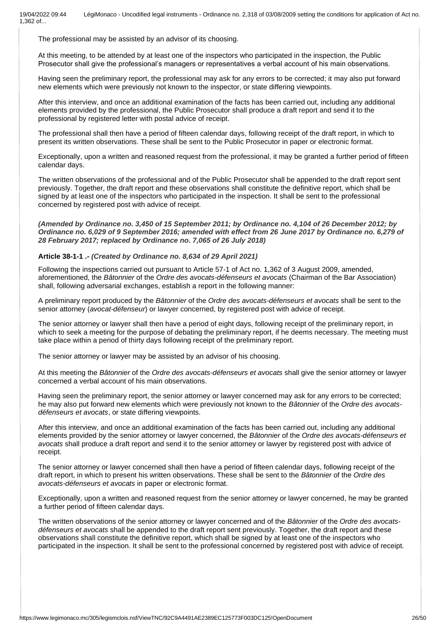The professional may be assisted by an advisor of its choosing.

At this meeting, to be attended by at least one of the inspectors who participated in the inspection, the Public Prosecutor shall give the professional's managers or representatives a verbal account of his main observations.

Having seen the preliminary report, the professional may ask for any errors to be corrected; it may also put forward new elements which were previously not known to the inspector, or state differing viewpoints.

After this interview, and once an additional examination of the facts has been carried out, including any additional elements provided by the professional, the Public Prosecutor shall produce a draft report and send it to the professional by registered letter with postal advice of receipt.

The professional shall then have a period of fifteen calendar days, following receipt of the draft report, in which to present its written observations. These shall be sent to the Public Prosecutor in paper or electronic format.

Exceptionally, upon a written and reasoned request from the professional, it may be granted a further period of fifteen calendar days.

The written observations of the professional and of the Public Prosecutor shall be appended to the draft report sent previously. Together, the draft report and these observations shall constitute the definitive report, which shall be signed by at least one of the inspectors who participated in the inspection. It shall be sent to the professional concerned by registered post with advice of receipt.

*(Amended by Ordinance no. 3,450 of 15 September 2011; by Ordinance no. 4,104 of 26 December 2012; by Ordinance no. 6,029 of 9 September 2016; amended with effect from 26 June 2017 by Ordinance no. 6,279 of 28 February 2017; replaced by Ordinance no. 7,065 of 26 July 2018)*

### **Article 38-1-1 .-** *(Created by Ordinance no. 8,634 of 29 April 2021)*

Following the inspections carried out pursuant to Article 57-1 of Act no. 1,362 of 3 August 2009, amended, aforementioned, the *Bâtonnier* of the *Ordre des avocats-défenseurs et avocats* (Chairman of the Bar Association) shall, following adversarial exchanges, establish a report in the following manner:

A preliminary report produced by the *Bâtonnier* of the *Ordre des avocats-défenseurs et avocats* shall be sent to the senior attorney (*avocat-défenseur*) or lawyer concerned, by registered post with advice of receipt.

The senior attorney or lawyer shall then have a period of eight days, following receipt of the preliminary report, in which to seek a meeting for the purpose of debating the preliminary report, if he deems necessary. The meeting must take place within a period of thirty days following receipt of the preliminary report.

The senior attorney or lawyer may be assisted by an advisor of his choosing.

At this meeting the *Bâtonnier* of the *Ordre des avocats-défenseurs et avocats* shall give the senior attorney or lawyer concerned a verbal account of his main observations.

Having seen the preliminary report, the senior attorney or lawyer concerned may ask for any errors to be corrected; he may also put forward new elements which were previously not known to the *Bâtonnier* of the *Ordre des avocatsdéfenseurs et avocats*, or state differing viewpoints.

After this interview, and once an additional examination of the facts has been carried out, including any additional elements provided by the senior attorney or lawyer concerned, the *Bâtonnier* of the *Ordre des avocats-défenseurs et avocats* shall produce a draft report and send it to the senior attorney or lawyer by registered post with advice of receipt.

The senior attorney or lawyer concerned shall then have a period of fifteen calendar days, following receipt of the draft report, in which to present his written observations. These shall be sent to the *Bâtonnier* of the *Ordre des avocats-défenseurs et avocats* in paper or electronic format.

Exceptionally, upon a written and reasoned request from the senior attorney or lawyer concerned, he may be granted a further period of fifteen calendar days.

The written observations of the senior attorney or lawyer concerned and of the *Bâtonnier* of the *Ordre des avocatsdéfenseurs et avocats* shall be appended to the draft report sent previously. Together, the draft report and these observations shall constitute the definitive report, which shall be signed by at least one of the inspectors who participated in the inspection. It shall be sent to the professional concerned by registered post with advice of receipt.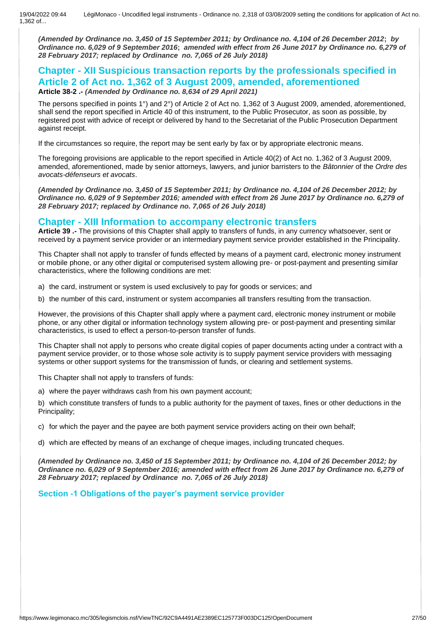*(Amended by Ordinance no. 3,450 of 15 September 2011; by Ordinance no. 4,104 of 26 December 2012***;** *by Ordinance no. 6,029 of 9 September 2016***;** *amended with effect from 26 June 2017 by Ordinance no. 6,279 of 28 February 2017; replaced by Ordinance no. 7,065 of 26 July 2018)*

### **Chapter - XII Suspicious transaction reports by the professionals specified in Article 2 of Act no. 1,362 of 3 August 2009, amended, aforementioned Article 38-2 .-** *(Amended by Ordinance no. 8,634 of 29 April 2021)*

The persons specified in points 1°) and 2°) of Article 2 of Act no. 1,362 of 3 August 2009, amended, aforementioned, shall send the report specified in Article 40 of this instrument, to the Public Prosecutor, as soon as possible, by registered post with advice of receipt or delivered by hand to the Secretariat of the Public Prosecution Department against receipt.

If the circumstances so require, the report may be sent early by fax or by appropriate electronic means.

The foregoing provisions are applicable to the report specified in Article 40(2) of Act no. 1,362 of 3 August 2009, amended, aforementioned, made by senior attorneys, lawyers, and junior barristers to the *Bâtonnier* of the *Ordre des avocats-défenseurs et avocats*.

*(Amended by Ordinance no. 3,450 of 15 September 2011; by Ordinance no. 4,104 of 26 December 2012; by Ordinance no. 6,029 of 9 September 2016; amended with effect from 26 June 2017 by Ordinance no. 6,279 of 28 February 2017; replaced by Ordinance no. 7,065 of 26 July 2018)*

## **Chapter - XIII Information to accompany electronic transfers**

**Article 39 .-** The provisions of this Chapter shall apply to transfers of funds, in any currency whatsoever, sent or received by a payment service provider or an intermediary payment service provider established in the Principality.

This Chapter shall not apply to transfer of funds effected by means of a payment card, electronic money instrument or mobile phone, or any other digital or computerised system allowing pre- or post-payment and presenting similar characteristics, where the following conditions are met:

- a) the card, instrument or system is used exclusively to pay for goods or services; and
- b) the number of this card, instrument or system accompanies all transfers resulting from the transaction.

However, the provisions of this Chapter shall apply where a payment card, electronic money instrument or mobile phone, or any other digital or information technology system allowing pre- or post-payment and presenting similar characteristics, is used to effect a person-to-person transfer of funds.

This Chapter shall not apply to persons who create digital copies of paper documents acting under a contract with a payment service provider, or to those whose sole activity is to supply payment service providers with messaging systems or other support systems for the transmission of funds, or clearing and settlement systems.

This Chapter shall not apply to transfers of funds:

a) where the payer withdraws cash from his own payment account;

b) which constitute transfers of funds to a public authority for the payment of taxes, fines or other deductions in the Principality;

c) for which the payer and the payee are both payment service providers acting on their own behalf;

d) which are effected by means of an exchange of cheque images, including truncated cheques.

*(Amended by Ordinance no. 3,450 of 15 September 2011; by Ordinance no. 4,104 of 26 December 2012; by Ordinance no. 6,029 of 9 September 2016; amended with effect from 26 June 2017 by Ordinance no. 6,279 of 28 February 2017; replaced by Ordinance no. 7,065 of 26 July 2018)*

**Section -1 Obligations of the payer's payment service provider**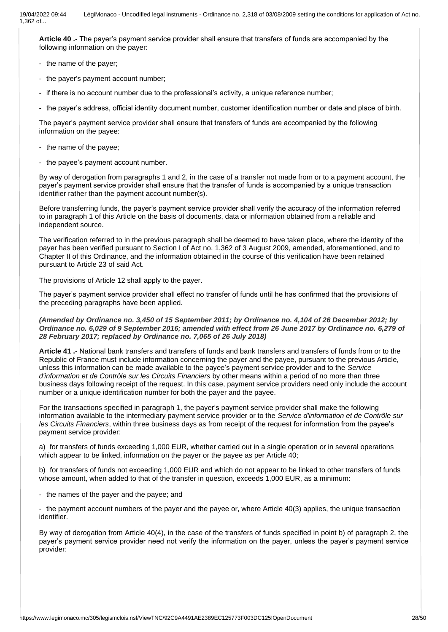**Article 40 .-** The payer's payment service provider shall ensure that transfers of funds are accompanied by the following information on the payer:

- the name of the payer;
- the payer's payment account number;
- if there is no account number due to the professional's activity, a unique reference number;
- the payer's address, official identity document number, customer identification number or date and place of birth.

The payer's payment service provider shall ensure that transfers of funds are accompanied by the following information on the payee:

- the name of the payee;
- the payee's payment account number.

By way of derogation from paragraphs 1 and 2, in the case of a transfer not made from or to a payment account, the payer's payment service provider shall ensure that the transfer of funds is accompanied by a unique transaction identifier rather than the payment account number(s).

Before transferring funds, the payer's payment service provider shall verify the accuracy of the information referred to in paragraph 1 of this Article on the basis of documents, data or information obtained from a reliable and independent source.

The verification referred to in the previous paragraph shall be deemed to have taken place, where the identity of the payer has been verified pursuant to Section I of Act no. 1,362 of 3 August 2009, amended, aforementioned, and to Chapter II of this Ordinance, and the information obtained in the course of this verification have been retained pursuant to Article 23 of said Act.

The provisions of Article 12 shall apply to the payer.

The payer's payment service provider shall effect no transfer of funds until he has confirmed that the provisions of the preceding paragraphs have been applied.

*(Amended by Ordinance no. 3,450 of 15 September 2011; by Ordinance no. 4,104 of 26 December 2012; by Ordinance no. 6,029 of 9 September 2016; amended with effect from 26 June 2017 by Ordinance no. 6,279 of 28 February 2017; replaced by Ordinance no. 7,065 of 26 July 2018)*

**Article 41 .-** National bank transfers and transfers of funds and bank transfers and transfers of funds from or to the Republic of France must include information concerning the payer and the payee, pursuant to the previous Article, unless this information can be made available to the payee's payment service provider and to the *Service d'information et de Contrôle sur les Circuits Financiers* by other means within a period of no more than three business days following receipt of the request. In this case, payment service providers need only include the account number or a unique identification number for both the payer and the payee.

For the transactions specified in paragraph 1, the payer's payment service provider shall make the following information available to the intermediary payment service provider or to the *Service d'information et de Contrôle sur les Circuits Financiers*, within three business days as from receipt of the request for information from the payee's payment service provider:

a) for transfers of funds exceeding 1,000 EUR, whether carried out in a single operation or in several operations which appear to be linked, information on the payer or the payee as per Article 40;

b) for transfers of funds not exceeding 1,000 EUR and which do not appear to be linked to other transfers of funds whose amount, when added to that of the transfer in question, exceeds 1,000 EUR, as a minimum:

- the names of the payer and the payee; and

- the payment account numbers of the payer and the payee or, where Article 40(3) applies, the unique transaction identifier.

By way of derogation from Article 40(4), in the case of the transfers of funds specified in point b) of paragraph 2, the payer's payment service provider need not verify the information on the payer, unless the payer's payment service provider: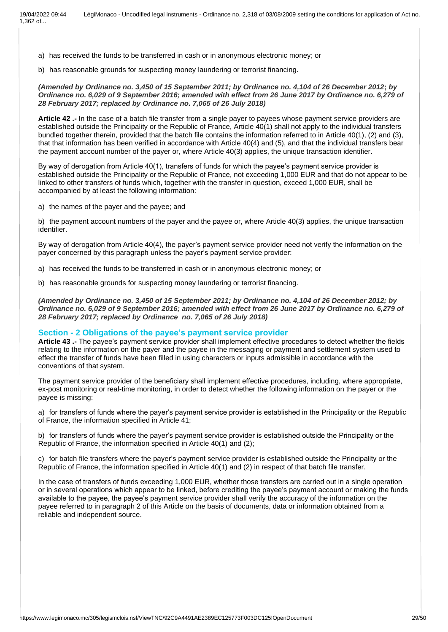- a) has received the funds to be transferred in cash or in anonymous electronic money; or
- b) has reasonable grounds for suspecting money laundering or terrorist financing.

#### *(Amended by Ordinance no. 3,450 of 15 September 2011; by Ordinance no. 4,104 of 26 December 2012***;** *by Ordinance no. 6,029 of 9 September 2016; amended with effect from 26 June 2017 by Ordinance no. 6,279 of 28 February 2017; replaced by Ordinance no. 7,065 of 26 July 2018)*

**Article 42 .-** In the case of a batch file transfer from a single payer to payees whose payment service providers are established outside the Principality or the Republic of France, Article 40(1) shall not apply to the individual transfers bundled together therein, provided that the batch file contains the information referred to in Article 40(1), (2) and (3), that that information has been verified in accordance with Article 40(4) and (5), and that the individual transfers bear the payment account number of the payer or, where Article 40(3) applies, the unique transaction identifier.

By way of derogation from Article 40(1), transfers of funds for which the payee's payment service provider is established outside the Principality or the Republic of France, not exceeding 1,000 EUR and that do not appear to be linked to other transfers of funds which, together with the transfer in question, exceed 1,000 EUR, shall be accompanied by at least the following information:

a) the names of the payer and the payee; and

b) the payment account numbers of the payer and the payee or, where Article 40(3) applies, the unique transaction identifier.

By way of derogation from Article 40(4), the payer's payment service provider need not verify the information on the payer concerned by this paragraph unless the payer's payment service provider:

- a) has received the funds to be transferred in cash or in anonymous electronic money; or
- b) has reasonable grounds for suspecting money laundering or terrorist financing.

*(Amended by Ordinance no. 3,450 of 15 September 2011; by Ordinance no. 4,104 of 26 December 2012; by Ordinance no. 6,029 of 9 September 2016; amended with effect from 26 June 2017 by Ordinance no. 6,279 of 28 February 2017; replaced by Ordinance no. 7,065 of 26 July 2018)*

#### **Section - 2 Obligations of the payee's payment service provider**

**Article 43 .-** The payee's payment service provider shall implement effective procedures to detect whether the fields relating to the information on the payer and the payee in the messaging or payment and settlement system used to effect the transfer of funds have been filled in using characters or inputs admissible in accordance with the conventions of that system.

The payment service provider of the beneficiary shall implement effective procedures, including, where appropriate, ex-post monitoring or real-time monitoring, in order to detect whether the following information on the payer or the payee is missing:

a) for transfers of funds where the payer's payment service provider is established in the Principality or the Republic of France, the information specified in Article 41;

b) for transfers of funds where the payer's payment service provider is established outside the Principality or the Republic of France, the information specified in Article 40(1) and (2);

c) for batch file transfers where the payer's payment service provider is established outside the Principality or the Republic of France, the information specified in Article 40(1) and (2) in respect of that batch file transfer.

In the case of transfers of funds exceeding 1,000 EUR, whether those transfers are carried out in a single operation or in several operations which appear to be linked, before crediting the payee's payment account or making the funds available to the payee, the payee's payment service provider shall verify the accuracy of the information on the payee referred to in paragraph 2 of this Article on the basis of documents, data or information obtained from a reliable and independent source.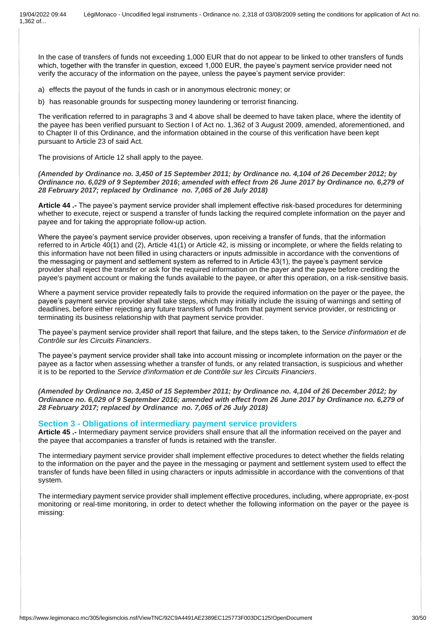In the case of transfers of funds not exceeding 1,000 EUR that do not appear to be linked to other transfers of funds which, together with the transfer in question, exceed 1,000 EUR, the payee's payment service provider need not verify the accuracy of the information on the payee, unless the payee's payment service provider:

a) effects the payout of the funds in cash or in anonymous electronic money; or

b) has reasonable grounds for suspecting money laundering or terrorist financing.

The verification referred to in paragraphs 3 and 4 above shall be deemed to have taken place, where the identity of the payee has been verified pursuant to Section I of Act no. 1,362 of 3 August 2009, amended, aforementioned, and to Chapter II of this Ordinance, and the information obtained in the course of this verification have been kept pursuant to Article 23 of said Act.

The provisions of Article 12 shall apply to the payee.

*(Amended by Ordinance no. 3,450 of 15 September 2011; by Ordinance no. 4,104 of 26 December 2012; by Ordinance no. 6,029 of 9 September 2016***;** *amended with effect from 26 June 2017 by Ordinance no. 6,279 of 28 February 2017; replaced by Ordinance no. 7,065 of 26 July 2018)*

**Article 44 .-** The payee's payment service provider shall implement effective risk-based procedures for determining whether to execute, reject or suspend a transfer of funds lacking the required complete information on the payer and payee and for taking the appropriate follow-up action.

Where the payee's payment service provider observes, upon receiving a transfer of funds, that the information referred to in Article 40(1) and (2), Article 41(1) or Article 42, is missing or incomplete, or where the fields relating to this information have not been filled in using characters or inputs admissible in accordance with the conventions of the messaging or payment and settlement system as referred to in Article 43(1), the payee's payment service provider shall reject the transfer or ask for the required information on the payer and the payee before crediting the payee's payment account or making the funds available to the payee, or after this operation, on a risk-sensitive basis.

Where a payment service provider repeatedly fails to provide the required information on the payer or the payee, the payee's payment service provider shall take steps, which may initially include the issuing of warnings and setting of deadlines, before either rejecting any future transfers of funds from that payment service provider, or restricting or terminating its business relationship with that payment service provider.

The payee's payment service provider shall report that failure, and the steps taken, to the *Service d'information et de Contrôle sur les Circuits Financiers*.

The payee's payment service provider shall take into account missing or incomplete information on the payer or the payee as a factor when assessing whether a transfer of funds, or any related transaction, is suspicious and whether it is to be reported to the *Service d'information et de Contrôle sur les Circuits Financiers*.

*(Amended by Ordinance no. 3,450 of 15 September 2011; by Ordinance no. 4,104 of 26 December 2012; by Ordinance no. 6,029 of 9 September 2016; amended with effect from 26 June 2017 by Ordinance no. 6,279 of 28 February 2017; replaced by Ordinance no. 7,065 of 26 July 2018)*

### **Section 3 - Obligations of intermediary payment service providers**

**Article 45 .-** Intermediary payment service providers shall ensure that all the information received on the payer and the payee that accompanies a transfer of funds is retained with the transfer.

The intermediary payment service provider shall implement effective procedures to detect whether the fields relating to the information on the payer and the payee in the messaging or payment and settlement system used to effect the transfer of funds have been filled in using characters or inputs admissible in accordance with the conventions of that system.

The intermediary payment service provider shall implement effective procedures, including, where appropriate, ex-post monitoring or real-time monitoring, in order to detect whether the following information on the payer or the payee is missing: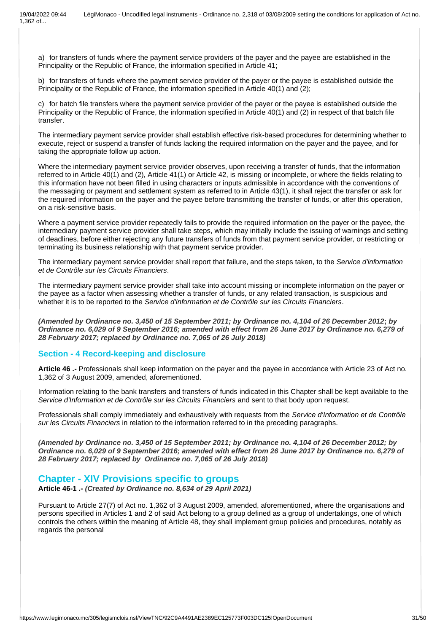a) for transfers of funds where the payment service providers of the payer and the payee are established in the Principality or the Republic of France, the information specified in Article 41;

b) for transfers of funds where the payment service provider of the payer or the payee is established outside the Principality or the Republic of France, the information specified in Article 40(1) and (2);

c) for batch file transfers where the payment service provider of the payer or the payee is established outside the Principality or the Republic of France, the information specified in Article 40(1) and (2) in respect of that batch file transfer.

The intermediary payment service provider shall establish effective risk-based procedures for determining whether to execute, reject or suspend a transfer of funds lacking the required information on the payer and the payee, and for taking the appropriate follow up action.

Where the intermediary payment service provider observes, upon receiving a transfer of funds, that the information referred to in Article 40(1) and (2), Article 41(1) or Article 42, is missing or incomplete, or where the fields relating to this information have not been filled in using characters or inputs admissible in accordance with the conventions of the messaging or payment and settlement system as referred to in Article 43(1), it shall reject the transfer or ask for the required information on the payer and the payee before transmitting the transfer of funds, or after this operation, on a risk-sensitive basis.

Where a payment service provider repeatedly fails to provide the required information on the payer or the payee, the intermediary payment service provider shall take steps, which may initially include the issuing of warnings and setting of deadlines, before either rejecting any future transfers of funds from that payment service provider, or restricting or terminating its business relationship with that payment service provider.

The intermediary payment service provider shall report that failure, and the steps taken, to the *Service d'information et de Contrôle sur les Circuits Financiers*.

The intermediary payment service provider shall take into account missing or incomplete information on the payer or the payee as a factor when assessing whether a transfer of funds, or any related transaction, is suspicious and whether it is to be reported to the *Service d'information et de Contrôle sur les Circuits Financiers*.

*(Amended by Ordinance no. 3,450 of 15 September 2011; by Ordinance no. 4,104 of 26 December 2012***;** *by Ordinance no. 6,029 of 9 September 2016; amended with effect from 26 June 2017 by Ordinance no. 6,279 of 28 February 2017; replaced by Ordinance no. 7,065 of 26 July 2018)*

### **Section - 4 Record-keeping and disclosure**

**Article 46 .-** Professionals shall keep information on the payer and the payee in accordance with Article 23 of Act no. 1,362 of 3 August 2009, amended, aforementioned.

Information relating to the bank transfers and transfers of funds indicated in this Chapter shall be kept available to the *Service d'Information et de Contrôle sur les Circuits Financiers* and sent to that body upon request.

Professionals shall comply immediately and exhaustively with requests from the *Service d'Information et de Contrôle sur les Circuits Financiers* in relation to the information referred to in the preceding paragraphs.

*(Amended by Ordinance no. 3,450 of 15 September 2011; by Ordinance no. 4,104 of 26 December 2012; by Ordinance no. 6,029 of 9 September 2016; amended with effect from 26 June 2017 by Ordinance no. 6,279 of 28 February 2017; replaced by Ordinance no. 7,065 of 26 July 2018)*

# **Chapter - XIV Provisions specific to groups**

**Article 46-1 .-** *(Created by Ordinance no. 8,634 of 29 April 2021)*

Pursuant to Article 27(7) of Act no. 1,362 of 3 August 2009, amended, aforementioned, where the organisations and persons specified in Articles 1 and 2 of said Act belong to a group defined as a group of undertakings, one of which controls the others within the meaning of Article 48, they shall implement group policies and procedures, notably as regards the personal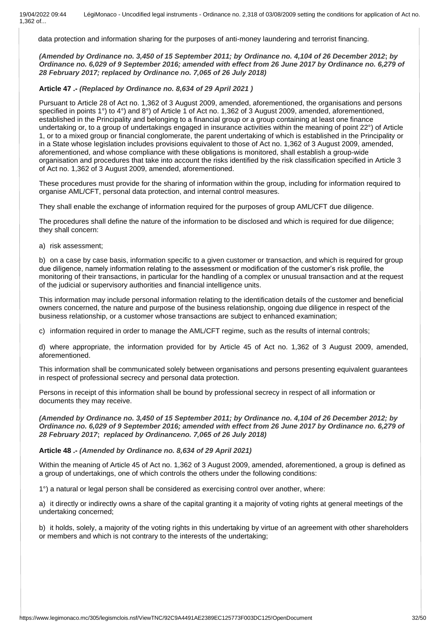data protection and information sharing for the purposes of anti-money laundering and terrorist financing.

*(Amended by Ordinance no. 3,450 of 15 September 2011; by Ordinance no. 4,104 of 26 December 2012***;** *by Ordinance no. 6,029 of 9 September 2016; amended with effect from 26 June 2017 by Ordinance no. 6,279 of 28 February 2017; replaced by Ordinance no. 7,065 of 26 July 2018)*

### **Article 47 .-** *(Replaced by Ordinance no. 8,634 of 29 April 2021 )*

Pursuant to Article 28 of Act no. 1,362 of 3 August 2009, amended, aforementioned, the organisations and persons specified in points 1°) to 4°) and 8°) of Article 1 of Act no. 1,362 of 3 August 2009, amended, aforementioned, established in the Principality and belonging to a financial group or a group containing at least one finance undertaking or, to a group of undertakings engaged in insurance activities within the meaning of point 22°) of Article 1, or to a mixed group or financial conglomerate, the parent undertaking of which is established in the Principality or in a State whose legislation includes provisions equivalent to those of Act no. 1,362 of 3 August 2009, amended, aforementioned, and whose compliance with these obligations is monitored, shall establish a group-wide organisation and procedures that take into account the risks identified by the risk classification specified in Article 3 of Act no. 1,362 of 3 August 2009, amended, aforementioned.

These procedures must provide for the sharing of information within the group, including for information required to organise AML/CFT, personal data protection, and internal control measures.

They shall enable the exchange of information required for the purposes of group AML/CFT due diligence.

The procedures shall define the nature of the information to be disclosed and which is required for due diligence; they shall concern:

a) risk assessment;

b) on a case by case basis, information specific to a given customer or transaction, and which is required for group due diligence, namely information relating to the assessment or modification of the customer's risk profile, the monitoring of their transactions, in particular for the handling of a complex or unusual transaction and at the request of the judicial or supervisory authorities and financial intelligence units.

This information may include personal information relating to the identification details of the customer and beneficial owners concerned, the nature and purpose of the business relationship, ongoing due diligence in respect of the business relationship, or a customer whose transactions are subject to enhanced examination;

c) information required in order to manage the AML/CFT regime, such as the results of internal controls;

d) where appropriate, the information provided for by Article 45 of Act no. 1,362 of 3 August 2009, amended, aforementioned.

This information shall be communicated solely between organisations and persons presenting equivalent guarantees in respect of professional secrecy and personal data protection.

Persons in receipt of this information shall be bound by professional secrecy in respect of all information or documents they may receive.

*(Amended by Ordinance no. 3,450 of 15 September 2011; by Ordinance no. 4,104 of 26 December 2012; by Ordinance no. 6,029 of 9 September 2016; amended with effect from 26 June 2017 by Ordinance no. 6,279 of 28 February 2017***;** *replaced by Ordinanceno. 7,065 of 26 July 2018)*

**Article 48 .-** *(Amended by Ordinance no. 8,634 of 29 April 2021)*

Within the meaning of Article 45 of Act no. 1,362 of 3 August 2009, amended, aforementioned, a group is defined as a group of undertakings, one of which controls the others under the following conditions:

1°) a natural or legal person shall be considered as exercising control over another, where:

a) it directly or indirectly owns a share of the capital granting it a majority of voting rights at general meetings of the undertaking concerned;

b) it holds, solely, a majority of the voting rights in this undertaking by virtue of an agreement with other shareholders or members and which is not contrary to the interests of the undertaking;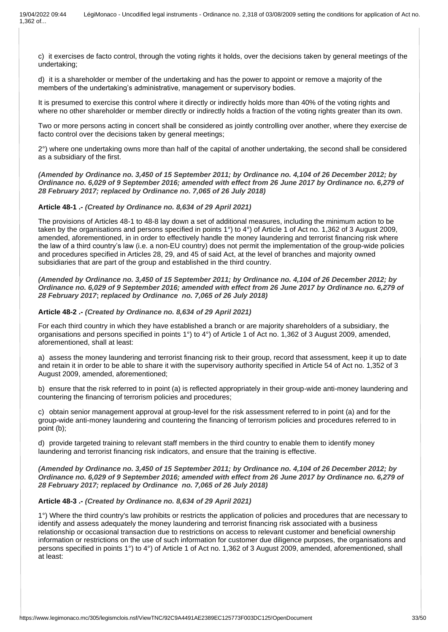c) it exercises de facto control, through the voting rights it holds, over the decisions taken by general meetings of the undertaking;

d) it is a shareholder or member of the undertaking and has the power to appoint or remove a majority of the members of the undertaking's administrative, management or supervisory bodies.

It is presumed to exercise this control where it directly or indirectly holds more than 40% of the voting rights and where no other shareholder or member directly or indirectly holds a fraction of the voting rights greater than its own.

Two or more persons acting in concert shall be considered as jointly controlling over another, where they exercise de facto control over the decisions taken by general meetings;

2°) where one undertaking owns more than half of the capital of another undertaking, the second shall be considered as a subsidiary of the first.

*(Amended by Ordinance no. 3,450 of 15 September 2011; by Ordinance no. 4,104 of 26 December 2012; by Ordinance no. 6,029 of 9 September 2016; amended with effect from 26 June 2017 by Ordinance no. 6,279 of 28 February 2017; replaced by Ordinance no. 7,065 of 26 July 2018)*

**Article 48-1 .-** *(Created by Ordinance no. 8,634 of 29 April 2021)*

The provisions of Articles 48-1 to 48-8 lay down a set of additional measures, including the minimum action to be taken by the organisations and persons specified in points 1°) to 4°) of Article 1 of Act no. 1,362 of 3 August 2009, amended, aforementioned, in in order to effectively handle the money laundering and terrorist financing risk where the law of a third country's law (i.e. a non-EU country) does not permit the implementation of the group-wide policies and procedures specified in Articles 28, 29, and 45 of said Act, at the level of branches and majority owned subsidiaries that are part of the group and established in the third country.

*(Amended by Ordinance no. 3,450 of 15 September 2011; by Ordinance no. 4,104 of 26 December 2012; by Ordinance no. 6,029 of 9 September 2016; amended with effect from 26 June 2017 by Ordinance no. 6,279 of 28 February 2017***;** *replaced by Ordinance no. 7,065 of 26 July 2018)*

### **Article 48-2 .-** *(Created by Ordinance no. 8,634 of 29 April 2021)*

For each third country in which they have established a branch or are majority shareholders of a subsidiary, the organisations and persons specified in points 1°) to 4°) of Article 1 of Act no. 1,362 of 3 August 2009, amended, aforementioned, shall at least:

a) assess the money laundering and terrorist financing risk to their group, record that assessment, keep it up to date and retain it in order to be able to share it with the supervisory authority specified in Article 54 of Act no. 1,352 of 3 August 2009, amended, aforementioned;

b) ensure that the risk referred to in point (a) is reflected appropriately in their group-wide anti-money laundering and countering the financing of terrorism policies and procedures;

c) obtain senior management approval at group-level for the risk assessment referred to in point (a) and for the group-wide anti-money laundering and countering the financing of terrorism policies and procedures referred to in point (b);

d) provide targeted training to relevant staff members in the third country to enable them to identify money laundering and terrorist financing risk indicators, and ensure that the training is effective.

*(Amended by Ordinance no. 3,450 of 15 September 2011; by Ordinance no. 4,104 of 26 December 2012; by Ordinance no. 6,029 of 9 September 2016; amended with effect from 26 June 2017 by Ordinance no. 6,279 of 28 February 2017; replaced by Ordinance no. 7,065 of 26 July 2018)*

### **Article 48-3 .-** *(Created by Ordinance no. 8,634 of 29 April 2021)*

1°) Where the third country's law prohibits or restricts the application of policies and procedures that are necessary to identify and assess adequately the money laundering and terrorist financing risk associated with a business relationship or occasional transaction due to restrictions on access to relevant customer and beneficial ownership information or restrictions on the use of such information for customer due diligence purposes, the organisations and persons specified in points 1°) to 4°) of Article 1 of Act no. 1,362 of 3 August 2009, amended, aforementioned, shall at least: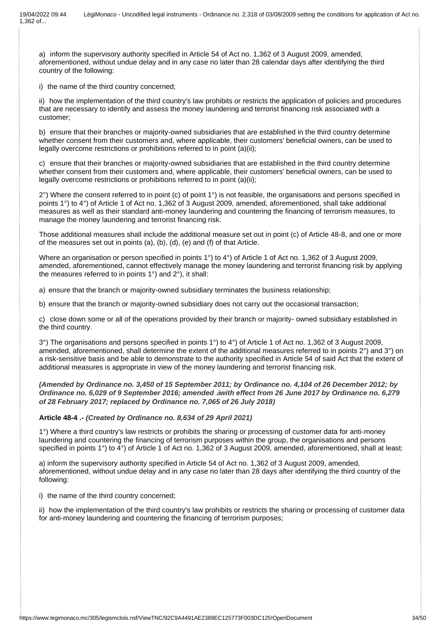a) inform the supervisory authority specified in Article 54 of Act no. 1,362 of 3 August 2009, amended, aforementioned, without undue delay and in any case no later than 28 calendar days after identifying the third country of the following:

i) the name of the third country concerned;

ii) how the implementation of the third country's law prohibits or restricts the application of policies and procedures that are necessary to identify and assess the money laundering and terrorist financing risk associated with a customer;

b) ensure that their branches or majority-owned subsidiaries that are established in the third country determine whether consent from their customers and, where applicable, their customers' beneficial owners, can be used to legally overcome restrictions or prohibitions referred to in point (a)(ii);

c) ensure that their branches or majority-owned subsidiaries that are established in the third country determine whether consent from their customers and, where applicable, their customers' beneficial owners, can be used to legally overcome restrictions or prohibitions referred to in point (a)(ii);

 $2^{\circ}$ ) Where the consent referred to in point (c) of point  $1^{\circ}$ ) is not feasible, the organisations and persons specified in points 1°) to 4°) of Article 1 of Act no. 1,362 of 3 August 2009, amended, aforementioned, shall take additional measures as well as their standard anti-money laundering and countering the financing of terrorism measures, to manage the money laundering and terrorist financing risk.

Those additional measures shall include the additional measure set out in point (c) of Article 48-8, and one or more of the measures set out in points (a), (b), (d), (e) and (f) of that Article.

Where an organisation or person specified in points 1°) to 4°) of Article 1 of Act no. 1,362 of 3 August 2009, amended, aforementioned, cannot effectively manage the money laundering and terrorist financing risk by applying the measures referred to in points 1°) and 2°), it shall:

a) ensure that the branch or majority-owned subsidiary terminates the business relationship;

b) ensure that the branch or majority-owned subsidiary does not carry out the occasional transaction;

c) close down some or all of the operations provided by their branch or majority- owned subsidiary established in the third country.

3°) The organisations and persons specified in points 1°) to 4°) of Article 1 of Act no. 1,362 of 3 August 2009, amended, aforementioned, shall determine the extent of the additional measures referred to in points 2°) and 3°) on a risk-sensitive basis and be able to demonstrate to the authority specified in Article 54 of said Act that the extent of additional measures is appropriate in view of the money laundering and terrorist financing risk.

*(Amended by Ordinance no. 3,450 of 15 September 2011; by Ordinance no. 4,104 of 26 December 2012; by Ordinance no. 6,029 of 9 September 2016; amended* **à***with effect from 26 June 2017 by Ordinance no. 6,279 of 28 February 2017; replaced by Ordinance no. 7,065 of 26 July 2018)*

**Article 48-4 .-** *(Created by Ordinance no. 8,634 of 29 April 2021)*

1°) Where a third country's law restricts or prohibits the sharing or processing of customer data for anti-money laundering and countering the financing of terrorism purposes within the group, the organisations and persons specified in points 1°) to 4°) of Article 1 of Act no. 1,362 of 3 August 2009, amended, aforementioned, shall at least:

a) inform the supervisory authority specified in Article 54 of Act no. 1,362 of 3 August 2009, amended, aforementioned, without undue delay and in any case no later than 28 days after identifying the third country of the following:

i) the name of the third country concerned;

ii) how the implementation of the third country's law prohibits or restricts the sharing or processing of customer data for anti-money laundering and countering the financing of terrorism purposes;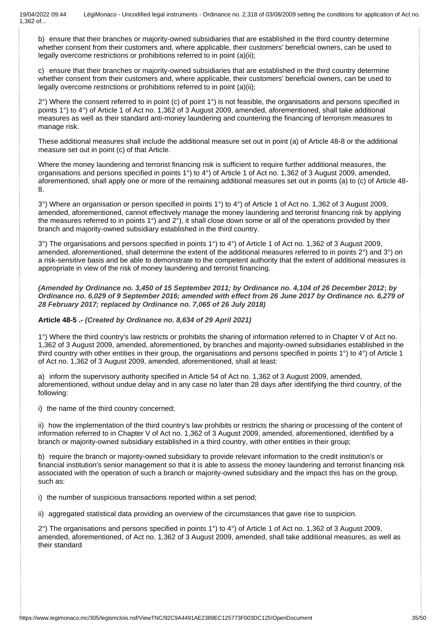b) ensure that their branches or majority-owned subsidiaries that are established in the third country determine whether consent from their customers and, where applicable, their customers' beneficial owners, can be used to legally overcome restrictions or prohibitions referred to in point (a)(ii);

c) ensure that their branches or majority-owned subsidiaries that are established in the third country determine whether consent from their customers and, where applicable, their customers' beneficial owners, can be used to legally overcome restrictions or prohibitions referred to in point (a)(ii);

 $2^{\circ}$ ) Where the consent referred to in point (c) of point  $1^{\circ}$ ) is not feasible, the organisations and persons specified in points 1°) to 4°) of Article 1 of Act no. 1,362 of 3 August 2009, amended, aforementioned, shall take additional measures as well as their standard anti-money laundering and countering the financing of terrorism measures to manage risk.

These additional measures shall include the additional measure set out in point (a) of Article 48-8 or the additional measure set out in point (c) of that Article.

Where the money laundering and terrorist financing risk is sufficient to require further additional measures, the organisations and persons specified in points 1°) to 4°) of Article 1 of Act no. 1,362 of 3 August 2009, amended, aforementioned, shall apply one or more of the remaining additional measures set out in points (a) to (c) of Article 48- 8.

3°) Where an organisation or person specified in points 1°) to 4°) of Article 1 of Act no. 1,362 of 3 August 2009, amended, aforementioned, cannot effectively manage the money laundering and terrorist financing risk by applying the measures referred to in points 1°) and 2°), it shall close down some or all of the operations provided by their branch and majority-owned subsidiary established in the third country.

3°) The organisations and persons specified in points 1°) to 4°) of Article 1 of Act no. 1,362 of 3 August 2009, amended, aforementioned, shall determine the extent of the additional measures referred to in points 2°) and 3°) on a risk-sensitive basis and be able to demonstrate to the competent authority that the extent of additional measures is appropriate in view of the risk of money laundering and terrorist financing.

*(Amended by Ordinance no. 3,450 of 15 September 2011; by Ordinance no. 4,104 of 26 December 2012***;** *by Ordinance no. 6,029 of 9 September 2016; amended with effect from 26 June 2017 by Ordinance no. 6,279 of 28 February 2017; replaced by Ordinance no. 7,065 of 26 July 2018)*

### **Article 48-5 .-** *(Created by Ordinance no. 8,634 of 29 April 2021)*

1°) Where the third country's law restricts or prohibits the sharing of information referred to in Chapter V of Act no. 1,362 of 3 August 2009, amended, aforementioned, by branches and majority-owned subsidiaries established in the third country with other entities in their group, the organisations and persons specified in points 1°) to 4°) of Article 1 of Act no. 1,362 of 3 August 2009, amended, aforementioned, shall at least:

a) inform the supervisory authority specified in Article 54 of Act no. 1,362 of 3 August 2009, amended, aforementioned, without undue delay and in any case no later than 28 days after identifying the third country, of the following:

i) the name of the third country concerned;

ii) how the implementation of the third country's law prohibits or restricts the sharing or processing of the content of information referred to in Chapter V of Act no. 1,362 of 3 August 2009, amended, aforementioned, identified by a branch or majority-owned subsidiary established in a third country, with other entities in their group;

b) require the branch or majority-owned subsidiary to provide relevant information to the credit institution's or financial institution's senior management so that it is able to assess the money laundering and terrorist financing risk associated with the operation of such a branch or majority-owned subsidiary and the impact this has on the group, such as:

i) the number of suspicious transactions reported within a set period;

ii) aggregated statistical data providing an overview of the circumstances that gave rise to suspicion.

2°) The organisations and persons specified in points 1°) to 4°) of Article 1 of Act no. 1,362 of 3 August 2009, amended, aforementioned, of Act no. 1,362 of 3 August 2009, amended, shall take additional measures, as well as their standard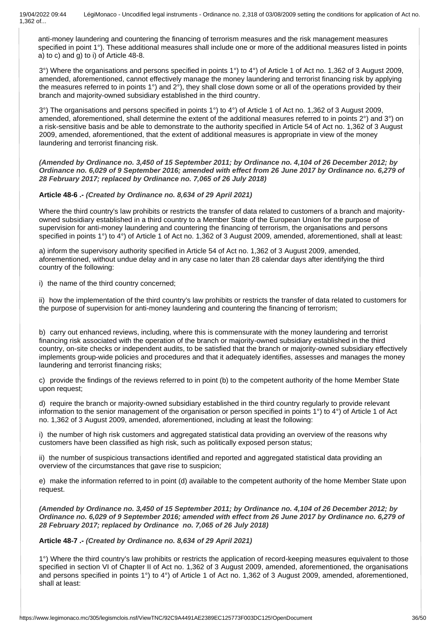anti-money laundering and countering the financing of terrorism measures and the risk management measures specified in point 1°). These additional measures shall include one or more of the additional measures listed in points a) to c) and g) to i) of Article 48-8.

3°) Where the organisations and persons specified in points 1°) to 4°) of Article 1 of Act no. 1,362 of 3 August 2009, amended, aforementioned, cannot effectively manage the money laundering and terrorist financing risk by applying the measures referred to in points 1°) and 2°), they shall close down some or all of the operations provided by their branch and majority-owned subsidiary established in the third country.

3°) The organisations and persons specified in points 1°) to 4°) of Article 1 of Act no. 1,362 of 3 August 2009, amended, aforementioned, shall determine the extent of the additional measures referred to in points 2°) and 3°) on a risk-sensitive basis and be able to demonstrate to the authority specified in Article 54 of Act no. 1,362 of 3 August 2009, amended, aforementioned, that the extent of additional measures is appropriate in view of the money laundering and terrorist financing risk.

*(Amended by Ordinance no. 3,450 of 15 September 2011; by Ordinance no. 4,104 of 26 December 2012; by Ordinance no. 6,029 of 9 September 2016; amended with effect from 26 June 2017 by Ordinance no. 6,279 of 28 February 2017; replaced by Ordinance no. 7,065 of 26 July 2018)*

### **Article 48-6 .-** *(Created by Ordinance no. 8,634 of 29 April 2021)*

Where the third country's law prohibits or restricts the transfer of data related to customers of a branch and majorityowned subsidiary established in a third country to a Member State of the European Union for the purpose of supervision for anti-money laundering and countering the financing of terrorism, the organisations and persons specified in points 1°) to 4°) of Article 1 of Act no. 1,362 of 3 August 2009, amended, aforementioned, shall at least:

a) inform the supervisory authority specified in Article 54 of Act no. 1,362 of 3 August 2009, amended, aforementioned, without undue delay and in any case no later than 28 calendar days after identifying the third country of the following:

i) the name of the third country concerned;

ii) how the implementation of the third country's law prohibits or restricts the transfer of data related to customers for the purpose of supervision for anti-money laundering and countering the financing of terrorism;

b) carry out enhanced reviews, including, where this is commensurate with the money laundering and terrorist financing risk associated with the operation of the branch or majority-owned subsidiary established in the third country, on-site checks or independent audits, to be satisfied that the branch or majority-owned subsidiary effectively implements group-wide policies and procedures and that it adequately identifies, assesses and manages the money laundering and terrorist financing risks;

c) provide the findings of the reviews referred to in point (b) to the competent authority of the home Member State upon request;

d) require the branch or majority-owned subsidiary established in the third country regularly to provide relevant information to the senior management of the organisation or person specified in points 1°) to 4°) of Article 1 of Act no. 1,362 of 3 August 2009, amended, aforementioned, including at least the following:

i) the number of high risk customers and aggregated statistical data providing an overview of the reasons why customers have been classified as high risk, such as politically exposed person status;

ii) the number of suspicious transactions identified and reported and aggregated statistical data providing an overview of the circumstances that gave rise to suspicion;

e) make the information referred to in point (d) available to the competent authority of the home Member State upon request.

*(Amended by Ordinance no. 3,450 of 15 September 2011; by Ordinance no. 4,104 of 26 December 2012; by Ordinance no. 6,029 of 9 September 2016; amended with effect from 26 June 2017 by Ordinance no. 6,279 of 28 February 2017; replaced by Ordinance no. 7,065 of 26 July 2018)*

### **Article 48-7 .-** *(Created by Ordinance no. 8,634 of 29 April 2021)*

1°) Where the third country's law prohibits or restricts the application of record-keeping measures equivalent to those specified in section VI of Chapter II of Act no. 1,362 of 3 August 2009, amended, aforementioned, the organisations and persons specified in points 1°) to 4°) of Article 1 of Act no. 1,362 of 3 August 2009, amended, aforementioned, shall at least: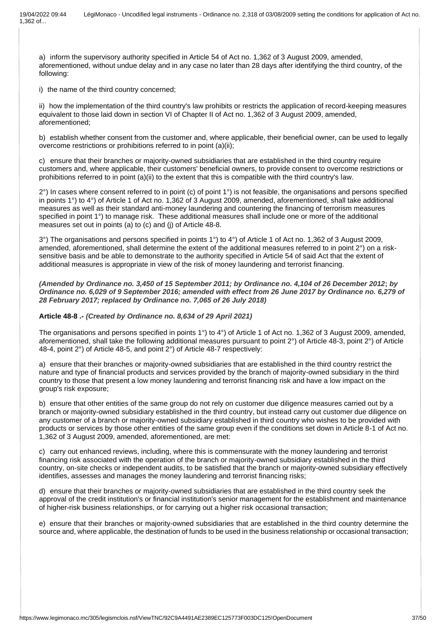a) inform the supervisory authority specified in Article 54 of Act no. 1,362 of 3 August 2009, amended, aforementioned, without undue delay and in any case no later than 28 days after identifying the third country, of the following:

i) the name of the third country concerned;

ii) how the implementation of the third country's law prohibits or restricts the application of record-keeping measures equivalent to those laid down in section VI of Chapter II of Act no. 1,362 of 3 August 2009, amended, aforementioned;

b) establish whether consent from the customer and, where applicable, their beneficial owner, can be used to legally overcome restrictions or prohibitions referred to in point (a)(ii);

c) ensure that their branches or majority-owned subsidiaries that are established in the third country require customers and, where applicable, their customers' beneficial owners, to provide consent to overcome restrictions or prohibitions referred to in point (a)(ii) to the extent that this is compatible with the third country's law.

 $2^{\circ}$ ) In cases where consent referred to in point (c) of point  $1^{\circ}$ ) is not feasible, the organisations and persons specified in points 1°) to 4°) of Article 1 of Act no. 1,362 of 3 August 2009, amended, aforementioned, shall take additional measures as well as their standard anti-money laundering and countering the financing of terrorism measures specified in point 1°) to manage risk. These additional measures shall include one or more of the additional measures set out in points (a) to (c) and (j) of Article 48-8.

3°) The organisations and persons specified in points 1°) to 4°) of Article 1 of Act no. 1,362 of 3 August 2009, amended, aforementioned, shall determine the extent of the additional measures referred to in point 2°) on a risksensitive basis and be able to demonstrate to the authority specified in Article 54 of said Act that the extent of additional measures is appropriate in view of the risk of money laundering and terrorist financing.

*(Amended by Ordinance no. 3,450 of 15 September 2011; by Ordinance no. 4,104 of 26 December 2012***;** *by Ordinance no. 6,029 of 9 September 2016; amended with effect from 26 June 2017 by Ordinance no. 6,279 of 28 February 2017; replaced by Ordinance no. 7,065 of 26 July 2018)*

#### **Article 48-8 .-** *(Created by Ordinance no. 8,634 of 29 April 2021)*

The organisations and persons specified in points 1°) to 4°) of Article 1 of Act no. 1,362 of 3 August 2009, amended, aforementioned, shall take the following additional measures pursuant to point 2°) of Article 48-3, point 2°) of Article 48-4, point 2°) of Article 48-5, and point 2°) of Article 48-7 respectively:

a) ensure that their branches or majority-owned subsidiaries that are established in the third country restrict the nature and type of financial products and services provided by the branch of majority-owned subsidiary in the third country to those that present a low money laundering and terrorist financing risk and have a low impact on the group's risk exposure;

b) ensure that other entities of the same group do not rely on customer due diligence measures carried out by a branch or majority-owned subsidiary established in the third country, but instead carry out customer due diligence on any customer of a branch or majority-owned subsidiary established in third country who wishes to be provided with products or services by those other entities of the same group even if the conditions set down in Article 8-1 of Act no. 1,362 of 3 August 2009, amended, aforementioned, are met:

c) carry out enhanced reviews, including, where this is commensurate with the money laundering and terrorist financing risk associated with the operation of the branch or majority-owned subsidiary established in the third country, on-site checks or independent audits, to be satisfied that the branch or majority-owned subsidiary effectively identifies, assesses and manages the money laundering and terrorist financing risks;

d) ensure that their branches or majority-owned subsidiaries that are established in the third country seek the approval of the credit institution's or financial institution's senior management for the establishment and maintenance of higher-risk business relationships, or for carrying out a higher risk occasional transaction;

e) ensure that their branches or majority-owned subsidiaries that are established in the third country determine the source and, where applicable, the destination of funds to be used in the business relationship or occasional transaction;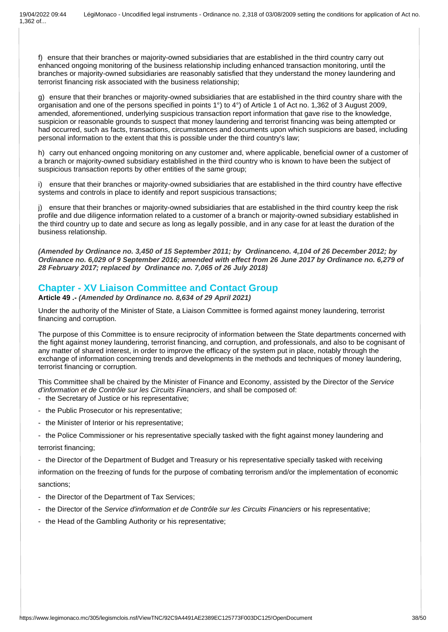f) ensure that their branches or majority-owned subsidiaries that are established in the third country carry out enhanced ongoing monitoring of the business relationship including enhanced transaction monitoring, until the branches or majority-owned subsidiaries are reasonably satisfied that they understand the money laundering and terrorist financing risk associated with the business relationship;

g) ensure that their branches or majority-owned subsidiaries that are established in the third country share with the organisation and one of the persons specified in points 1°) to 4°) of Article 1 of Act no. 1,362 of 3 August 2009, amended, aforementioned, underlying suspicious transaction report information that gave rise to the knowledge, suspicion or reasonable grounds to suspect that money laundering and terrorist financing was being attempted or had occurred, such as facts, transactions, circumstances and documents upon which suspicions are based, including personal information to the extent that this is possible under the third country's law;

h) carry out enhanced ongoing monitoring on any customer and, where applicable, beneficial owner of a customer of a branch or majority-owned subsidiary established in the third country who is known to have been the subject of suspicious transaction reports by other entities of the same group;

i) ensure that their branches or majority-owned subsidiaries that are established in the third country have effective systems and controls in place to identify and report suspicious transactions;

j) ensure that their branches or majority-owned subsidiaries that are established in the third country keep the risk profile and due diligence information related to a customer of a branch or majority-owned subsidiary established in the third country up to date and secure as long as legally possible, and in any case for at least the duration of the business relationship.

*(Amended by Ordinance no. 3,450 of 15 September 2011; by Ordinanceno. 4,104 of 26 December 2012; by Ordinance no. 6,029 of 9 September 2016; amended with effect from 26 June 2017 by Ordinance no. 6,279 of 28 February 2017; replaced by Ordinance no. 7,065 of 26 July 2018)*

# **Chapter - XV Liaison Committee and Contact Group**

**Article 49 .-** *(Amended by Ordinance no. 8,634 of 29 April 2021)*

Under the authority of the Minister of State, a Liaison Committee is formed against money laundering, terrorist financing and corruption.

The purpose of this Committee is to ensure reciprocity of information between the State departments concerned with the fight against money laundering, terrorist financing, and corruption, and professionals, and also to be cognisant of any matter of shared interest, in order to improve the efficacy of the system put in place, notably through the exchange of information concerning trends and developments in the methods and techniques of money laundering, terrorist financing or corruption.

This Committee shall be chaired by the Minister of Finance and Economy, assisted by the Director of the *Service d'information et de Contrôle sur les Circuits Financiers*, and shall be composed of:

- the Secretary of Justice or his representative;
- the Public Prosecutor or his representative;
- the Minister of Interior or his representative;
- the Police Commissioner or his representative specially tasked with the fight against money laundering and terrorist financing;

- the Director of the Department of Budget and Treasury or his representative specially tasked with receiving

information on the freezing of funds for the purpose of combating terrorism and/or the implementation of economic sanctions;

- the Director of the Department of Tax Services;
- the Director of the *Service d'information et de Contrôle sur les Circuits Financiers* or his representative;
- the Head of the Gambling Authority or his representative;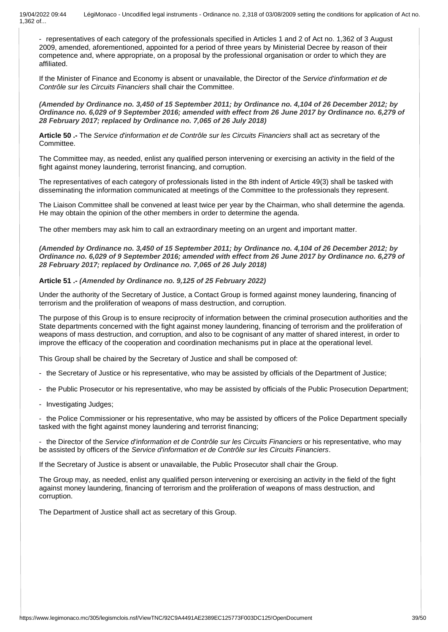- representatives of each category of the professionals specified in Articles 1 and 2 of Act no. 1,362 of 3 August 2009, amended, aforementioned, appointed for a period of three years by Ministerial Decree by reason of their competence and, where appropriate, on a proposal by the professional organisation or order to which they are affiliated.

If the Minister of Finance and Economy is absent or unavailable, the Director of the *Service d'information et de Contrôle sur les Circuits Financiers* shall chair the Committee.

*(Amended by Ordinance no. 3,450 of 15 September 2011; by Ordinance no. 4,104 of 26 December 2012; by Ordinance no. 6,029 of 9 September 2016; amended with effect from 26 June 2017 by Ordinance no. 6,279 of 28 February 2017; replaced by Ordinance no. 7,065 of 26 July 2018)*

**Article 50 .-** The *Service d'information et de Contrôle sur les Circuits Financiers* shall act as secretary of the Committee.

The Committee may, as needed, enlist any qualified person intervening or exercising an activity in the field of the fight against money laundering, terrorist financing, and corruption.

The representatives of each category of professionals listed in the 8th indent of Article 49(3) shall be tasked with disseminating the information communicated at meetings of the Committee to the professionals they represent.

The Liaison Committee shall be convened at least twice per year by the Chairman, who shall determine the agenda. He may obtain the opinion of the other members in order to determine the agenda.

The other members may ask him to call an extraordinary meeting on an urgent and important matter.

*(Amended by Ordinance no. 3,450 of 15 September 2011; by Ordinance no. 4,104 of 26 December 2012; by Ordinance no. 6,029 of 9 September 2016; amended with effect from 26 June 2017 by Ordinance no. 6,279 of 28 February 2017; replaced by Ordinance no. 7,065 of 26 July 2018)*

### **Article 51 .-** *(Amended by Ordinance no. 9,125 of 25 February 2022)*

Under the authority of the Secretary of Justice, a Contact Group is formed against money laundering, financing of terrorism and the proliferation of weapons of mass destruction, and corruption.

The purpose of this Group is to ensure reciprocity of information between the criminal prosecution authorities and the State departments concerned with the fight against money laundering, financing of terrorism and the proliferation of weapons of mass destruction, and corruption, and also to be cognisant of any matter of shared interest, in order to improve the efficacy of the cooperation and coordination mechanisms put in place at the operational level.

This Group shall be chaired by the Secretary of Justice and shall be composed of:

- the Secretary of Justice or his representative, who may be assisted by officials of the Department of Justice;

- the Public Prosecutor or his representative, who may be assisted by officials of the Public Prosecution Department;

- Investigating Judges;

- the Police Commissioner or his representative, who may be assisted by officers of the Police Department specially tasked with the fight against money laundering and terrorist financing;

- the Director of the *Service d'information et de Contrôle sur les Circuits Financiers* or his representative, who may be assisted by officers of the *Service d'information et de Contrôle sur les Circuits Financiers*.

If the Secretary of Justice is absent or unavailable, the Public Prosecutor shall chair the Group.

The Group may, as needed, enlist any qualified person intervening or exercising an activity in the field of the fight against money laundering, financing of terrorism and the proliferation of weapons of mass destruction, and corruption.

The Department of Justice shall act as secretary of this Group.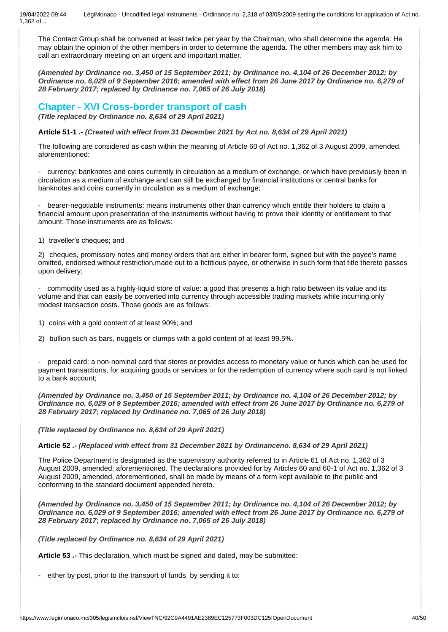The Contact Group shall be convened at least twice per year by the Chairman, who shall determine the agenda. He may obtain the opinion of the other members in order to determine the agenda. The other members may ask him to call an extraordinary meeting on an urgent and important matter.

*(Amended by Ordinance no. 3,450 of 15 September 2011; by Ordinance no. 4,104 of 26 December 2012; by Ordinance no. 6,029 of 9 September 2016; amended with effect from 26 June 2017 by Ordinance no. 6,279 of 28 February 2017; replaced by Ordinance no. 7,065 of 26 July 2018)*

**Chapter - XVI Cross-border transport of cash**

*(Title replaced by Ordinance no. 8,634 of 29 April 2021)*

**Article 51-1 .-** *(Created with effect from 31 December 2021 by Act no. 8,634 of 29 April 2021)*

The following are considered as cash within the meaning of Article 60 of Act no. 1,362 of 3 August 2009, amended, aforementioned:

- currency: banknotes and coins currently in circulation as a medium of exchange, or which have previously been in circulation as a medium of exchange and can still be exchanged by financial institutions or central banks for banknotes and coins currently in circulation as a medium of exchange;

bearer-negotiable instruments: means instruments other than currency which entitle their holders to claim a financial amount upon presentation of the instruments without having to prove their identity or entitlement to that amount. Those instruments are as follows:

1) traveller's cheques; and

2) cheques, promissory notes and money orders that are either in bearer form, signed but with the payee's name omitted, endorsed without restriction,made out to a fictitious payee, or otherwise in such form that title thereto passes upon delivery;

- commodity used as a highly-liquid store of value: a good that presents a high ratio between its value and its volume and that can easily be converted into currency through accessible trading markets while incurring only modest transaction costs. Those goods are as follows:

1) coins with a gold content of at least 90%; and

2) bullion such as bars, nuggets or clumps with a gold content of at least 99.5%.

- prepaid card: a non-nominal card that stores or provides access to monetary value or funds which can be used for payment transactions, for acquiring goods or services or for the redemption of currency where such card is not linked to a bank account;

*(Amended by Ordinance no. 3,450 of 15 September 2011; by Ordinance no. 4,104 of 26 December 2012; by Ordinance no. 6,029 of 9 September 2016; amended with effect from 26 June 2017 by Ordinance no. 6,279 of 28 February 2017***;** *replaced by Ordinance no. 7,065 of 26 July 2018)*

*(Title replaced by Ordinance no. 8,634 of 29 April 2021)*

**Article 52 .-** *(Replaced with effect from 31 December 2021 by Ordinanceno. 8,634 of 29 April 2021)*

The Police Department is designated as the supervisory authority referred to in Article 61 of Act no. 1,362 of 3 August 2009, amended; aforementioned. The declarations provided for by Articles 60 and 60-1 of Act no. 1,362 of 3 August 2009, amended, aforementioned, shall be made by means of a form kept available to the public and conforming to the standard document appended hereto.

*(Amended by Ordinance no. 3,450 of 15 September 2011; by Ordinance no. 4,104 of 26 December 2012; by Ordinance no. 6,029 of 9 September 2016; amended with effect from 26 June 2017 by Ordinance no. 6,279 of 28 February 2017***;** *replaced by Ordinance no. 7,065 of 26 July 2018)*

*(Title replaced by Ordinance no. 8,634 of 29 April 2021)*

**Article 53 .-** This declaration, which must be signed and dated, may be submitted:

either by post, prior to the transport of funds, by sending it to: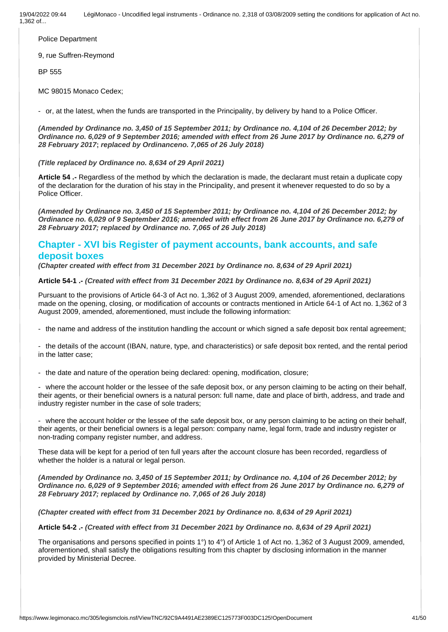Police Department

9, rue Suffren-Reymond

BP 555

MC 98015 Monaco Cedex;

- or, at the latest, when the funds are transported in the Principality, by delivery by hand to a Police Officer.

*(Amended by Ordinance no. 3,450 of 15 September 2011; by Ordinance no. 4,104 of 26 December 2012; by Ordinance no. 6,029 of 9 September 2016; amended with effect from 26 June 2017 by Ordinance no. 6,279 of 28 February 2017***;** *replaced by Ordinanceno. 7,065 of 26 July 2018)*

*(Title replaced by Ordinance no. 8,634 of 29 April 2021)*

**Article 54 .-** Regardless of the method by which the declaration is made, the declarant must retain a duplicate copy of the declaration for the duration of his stay in the Principality, and present it whenever requested to do so by a Police Officer.

*(Amended by Ordinance no. 3,450 of 15 September 2011; by Ordinance no. 4,104 of 26 December 2012; by Ordinance no. 6,029 of 9 September 2016; amended with effect from 26 June 2017 by Ordinance no. 6,279 of 28 February 2017; replaced by Ordinance no. 7,065 of 26 July 2018)*

# **Chapter - XVI bis Register of payment accounts, bank accounts, and safe deposit boxes**

*(Chapter created with effect from 31 December 2021 by Ordinance no. 8,634 of 29 April 2021)*

**Article 54-1 .-** *(Created with effect from 31 December 2021 by Ordinance no. 8,634 of 29 April 2021)*

Pursuant to the provisions of Article 64-3 of Act no. 1,362 of 3 August 2009, amended, aforementioned, declarations made on the opening, closing, or modification of accounts or contracts mentioned in Article 64-1 of Act no. 1,362 of 3 August 2009, amended, aforementioned, must include the following information:

- the name and address of the institution handling the account or which signed a safe deposit box rental agreement;

- the details of the account (IBAN, nature, type, and characteristics) or safe deposit box rented, and the rental period in the latter case;

- the date and nature of the operation being declared: opening, modification, closure;

where the account holder or the lessee of the safe deposit box, or any person claiming to be acting on their behalf, their agents, or their beneficial owners is a natural person: full name, date and place of birth, address, and trade and industry register number in the case of sole traders;

where the account holder or the lessee of the safe deposit box, or any person claiming to be acting on their behalf, their agents, or their beneficial owners is a legal person: company name, legal form, trade and industry register or non-trading company register number, and address.

These data will be kept for a period of ten full years after the account closure has been recorded, regardless of whether the holder is a natural or legal person.

*(Amended by Ordinance no. 3,450 of 15 September 2011; by Ordinance no. 4,104 of 26 December 2012; by Ordinance no. 6,029 of 9 September 2016; amended with effect from 26 June 2017 by Ordinance no. 6,279 of 28 February 2017; replaced by Ordinance no. 7,065 of 26 July 2018)*

*(Chapter created with effect from 31 December 2021 by Ordinance no. 8,634 of 29 April 2021)*

**Article 54-2 .-** *(Created with effect from 31 December 2021 by Ordinance no. 8,634 of 29 April 2021)*

The organisations and persons specified in points 1°) to 4°) of Article 1 of Act no. 1,362 of 3 August 2009, amended, aforementioned, shall satisfy the obligations resulting from this chapter by disclosing information in the manner provided by Ministerial Decree.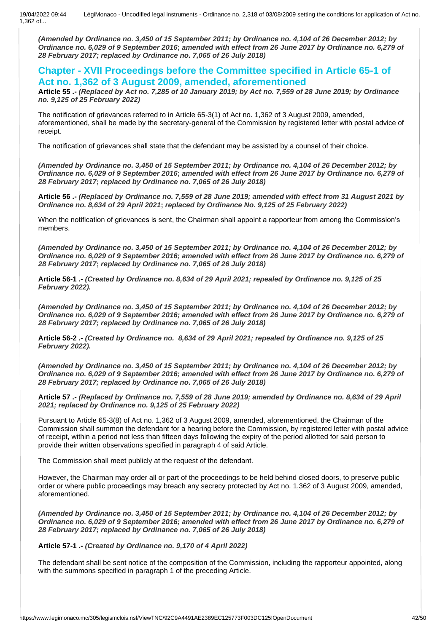*(Amended by Ordinance no. 3,450 of 15 September 2011; by Ordinance no. 4,104 of 26 December 2012; by Ordinance no. 6,029 of 9 September 2016***;** *amended with effect from 26 June 2017 by Ordinance no. 6,279 of 28 February 2017; replaced by Ordinance no. 7,065 of 26 July 2018)*

**Chapter - XVII Proceedings before the Committee specified in Article 65-1 of Act no. 1,362 of 3 August 2009, amended, aforementioned**

**Article 55 .-** *(Replaced by Act no. 7,285 of 10 January 2019; by Act no. 7,559 of 28 June 2019; by Ordinance no. 9,125 of 25 February 2022)*

The notification of grievances referred to in Article 65-3(1) of Act no. 1,362 of 3 August 2009, amended, aforementioned, shall be made by the secretary-general of the Commission by registered letter with postal advice of receipt.

The notification of grievances shall state that the defendant may be assisted by a counsel of their choice.

*(Amended by Ordinance no. 3,450 of 15 September 2011; by Ordinance no. 4,104 of 26 December 2012; by Ordinance no. 6,029 of 9 September 2016***;** *amended with effect from 26 June 2017 by Ordinance no. 6,279 of 28 February 2017***;** *replaced by Ordinance no. 7,065 of 26 July 2018)*

**Article 56 .-** *(Replaced by Ordinance no. 7,559 of 28 June 2019; amended with effect from 31 August 2021 by Ordinance no. 8,634 of 29 April 2021***;** *replaced by Ordinance No. 9,125 of 25 February 2022)*

When the notification of grievances is sent, the Chairman shall appoint a rapporteur from among the Commission's members.

*(Amended by Ordinance no. 3,450 of 15 September 2011; by Ordinance no. 4,104 of 26 December 2012; by Ordinance no. 6,029 of 9 September 2016; amended with effect from 26 June 2017 by Ordinance no. 6,279 of 28 February 2017***;** *replaced by Ordinance no. 7,065 of 26 July 2018)*

**Article 56-1 .-** *(Created by Ordinance no. 8,634 of 29 April 2021; repealed by Ordinance no. 9,125 of 25 February 2022).*

*(Amended by Ordinance no. 3,450 of 15 September 2011; by Ordinance no. 4,104 of 26 December 2012; by Ordinance no. 6,029 of 9 September 2016; amended with effect from 26 June 2017 by Ordinance no. 6,279 of 28 February 2017; replaced by Ordinance no. 7,065 of 26 July 2018)*

**Article 56-2 .-** *(Created by Ordinance no. 8,634 of 29 April 2021; repealed by Ordinance no. 9,125 of 25 February 2022).*

*(Amended by Ordinance no. 3,450 of 15 September 2011; by Ordinance no. 4,104 of 26 December 2012; by Ordinance no. 6,029 of 9 September 2016; amended with effect from 26 June 2017 by Ordinance no. 6,279 of 28 February 2017; replaced by Ordinance no. 7,065 of 26 July 2018)*

**Article 57 .-** *(Replaced by Ordinance no. 7,559 of 28 June 2019; amended by Ordinance no. 8,634 of 29 April 2021; replaced by Ordinance no. 9,125 of 25 February 2022)*

Pursuant to Article 65-3(8) of Act no. 1,362 of 3 August 2009, amended, aforementioned, the Chairman of the Commission shall summon the defendant for a hearing before the Commission, by registered letter with postal advice of receipt, within a period not less than fifteen days following the expiry of the period allotted for said person to provide their written observations specified in paragraph 4 of said Article.

The Commission shall meet publicly at the request of the defendant.

However, the Chairman may order all or part of the proceedings to be held behind closed doors, to preserve public order or where public proceedings may breach any secrecy protected by Act no. 1,362 of 3 August 2009, amended, aforementioned.

*(Amended by Ordinance no. 3,450 of 15 September 2011; by Ordinance no. 4,104 of 26 December 2012; by Ordinance no. 6,029 of 9 September 2016; amended with effect from 26 June 2017 by Ordinance no. 6,279 of 28 February 2017; replaced by Ordinance no. 7,065 of 26 July 2018)*

**Article 57-1 .-** *(Created by Ordinance no. 9,170 of 4 April 2022)*

The defendant shall be sent notice of the composition of the Commission, including the rapporteur appointed, along with the summons specified in paragraph 1 of the preceding Article.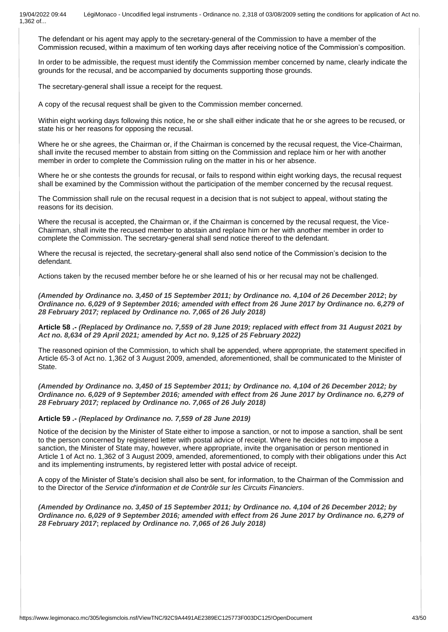The defendant or his agent may apply to the secretary-general of the Commission to have a member of the Commission recused, within a maximum of ten working days after receiving notice of the Commission's composition.

In order to be admissible, the request must identify the Commission member concerned by name, clearly indicate the grounds for the recusal, and be accompanied by documents supporting those grounds.

The secretary-general shall issue a receipt for the request.

A copy of the recusal request shall be given to the Commission member concerned.

Within eight working days following this notice, he or she shall either indicate that he or she agrees to be recused, or state his or her reasons for opposing the recusal.

Where he or she agrees, the Chairman or, if the Chairman is concerned by the recusal request, the Vice-Chairman, shall invite the recused member to abstain from sitting on the Commission and replace him or her with another member in order to complete the Commission ruling on the matter in his or her absence.

Where he or she contests the grounds for recusal, or fails to respond within eight working days, the recusal request shall be examined by the Commission without the participation of the member concerned by the recusal request.

The Commission shall rule on the recusal request in a decision that is not subject to appeal, without stating the reasons for its decision.

Where the recusal is accepted, the Chairman or, if the Chairman is concerned by the recusal request, the Vice-Chairman, shall invite the recused member to abstain and replace him or her with another member in order to complete the Commission. The secretary-general shall send notice thereof to the defendant.

Where the recusal is rejected, the secretary-general shall also send notice of the Commission's decision to the defendant.

Actions taken by the recused member before he or she learned of his or her recusal may not be challenged.

*(Amended by Ordinance no. 3,450 of 15 September 2011; by Ordinance no. 4,104 of 26 December 2012***;** *by Ordinance no. 6,029 of 9 September 2016; amended with effect from 26 June 2017 by Ordinance no. 6,279 of 28 February 2017; replaced by Ordinance no. 7,065 of 26 July 2018)*

**Article 58 .-** *(Replaced by Ordinance no. 7,559 of 28 June 2019; replaced with effect from 31 August 2021 by Act no. 8,634 of 29 April 2021; amended by Act no. 9,125 of 25 February 2022)*

The reasoned opinion of the Commission, to which shall be appended, where appropriate, the statement specified in Article 65-3 of Act no. 1,362 of 3 August 2009, amended, aforementioned, shall be communicated to the Minister of State.

*(Amended by Ordinance no. 3,450 of 15 September 2011; by Ordinance no. 4,104 of 26 December 2012; by Ordinance no. 6,029 of 9 September 2016; amended with effect from 26 June 2017 by Ordinance no. 6,279 of 28 February 2017; replaced by Ordinance no. 7,065 of 26 July 2018)*

**Article 59 .-** *(Replaced by Ordinance no. 7,559 of 28 June 2019)*

Notice of the decision by the Minister of State either to impose a sanction, or not to impose a sanction, shall be sent to the person concerned by registered letter with postal advice of receipt. Where he decides not to impose a sanction, the Minister of State may, however, where appropriate, invite the organisation or person mentioned in Article 1 of Act no. 1,362 of 3 August 2009, amended, aforementioned, to comply with their obligations under this Act and its implementing instruments, by registered letter with postal advice of receipt.

A copy of the Minister of State's decision shall also be sent, for information, to the Chairman of the Commission and to the Director of the *Service d'information et de Contrôle sur les Circuits Financiers*.

*(Amended by Ordinance no. 3,450 of 15 September 2011; by Ordinance no. 4,104 of 26 December 2012; by Ordinance no. 6,029 of 9 September 2016; amended with effect from 26 June 2017 by Ordinance no. 6,279 of 28 February 2017***;** *replaced by Ordinance no. 7,065 of 26 July 2018)*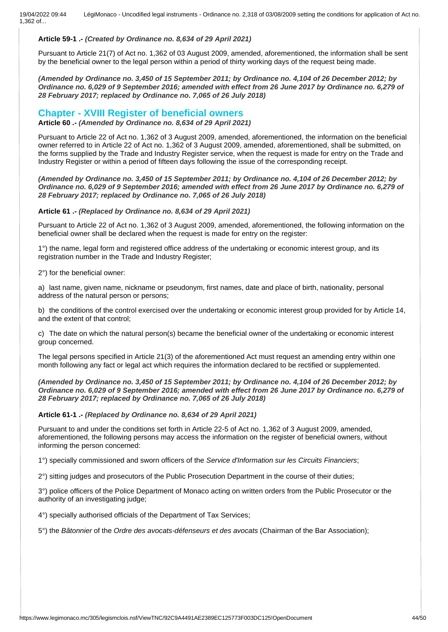### **Article 59-1 .-** *(Created by Ordinance no. 8,634 of 29 April 2021)*

Pursuant to Article 21(7) of Act no. 1,362 of 03 August 2009, amended, aforementioned, the information shall be sent by the beneficial owner to the legal person within a period of thirty working days of the request being made.

*(Amended by Ordinance no. 3,450 of 15 September 2011; by Ordinance no. 4,104 of 26 December 2012; by Ordinance no. 6,029 of 9 September 2016; amended with effect from 26 June 2017 by Ordinance no. 6,279 of 28 February 2017; replaced by Ordinance no. 7,065 of 26 July 2018)*

### **Chapter - XVIII Register of beneficial owners**

**Article 60 .-** *(Amended by Ordinance no. 8,634 of 29 April 2021)*

Pursuant to Article 22 of Act no. 1,362 of 3 August 2009, amended, aforementioned, the information on the beneficial owner referred to in Article 22 of Act no. 1,362 of 3 August 2009, amended, aforementioned, shall be submitted, on the forms supplied by the Trade and Industry Register service, when the request is made for entry on the Trade and Industry Register or within a period of fifteen days following the issue of the corresponding receipt.

*(Amended by Ordinance no. 3,450 of 15 September 2011; by Ordinance no. 4,104 of 26 December 2012; by Ordinance no. 6,029 of 9 September 2016; amended with effect from 26 June 2017 by Ordinance no. 6,279 of 28 February 2017; replaced by Ordinance no. 7,065 of 26 July 2018)*

### **Article 61 .-** *(Replaced by Ordinance no. 8,634 of 29 April 2021)*

Pursuant to Article 22 of Act no. 1,362 of 3 August 2009, amended, aforementioned, the following information on the beneficial owner shall be declared when the request is made for entry on the register:

1°) the name, legal form and registered office address of the undertaking or economic interest group, and its registration number in the Trade and Industry Register;

2°) for the beneficial owner:

a) last name, given name, nickname or pseudonym, first names, date and place of birth, nationality, personal address of the natural person or persons;

b) the conditions of the control exercised over the undertaking or economic interest group provided for by Article 14, and the extent of that control;

c) The date on which the natural person(s) became the beneficial owner of the undertaking or economic interest group concerned.

The legal persons specified in Article 21(3) of the aforementioned Act must request an amending entry within one month following any fact or legal act which requires the information declared to be rectified or supplemented.

*(Amended by Ordinance no. 3,450 of 15 September 2011; by Ordinance no. 4,104 of 26 December 2012; by Ordinance no. 6,029 of 9 September 2016; amended with effect from 26 June 2017 by Ordinance no. 6,279 of 28 February 2017; replaced by Ordinance no. 7,065 of 26 July 2018)*

**Article 61-1 .-** *(Replaced by Ordinance no. 8,634 of 29 April 2021)*

Pursuant to and under the conditions set forth in Article 22-5 of Act no. 1,362 of 3 August 2009, amended, aforementioned, the following persons may access the information on the register of beneficial owners, without informing the person concerned:

1°) specially commissioned and sworn officers of the *Service d'Information sur les Circuits Financiers*;

2°) sitting judges and prosecutors of the Public Prosecution Department in the course of their duties;

3°) police officers of the Police Department of Monaco acting on written orders from the Public Prosecutor or the authority of an investigating judge;

4°) specially authorised officials of the Department of Tax Services;

5°) the *Bâtonnier* of the *Ordre des avocats-défenseurs et des avocats* (Chairman of the Bar Association);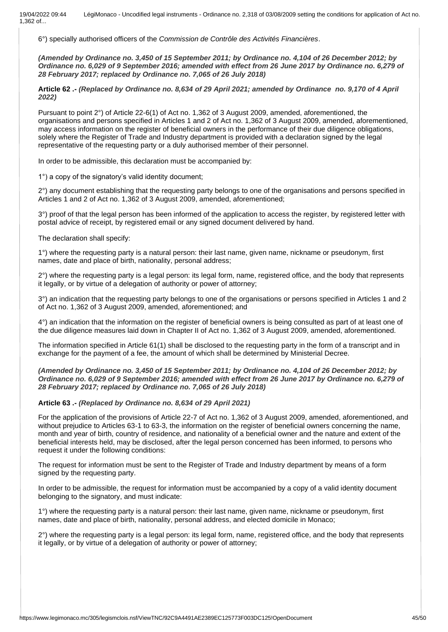6°) specially authorised officers of the *Commission de Contrôle des Activités Financières*.

*(Amended by Ordinance no. 3,450 of 15 September 2011; by Ordinance no. 4,104 of 26 December 2012; by Ordinance no. 6,029 of 9 September 2016; amended with effect from 26 June 2017 by Ordinance no. 6,279 of 28 February 2017; replaced by Ordinance no. 7,065 of 26 July 2018)*

**Article 62 .-** *(Replaced by Ordinance no. 8,634 of 29 April 2021; amended by Ordinance no. 9,170 of 4 April 2022)*

Pursuant to point 2°) of Article 22-6(1) of Act no. 1,362 of 3 August 2009, amended, aforementioned, the organisations and persons specified in Articles 1 and 2 of Act no. 1,362 of 3 August 2009, amended, aforementioned, may access information on the register of beneficial owners in the performance of their due diligence obligations, solely where the Register of Trade and Industry department is provided with a declaration signed by the legal representative of the requesting party or a duly authorised member of their personnel.

In order to be admissible, this declaration must be accompanied by:

1°) a copy of the signatory's valid identity document;

2°) any document establishing that the requesting party belongs to one of the organisations and persons specified in Articles 1 and 2 of Act no. 1,362 of 3 August 2009, amended, aforementioned;

3°) proof of that the legal person has been informed of the application to access the register, by registered letter with postal advice of receipt, by registered email or any signed document delivered by hand.

The declaration shall specify:

1°) where the requesting party is a natural person: their last name, given name, nickname or pseudonym, first names, date and place of birth, nationality, personal address;

 $2^{\circ}$ ) where the requesting party is a legal person: its legal form, name, registered office, and the body that represents it legally, or by virtue of a delegation of authority or power of attorney;

3°) an indication that the requesting party belongs to one of the organisations or persons specified in Articles 1 and 2 of Act no. 1,362 of 3 August 2009, amended, aforementioned; and

4°) an indication that the information on the register of beneficial owners is being consulted as part of at least one of the due diligence measures laid down in Chapter II of Act no. 1,362 of 3 August 2009, amended, aforementioned.

The information specified in Article 61(1) shall be disclosed to the requesting party in the form of a transcript and in exchange for the payment of a fee, the amount of which shall be determined by Ministerial Decree.

*(Amended by Ordinance no. 3,450 of 15 September 2011; by Ordinance no. 4,104 of 26 December 2012; by Ordinance no. 6,029 of 9 September 2016; amended with effect from 26 June 2017 by Ordinance no. 6,279 of 28 February 2017; replaced by Ordinance no. 7,065 of 26 July 2018)*

### **Article 63 .-** *(Replaced by Ordinance no. 8,634 of 29 April 2021)*

For the application of the provisions of Article 22-7 of Act no. 1,362 of 3 August 2009, amended, aforementioned, and without prejudice to Articles 63-1 to 63-3, the information on the register of beneficial owners concerning the name, month and year of birth, country of residence, and nationality of a beneficial owner and the nature and extent of the beneficial interests held, may be disclosed, after the legal person concerned has been informed, to persons who request it under the following conditions:

The request for information must be sent to the Register of Trade and Industry department by means of a form signed by the requesting party.

In order to be admissible, the request for information must be accompanied by a copy of a valid identity document belonging to the signatory, and must indicate:

1°) where the requesting party is a natural person: their last name, given name, nickname or pseudonym, first names, date and place of birth, nationality, personal address, and elected domicile in Monaco;

2°) where the requesting party is a legal person: its legal form, name, registered office, and the body that represents it legally, or by virtue of a delegation of authority or power of attorney;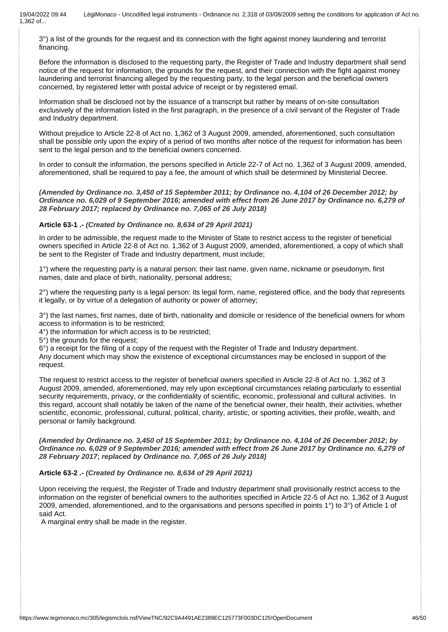3°) a list of the grounds for the request and its connection with the fight against money laundering and terrorist financing.

Before the information is disclosed to the requesting party, the Register of Trade and Industry department shall send notice of the request for information, the grounds for the request, and their connection with the fight against money laundering and terrorist financing alleged by the requesting party, to the legal person and the beneficial owners concerned, by registered letter with postal advice of receipt or by registered email.

Information shall be disclosed not by the issuance of a transcript but rather by means of on-site consultation exclusively of the information listed in the first paragraph, in the presence of a civil servant of the Register of Trade and Industry department.

Without prejudice to Article 22-8 of Act no. 1,362 of 3 August 2009, amended, aforementioned, such consultation shall be possible only upon the expiry of a period of two months after notice of the request for information has been sent to the legal person and to the beneficial owners concerned.

In order to consult the information, the persons specified in Article 22-7 of Act no. 1,362 of 3 August 2009, amended, aforementioned, shall be required to pay a fee, the amount of which shall be determined by Ministerial Decree.

*(Amended by Ordinance no. 3,450 of 15 September 2011; by Ordinance no. 4,104 of 26 December 2012; by Ordinance no. 6,029 of 9 September 2016; amended with effect from 26 June 2017 by Ordinance no. 6,279 of 28 February 2017; replaced by Ordinance no. 7,065 of 26 July 2018)*

### **Article 63-1 .-** *(Created by Ordinance no. 8,634 of 29 April 2021)*

In order to be admissible, the request made to the Minister of State to restrict access to the register of beneficial owners specified in Article 22-8 of Act no. 1,362 of 3 August 2009, amended, aforementioned, a copy of which shall be sent to the Register of Trade and Industry department, must include;

1°) where the requesting party is a natural person: their last name, given name, nickname or pseudonym, first names, date and place of birth, nationality, personal address;

2°) where the requesting party is a legal person: its legal form, name, registered office, and the body that represents it legally, or by virtue of a delegation of authority or power of attorney;

3°) the last names, first names, date of birth, nationality and domicile or residence of the beneficial owners for whom access to information is to be restricted;

4°) the information for which access is to be restricted;

5°) the grounds for the request;

6°) a receipt for the filing of a copy of the request with the Register of Trade and Industry department.

Any document which may show the existence of exceptional circumstances may be enclosed in support of the request.

The request to restrict access to the register of beneficial owners specified in Article 22-8 of Act no. 1,362 of 3 August 2009, amended, aforementioned, may rely upon exceptional circumstances relating particularly to essential security requirements, privacy, or the confidentiality of scientific, economic, professional and cultural activities. In this regard, account shall notably be taken of the name of the beneficial owner, their health, their activities, whether scientific, economic, professional, cultural, political, charity, artistic, or sporting activities, their profile, wealth, and personal or family background.

*(Amended by Ordinance no. 3,450 of 15 September 2011; by Ordinance no. 4,104 of 26 December 2012***;** *by Ordinance no. 6,029 of 9 September 2016; amended with effect from 26 June 2017 by Ordinance no. 6,279 of 28 February 2017***;** *replaced by Ordinance no. 7,065 of 26 July 2018)*

### **Article 63-2 .-** *(Created by Ordinance no. 8,634 of 29 April 2021)*

Upon receiving the request, the Register of Trade and Industry department shall provisionally restrict access to the information on the register of beneficial owners to the authorities specified in Article 22-5 of Act no. 1,362 of 3 August 2009, amended, aforementioned, and to the organisations and persons specified in points 1°) to 3°) of Article 1 of said Act.

A marginal entry shall be made in the register.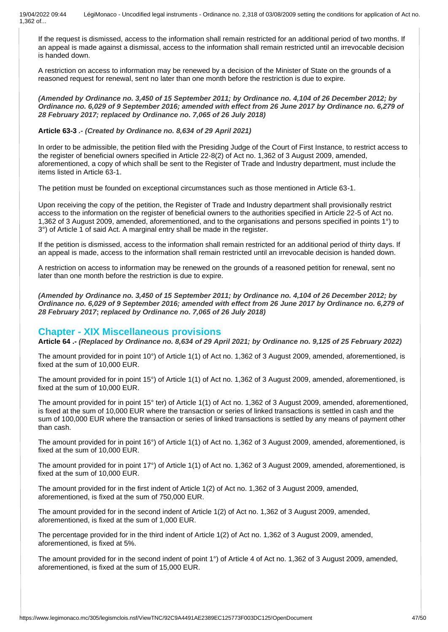If the request is dismissed, access to the information shall remain restricted for an additional period of two months. If an appeal is made against a dismissal, access to the information shall remain restricted until an irrevocable decision is handed down.

A restriction on access to information may be renewed by a decision of the Minister of State on the grounds of a reasoned request for renewal, sent no later than one month before the restriction is due to expire.

*(Amended by Ordinance no. 3,450 of 15 September 2011; by Ordinance no. 4,104 of 26 December 2012; by Ordinance no. 6,029 of 9 September 2016; amended with effect from 26 June 2017 by Ordinance no. 6,279 of 28 February 2017; replaced by Ordinance no. 7,065 of 26 July 2018)*

### **Article 63-3** *.- (Created by Ordinance no. 8,634 of 29 April 2021)*

In order to be admissible, the petition filed with the Presiding Judge of the Court of First Instance, to restrict access to the register of beneficial owners specified in Article 22-8(2) of Act no. 1,362 of 3 August 2009, amended, aforementioned, a copy of which shall be sent to the Register of Trade and Industry department, must include the items listed in Article 63-1.

The petition must be founded on exceptional circumstances such as those mentioned in Article 63-1.

Upon receiving the copy of the petition, the Register of Trade and Industry department shall provisionally restrict access to the information on the register of beneficial owners to the authorities specified in Article 22-5 of Act no. 1,362 of 3 August 2009, amended, aforementioned, and to the organisations and persons specified in points 1°) to 3°) of Article 1 of said Act. A marginal entry shall be made in the register.

If the petition is dismissed, access to the information shall remain restricted for an additional period of thirty days. If an appeal is made, access to the information shall remain restricted until an irrevocable decision is handed down.

A restriction on access to information may be renewed on the grounds of a reasoned petition for renewal, sent no later than one month before the restriction is due to expire.

*(Amended by Ordinance no. 3,450 of 15 September 2011; by Ordinance no. 4,104 of 26 December 2012; by Ordinance no. 6,029 of 9 September 2016; amended with effect from 26 June 2017 by Ordinance no. 6,279 of 28 February 2017***;** *replaced by Ordinance no. 7,065 of 26 July 2018)*

### **Chapter - XIX Miscellaneous provisions**

**Article 64 .-** *(Replaced by Ordinance no. 8,634 of 29 April 2021; by Ordinance no. 9,125 of 25 February 2022)*

The amount provided for in point 10°) of Article 1(1) of Act no. 1,362 of 3 August 2009, amended, aforementioned, is fixed at the sum of 10,000 EUR.

The amount provided for in point 15°) of Article 1(1) of Act no. 1,362 of 3 August 2009, amended, aforementioned, is fixed at the sum of 10,000 EUR.

The amount provided for in point 15° ter) of Article 1(1) of Act no. 1,362 of 3 August 2009, amended, aforementioned, is fixed at the sum of 10,000 EUR where the transaction or series of linked transactions is settled in cash and the sum of 100,000 EUR where the transaction or series of linked transactions is settled by any means of payment other than cash.

The amount provided for in point 16°) of Article 1(1) of Act no. 1,362 of 3 August 2009, amended, aforementioned, is fixed at the sum of 10,000 EUR.

The amount provided for in point 17°) of Article 1(1) of Act no. 1,362 of 3 August 2009, amended, aforementioned, is fixed at the sum of 10,000 EUR.

The amount provided for in the first indent of Article 1(2) of Act no. 1,362 of 3 August 2009, amended, aforementioned, is fixed at the sum of 750,000 EUR.

The amount provided for in the second indent of Article 1(2) of Act no. 1,362 of 3 August 2009, amended, aforementioned, is fixed at the sum of 1,000 EUR.

The percentage provided for in the third indent of Article 1(2) of Act no. 1,362 of 3 August 2009, amended, aforementioned, is fixed at 5%.

The amount provided for in the second indent of point 1°) of Article 4 of Act no. 1,362 of 3 August 2009, amended, aforementioned, is fixed at the sum of 15,000 EUR.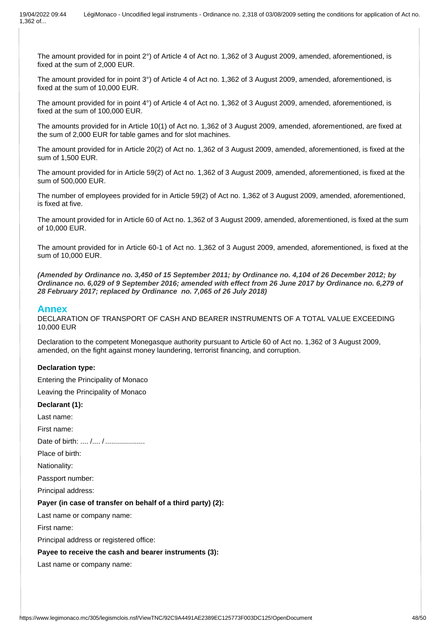The amount provided for in point 2°) of Article 4 of Act no. 1,362 of 3 August 2009, amended, aforementioned, is fixed at the sum of 2,000 EUR.

The amount provided for in point 3°) of Article 4 of Act no. 1,362 of 3 August 2009, amended, aforementioned, is fixed at the sum of 10,000 EUR.

The amount provided for in point 4°) of Article 4 of Act no. 1,362 of 3 August 2009, amended, aforementioned, is fixed at the sum of 100,000 EUR.

The amounts provided for in Article 10(1) of Act no. 1,362 of 3 August 2009, amended, aforementioned, are fixed at the sum of 2,000 EUR for table games and for slot machines.

The amount provided for in Article 20(2) of Act no. 1,362 of 3 August 2009, amended, aforementioned, is fixed at the sum of 1,500 EUR.

The amount provided for in Article 59(2) of Act no. 1,362 of 3 August 2009, amended, aforementioned, is fixed at the sum of 500,000 EUR.

The number of employees provided for in Article 59(2) of Act no. 1,362 of 3 August 2009, amended, aforementioned, is fixed at five.

The amount provided for in Article 60 of Act no. 1,362 of 3 August 2009, amended, aforementioned, is fixed at the sum of 10,000 EUR.

The amount provided for in Article 60-1 of Act no. 1,362 of 3 August 2009, amended, aforementioned, is fixed at the sum of 10,000 EUR.

*(Amended by Ordinance no. 3,450 of 15 September 2011; by Ordinance no. 4,104 of 26 December 2012; by Ordinance no. 6,029 of 9 September 2016; amended with effect from 26 June 2017 by Ordinance no. 6,279 of 28 February 2017; replaced by Ordinance no. 7,065 of 26 July 2018)*

### **Annex**

DECLARATION OF TRANSPORT OF CASH AND BEARER INSTRUMENTS OF A TOTAL VALUE EXCEEDING 10,000 EUR

Declaration to the competent Monegasque authority pursuant to Article 60 of Act no. 1,362 of 3 August 2009, amended, on the fight against money laundering, terrorist financing, and corruption.

### **Declaration type:**

Entering the Principality of Monaco

Leaving the Principality of Monaco

### **Declarant (1):**

Last name:

First name:

Date of birth: .... /.... / .....................

Place of birth:

Nationality:

Passport number:

Principal address:

### **Payer (in case of transfer on behalf of a third party) (2):**

Last name or company name:

First name:

Principal address or registered office:

#### **Payee to receive the cash and bearer instruments (3):**

Last name or company name: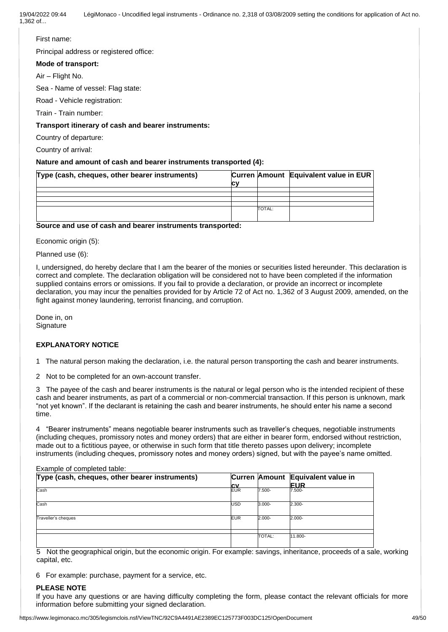### First name:

Principal address or registered office:

### **Mode of transport:**

Air – Flight No.

Sea - Name of vessel: Flag state:

Road - Vehicle registration:

Train - Train number:

### **Transport itinerary of cash and bearer instruments:**

Country of departure:

Country of arrival:

### **Nature and amount of cash and bearer instruments transported (4):**

| Type (cash, cheques, other bearer instruments) | сv |               | Curren Amount Equivalent value in EUR |
|------------------------------------------------|----|---------------|---------------------------------------|
|                                                |    |               |                                       |
|                                                |    |               |                                       |
|                                                |    |               |                                       |
|                                                |    |               |                                       |
|                                                |    | <b>TOTAL:</b> |                                       |

### **Source and use of cash and bearer instruments transported:**

Economic origin (5):

Planned use (6):

I, undersigned, do hereby declare that I am the bearer of the monies or securities listed hereunder. This declaration is correct and complete. The declaration obligation will be considered not to have been completed if the information supplied contains errors or omissions. If you fail to provide a declaration, or provide an incorrect or incomplete declaration, you may incur the penalties provided for by Article 72 of Act no. 1,362 of 3 August 2009, amended, on the fight against money laundering, terrorist financing, and corruption.

Done in, on **Signature** 

### **EXPLANATORY NOTICE**

1 The natural person making the declaration, i.e. the natural person transporting the cash and bearer instruments.

2 Not to be completed for an own-account transfer.

3 The payee of the cash and bearer instruments is the natural or legal person who is the intended recipient of these cash and bearer instruments, as part of a commercial or non-commercial transaction. If this person is unknown, mark "not yet known". If the declarant is retaining the cash and bearer instruments, he should enter his name a second time.

4 "Bearer instruments" means negotiable bearer instruments such as traveller's cheques, negotiable instruments (including cheques, promissory notes and money orders) that are either in bearer form, endorsed without restriction, made out to a fictitious payee, or otherwise in such form that title thereto passes upon delivery; incomplete instruments (including cheques, promissory notes and money orders) signed, but with the payee's name omitted.

| Type (cash, cheques, other bearer instruments) | <b>CV</b>  |               | Curren Amount Equivalent value in<br><b>EUR</b> |
|------------------------------------------------|------------|---------------|-------------------------------------------------|
| Cash                                           | <b>EUR</b> | 7.500-        | 7.500-                                          |
| Cash                                           | <b>USD</b> | $3.000 -$     | $2.300 -$                                       |
| Traveller's cheques                            | <b>EUR</b> | 2.000-        | $2.000 -$                                       |
|                                                |            | <b>TOTAL:</b> | 11.800-                                         |

Example of completed table:

5 Not the geographical origin, but the economic origin. For example: savings, inheritance, proceeds of a sale, working capital, etc.

6 For example: purchase, payment for a service, etc.

### **PLEASE NOTE**

If you have any questions or are having difficulty completing the form, please contact the relevant officials for more information before submitting your signed declaration.